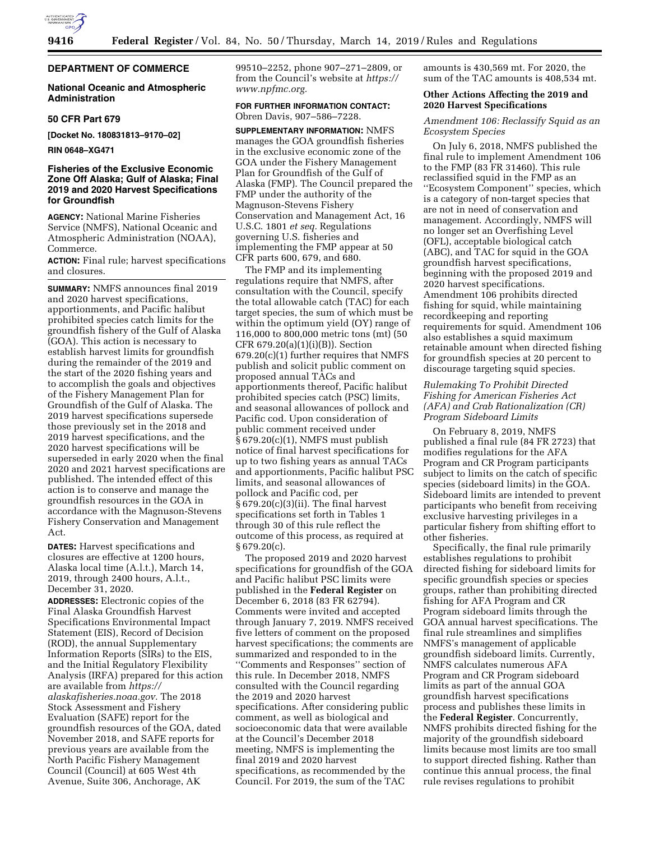

#### **DEPARTMENT OF COMMERCE**

#### **National Oceanic and Atmospheric Administration**

#### **50 CFR Part 679**

**[Docket No. 180831813–9170–02]** 

**RIN 0648–XG471** 

#### **Fisheries of the Exclusive Economic Zone Off Alaska; Gulf of Alaska; Final 2019 and 2020 Harvest Specifications for Groundfish**

**AGENCY:** National Marine Fisheries Service (NMFS), National Oceanic and Atmospheric Administration (NOAA), Commerce.

**ACTION:** Final rule; harvest specifications and closures.

**SUMMARY:** NMFS announces final 2019 and 2020 harvest specifications, apportionments, and Pacific halibut prohibited species catch limits for the groundfish fishery of the Gulf of Alaska (GOA). This action is necessary to establish harvest limits for groundfish during the remainder of the 2019 and the start of the 2020 fishing years and to accomplish the goals and objectives of the Fishery Management Plan for Groundfish of the Gulf of Alaska. The 2019 harvest specifications supersede those previously set in the 2018 and 2019 harvest specifications, and the 2020 harvest specifications will be superseded in early 2020 when the final 2020 and 2021 harvest specifications are published. The intended effect of this action is to conserve and manage the groundfish resources in the GOA in accordance with the Magnuson-Stevens Fishery Conservation and Management Act.

**DATES:** Harvest specifications and closures are effective at 1200 hours, Alaska local time (A.l.t.), March 14, 2019, through 2400 hours, A.l.t., December 31, 2020.

**ADDRESSES:** Electronic copies of the Final Alaska Groundfish Harvest Specifications Environmental Impact Statement (EIS), Record of Decision (ROD), the annual Supplementary Information Reports (SIRs) to the EIS, and the Initial Regulatory Flexibility Analysis (IRFA) prepared for this action are available from *[https://](https://alaskafisheries.noaa.gov) [alaskafisheries.noaa.gov.](https://alaskafisheries.noaa.gov)* The 2018 Stock Assessment and Fishery Evaluation (SAFE) report for the groundfish resources of the GOA, dated November 2018, and SAFE reports for previous years are available from the North Pacific Fishery Management Council (Council) at 605 West 4th Avenue, Suite 306, Anchorage, AK

99510–2252, phone 907–271–2809, or from the Council's website at *[https://](https://www.npfmc.org) [www.npfmc.org.](https://www.npfmc.org)* 

#### **FOR FURTHER INFORMATION CONTACT:**  Obren Davis, 907–586–7228.

**SUPPLEMENTARY INFORMATION:** NMFS manages the GOA groundfish fisheries in the exclusive economic zone of the GOA under the Fishery Management Plan for Groundfish of the Gulf of Alaska (FMP). The Council prepared the FMP under the authority of the Magnuson-Stevens Fishery Conservation and Management Act, 16 U.S.C. 1801 *et seq.* Regulations governing U.S. fisheries and implementing the FMP appear at 50 CFR parts 600, 679, and 680.

The FMP and its implementing regulations require that NMFS, after consultation with the Council, specify the total allowable catch (TAC) for each target species, the sum of which must be within the optimum yield (OY) range of 116,000 to 800,000 metric tons (mt) (50 CFR 679.20(a)(1)(i)(B)). Section 679.20(c)(1) further requires that NMFS publish and solicit public comment on proposed annual TACs and apportionments thereof, Pacific halibut prohibited species catch (PSC) limits, and seasonal allowances of pollock and Pacific cod. Upon consideration of public comment received under § 679.20(c)(1), NMFS must publish notice of final harvest specifications for up to two fishing years as annual TACs and apportionments, Pacific halibut PSC limits, and seasonal allowances of pollock and Pacific cod, per § 679.20(c)(3)(ii). The final harvest specifications set forth in Tables 1 through 30 of this rule reflect the outcome of this process, as required at  $§ 679.20(c).$ 

The proposed 2019 and 2020 harvest specifications for groundfish of the GOA and Pacific halibut PSC limits were published in the **Federal Register** on December 6, 2018 (83 FR 62794). Comments were invited and accepted through January 7, 2019. NMFS received five letters of comment on the proposed harvest specifications; the comments are summarized and responded to in the ''Comments and Responses'' section of this rule. In December 2018, NMFS consulted with the Council regarding the 2019 and 2020 harvest specifications. After considering public comment, as well as biological and socioeconomic data that were available at the Council's December 2018 meeting, NMFS is implementing the final 2019 and 2020 harvest specifications, as recommended by the Council. For 2019, the sum of the TAC

amounts is 430,569 mt. For 2020, the sum of the TAC amounts is 408,534 mt.

#### **Other Actions Affecting the 2019 and 2020 Harvest Specifications**

*Amendment 106: Reclassify Squid as an Ecosystem Species* 

On July 6, 2018, NMFS published the final rule to implement Amendment 106 to the FMP (83 FR 31460). This rule reclassified squid in the FMP as an ''Ecosystem Component'' species, which is a category of non-target species that are not in need of conservation and management. Accordingly, NMFS will no longer set an Overfishing Level (OFL), acceptable biological catch (ABC), and TAC for squid in the GOA groundfish harvest specifications, beginning with the proposed 2019 and 2020 harvest specifications. Amendment 106 prohibits directed fishing for squid, while maintaining recordkeeping and reporting requirements for squid. Amendment 106 also establishes a squid maximum retainable amount when directed fishing for groundfish species at 20 percent to discourage targeting squid species.

#### *Rulemaking To Prohibit Directed Fishing for American Fisheries Act (AFA) and Crab Rationalization (CR) Program Sideboard Limits*

On February 8, 2019, NMFS published a final rule (84 FR 2723) that modifies regulations for the AFA Program and CR Program participants subject to limits on the catch of specific species (sideboard limits) in the GOA. Sideboard limits are intended to prevent participants who benefit from receiving exclusive harvesting privileges in a particular fishery from shifting effort to other fisheries.

Specifically, the final rule primarily establishes regulations to prohibit directed fishing for sideboard limits for specific groundfish species or species groups, rather than prohibiting directed fishing for AFA Program and CR Program sideboard limits through the GOA annual harvest specifications. The final rule streamlines and simplifies NMFS's management of applicable groundfish sideboard limits. Currently, NMFS calculates numerous AFA Program and CR Program sideboard limits as part of the annual GOA groundfish harvest specifications process and publishes these limits in the **Federal Register**. Concurrently, NMFS prohibits directed fishing for the majority of the groundfish sideboard limits because most limits are too small to support directed fishing. Rather than continue this annual process, the final rule revises regulations to prohibit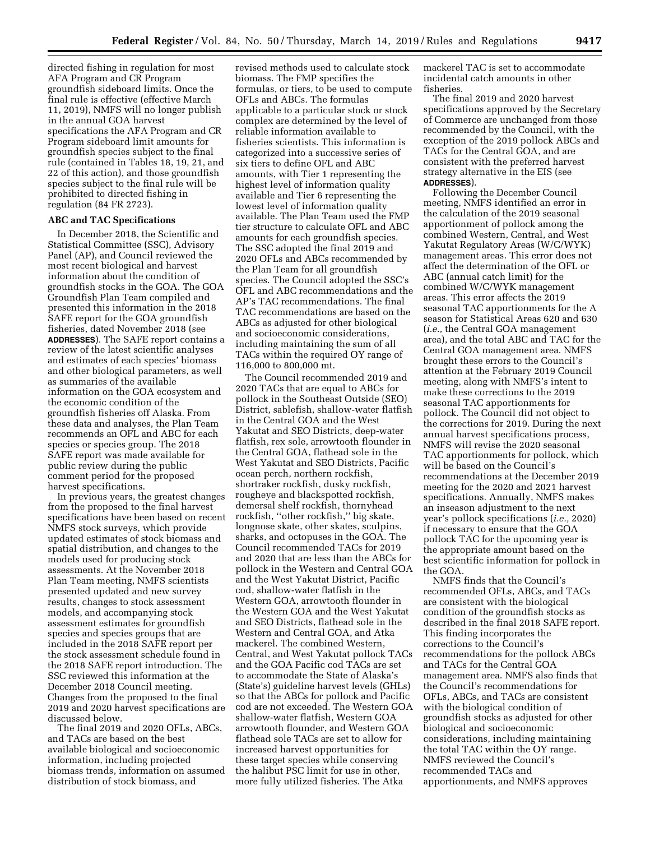directed fishing in regulation for most AFA Program and CR Program groundfish sideboard limits. Once the final rule is effective (effective March 11, 2019), NMFS will no longer publish in the annual GOA harvest specifications the AFA Program and CR Program sideboard limit amounts for groundfish species subject to the final rule (contained in Tables 18, 19, 21, and 22 of this action), and those groundfish species subject to the final rule will be prohibited to directed fishing in regulation (84 FR 2723).

#### **ABC and TAC Specifications**

In December 2018, the Scientific and Statistical Committee (SSC), Advisory Panel (AP), and Council reviewed the most recent biological and harvest information about the condition of groundfish stocks in the GOA. The GOA Groundfish Plan Team compiled and presented this information in the 2018 SAFE report for the GOA groundfish fisheries, dated November 2018 (see **ADDRESSES**). The SAFE report contains a review of the latest scientific analyses and estimates of each species' biomass and other biological parameters, as well as summaries of the available information on the GOA ecosystem and the economic condition of the groundfish fisheries off Alaska. From these data and analyses, the Plan Team recommends an OFL and ABC for each species or species group. The 2018 SAFE report was made available for public review during the public comment period for the proposed harvest specifications.

In previous years, the greatest changes from the proposed to the final harvest specifications have been based on recent NMFS stock surveys, which provide updated estimates of stock biomass and spatial distribution, and changes to the models used for producing stock assessments. At the November 2018 Plan Team meeting, NMFS scientists presented updated and new survey results, changes to stock assessment models, and accompanying stock assessment estimates for groundfish species and species groups that are included in the 2018 SAFE report per the stock assessment schedule found in the 2018 SAFE report introduction. The SSC reviewed this information at the December 2018 Council meeting. Changes from the proposed to the final 2019 and 2020 harvest specifications are discussed below.

The final 2019 and 2020 OFLs, ABCs, and TACs are based on the best available biological and socioeconomic information, including projected biomass trends, information on assumed distribution of stock biomass, and

revised methods used to calculate stock biomass. The FMP specifies the formulas, or tiers, to be used to compute OFLs and ABCs. The formulas applicable to a particular stock or stock complex are determined by the level of reliable information available to fisheries scientists. This information is categorized into a successive series of six tiers to define OFL and ABC amounts, with Tier 1 representing the highest level of information quality available and Tier 6 representing the lowest level of information quality available. The Plan Team used the FMP tier structure to calculate OFL and ABC amounts for each groundfish species. The SSC adopted the final 2019 and 2020 OFLs and ABCs recommended by the Plan Team for all groundfish species. The Council adopted the SSC's OFL and ABC recommendations and the AP's TAC recommendations. The final TAC recommendations are based on the ABCs as adjusted for other biological and socioeconomic considerations, including maintaining the sum of all TACs within the required OY range of 116,000 to 800,000 mt.

The Council recommended 2019 and 2020 TACs that are equal to ABCs for pollock in the Southeast Outside (SEO) District, sablefish, shallow-water flatfish in the Central GOA and the West Yakutat and SEO Districts, deep-water flatfish, rex sole, arrowtooth flounder in the Central GOA, flathead sole in the West Yakutat and SEO Districts, Pacific ocean perch, northern rockfish, shortraker rockfish, dusky rockfish, rougheye and blackspotted rockfish, demersal shelf rockfish, thornyhead rockfish, ''other rockfish,'' big skate, longnose skate, other skates, sculpins, sharks, and octopuses in the GOA. The Council recommended TACs for 2019 and 2020 that are less than the ABCs for pollock in the Western and Central GOA and the West Yakutat District, Pacific cod, shallow-water flatfish in the Western GOA, arrowtooth flounder in the Western GOA and the West Yakutat and SEO Districts, flathead sole in the Western and Central GOA, and Atka mackerel. The combined Western, Central, and West Yakutat pollock TACs and the GOA Pacific cod TACs are set to accommodate the State of Alaska's (State's) guideline harvest levels (GHLs) so that the ABCs for pollock and Pacific cod are not exceeded. The Western GOA shallow-water flatfish, Western GOA arrowtooth flounder, and Western GOA flathead sole TACs are set to allow for increased harvest opportunities for these target species while conserving the halibut PSC limit for use in other, more fully utilized fisheries. The Atka

mackerel TAC is set to accommodate incidental catch amounts in other fisheries.

The final 2019 and 2020 harvest specifications approved by the Secretary of Commerce are unchanged from those recommended by the Council, with the exception of the 2019 pollock ABCs and TACs for the Central GOA, and are consistent with the preferred harvest strategy alternative in the EIS (see **ADDRESSES**).

Following the December Council meeting, NMFS identified an error in the calculation of the 2019 seasonal apportionment of pollock among the combined Western, Central, and West Yakutat Regulatory Areas (W/C/WYK) management areas. This error does not affect the determination of the OFL or ABC (annual catch limit) for the combined W/C/WYK management areas. This error affects the 2019 seasonal TAC apportionments for the A season for Statistical Areas 620 and 630 (*i.e.,* the Central GOA management area), and the total ABC and TAC for the Central GOA management area. NMFS brought these errors to the Council's attention at the February 2019 Council meeting, along with NMFS's intent to make these corrections to the 2019 seasonal TAC apportionments for pollock. The Council did not object to the corrections for 2019. During the next annual harvest specifications process, NMFS will revise the 2020 seasonal TAC apportionments for pollock, which will be based on the Council's recommendations at the December 2019 meeting for the 2020 and 2021 harvest specifications. Annually, NMFS makes an inseason adjustment to the next year's pollock specifications (*i.e.,* 2020) if necessary to ensure that the GOA pollock TAC for the upcoming year is the appropriate amount based on the best scientific information for pollock in the GOA.

NMFS finds that the Council's recommended OFLs, ABCs, and TACs are consistent with the biological condition of the groundfish stocks as described in the final 2018 SAFE report. This finding incorporates the corrections to the Council's recommendations for the pollock ABCs and TACs for the Central GOA management area. NMFS also finds that the Council's recommendations for OFLs, ABCs, and TACs are consistent with the biological condition of groundfish stocks as adjusted for other biological and socioeconomic considerations, including maintaining the total TAC within the OY range. NMFS reviewed the Council's recommended TACs and apportionments, and NMFS approves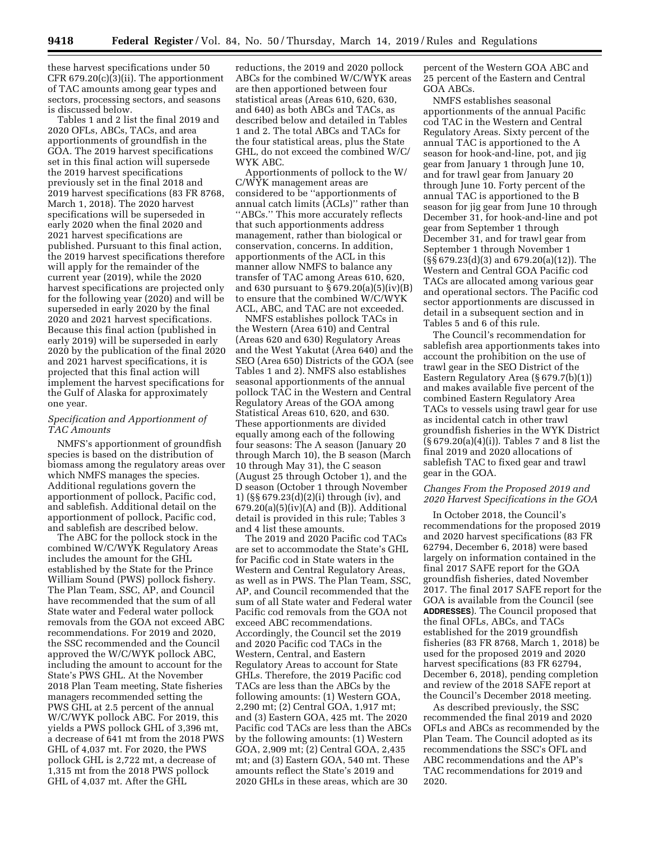these harvest specifications under 50 CFR 679.20(c)(3)(ii). The apportionment of TAC amounts among gear types and sectors, processing sectors, and seasons is discussed below.

Tables 1 and 2 list the final 2019 and 2020 OFLs, ABCs, TACs, and area apportionments of groundfish in the GOA. The 2019 harvest specifications set in this final action will supersede the 2019 harvest specifications previously set in the final 2018 and 2019 harvest specifications (83 FR 8768, March 1, 2018). The 2020 harvest specifications will be superseded in early 2020 when the final 2020 and 2021 harvest specifications are published. Pursuant to this final action, the 2019 harvest specifications therefore will apply for the remainder of the current year (2019), while the 2020 harvest specifications are projected only for the following year (2020) and will be superseded in early 2020 by the final 2020 and 2021 harvest specifications. Because this final action (published in early 2019) will be superseded in early 2020 by the publication of the final 2020 and 2021 harvest specifications, it is projected that this final action will implement the harvest specifications for the Gulf of Alaska for approximately one year.

#### *Specification and Apportionment of TAC Amounts*

NMFS's apportionment of groundfish species is based on the distribution of biomass among the regulatory areas over which NMFS manages the species. Additional regulations govern the apportionment of pollock, Pacific cod, and sablefish. Additional detail on the apportionment of pollock, Pacific cod, and sablefish are described below.

The ABC for the pollock stock in the combined W/C/WYK Regulatory Areas includes the amount for the GHL established by the State for the Prince William Sound (PWS) pollock fishery. The Plan Team, SSC, AP, and Council have recommended that the sum of all State water and Federal water pollock removals from the GOA not exceed ABC recommendations. For 2019 and 2020, the SSC recommended and the Council approved the W/C/WYK pollock ABC, including the amount to account for the State's PWS GHL. At the November 2018 Plan Team meeting, State fisheries managers recommended setting the PWS GHL at 2.5 percent of the annual W/C/WYK pollock ABC. For 2019, this yields a PWS pollock GHL of 3,396 mt, a decrease of 641 mt from the 2018 PWS GHL of 4,037 mt. For 2020, the PWS pollock GHL is 2,722 mt, a decrease of 1,315 mt from the 2018 PWS pollock GHL of 4,037 mt. After the GHL

reductions, the 2019 and 2020 pollock ABCs for the combined W/C/WYK areas are then apportioned between four statistical areas (Areas 610, 620, 630, and 640) as both ABCs and TACs, as described below and detailed in Tables 1 and 2. The total ABCs and TACs for the four statistical areas, plus the State GHL, do not exceed the combined W/C/ WYK ABC.

Apportionments of pollock to the W/ C/WYK management areas are considered to be ''apportionments of annual catch limits (ACLs)'' rather than ''ABCs.'' This more accurately reflects that such apportionments address management, rather than biological or conservation, concerns. In addition, apportionments of the ACL in this manner allow NMFS to balance any transfer of TAC among Areas 610, 620, and 630 pursuant to  $\S 679.20(a)(5)(iv)(B)$ to ensure that the combined W/C/WYK ACL, ABC, and TAC are not exceeded.

NMFS establishes pollock TACs in the Western (Area 610) and Central (Areas 620 and 630) Regulatory Areas and the West Yakutat (Area 640) and the SEO (Area 650) Districts of the GOA (see Tables 1 and 2). NMFS also establishes seasonal apportionments of the annual pollock TAC in the Western and Central Regulatory Areas of the GOA among Statistical Areas 610, 620, and 630. These apportionments are divided equally among each of the following four seasons: The A season (January 20 through March 10), the B season (March 10 through May 31), the C season (August 25 through October 1), and the D season (October 1 through November 1) (§§ 679.23(d)(2)(i) through (iv), and  $679.20(a)(5)(iv)(A)$  and  $(B)$ ). Additional detail is provided in this rule; Tables 3 and 4 list these amounts.

The 2019 and 2020 Pacific cod TACs are set to accommodate the State's GHL for Pacific cod in State waters in the Western and Central Regulatory Areas, as well as in PWS. The Plan Team, SSC, AP, and Council recommended that the sum of all State water and Federal water Pacific cod removals from the GOA not exceed ABC recommendations. Accordingly, the Council set the 2019 and 2020 Pacific cod TACs in the Western, Central, and Eastern Regulatory Areas to account for State GHLs. Therefore, the 2019 Pacific cod TACs are less than the ABCs by the following amounts: (1) Western GOA, 2,290 mt; (2) Central GOA, 1,917 mt; and (3) Eastern GOA, 425 mt. The 2020 Pacific cod TACs are less than the ABCs by the following amounts: (1) Western GOA, 2,909 mt; (2) Central GOA, 2,435 mt; and (3) Eastern GOA, 540 mt. These amounts reflect the State's 2019 and 2020 GHLs in these areas, which are 30

percent of the Western GOA ABC and 25 percent of the Eastern and Central GOA ABCs.

NMFS establishes seasonal apportionments of the annual Pacific cod TAC in the Western and Central Regulatory Areas. Sixty percent of the annual TAC is apportioned to the A season for hook-and-line, pot, and jig gear from January 1 through June 10, and for trawl gear from January 20 through June 10. Forty percent of the annual TAC is apportioned to the B season for jig gear from June 10 through December 31, for hook-and-line and pot gear from September 1 through December 31, and for trawl gear from September 1 through November 1 (§§ 679.23(d)(3) and 679.20(a)(12)). The Western and Central GOA Pacific cod TACs are allocated among various gear and operational sectors. The Pacific cod sector apportionments are discussed in detail in a subsequent section and in Tables 5 and 6 of this rule.

The Council's recommendation for sablefish area apportionments takes into account the prohibition on the use of trawl gear in the SEO District of the Eastern Regulatory Area (§ 679.7(b)(1)) and makes available five percent of the combined Eastern Regulatory Area TACs to vessels using trawl gear for use as incidental catch in other trawl groundfish fisheries in the WYK District (§ 679.20(a)(4)(i)). Tables 7 and 8 list the final 2019 and 2020 allocations of sablefish TAC to fixed gear and trawl gear in the GOA.

#### *Changes From the Proposed 2019 and 2020 Harvest Specifications in the GOA*

In October 2018, the Council's recommendations for the proposed 2019 and 2020 harvest specifications (83 FR 62794, December 6, 2018) were based largely on information contained in the final 2017 SAFE report for the GOA groundfish fisheries, dated November 2017. The final 2017 SAFE report for the GOA is available from the Council (see **ADDRESSES**). The Council proposed that the final OFLs, ABCs, and TACs established for the 2019 groundfish fisheries (83 FR 8768, March 1, 2018) be used for the proposed 2019 and 2020 harvest specifications (83 FR 62794, December 6, 2018), pending completion and review of the 2018 SAFE report at the Council's December 2018 meeting.

As described previously, the SSC recommended the final 2019 and 2020 OFLs and ABCs as recommended by the Plan Team. The Council adopted as its recommendations the SSC's OFL and ABC recommendations and the AP's TAC recommendations for 2019 and 2020.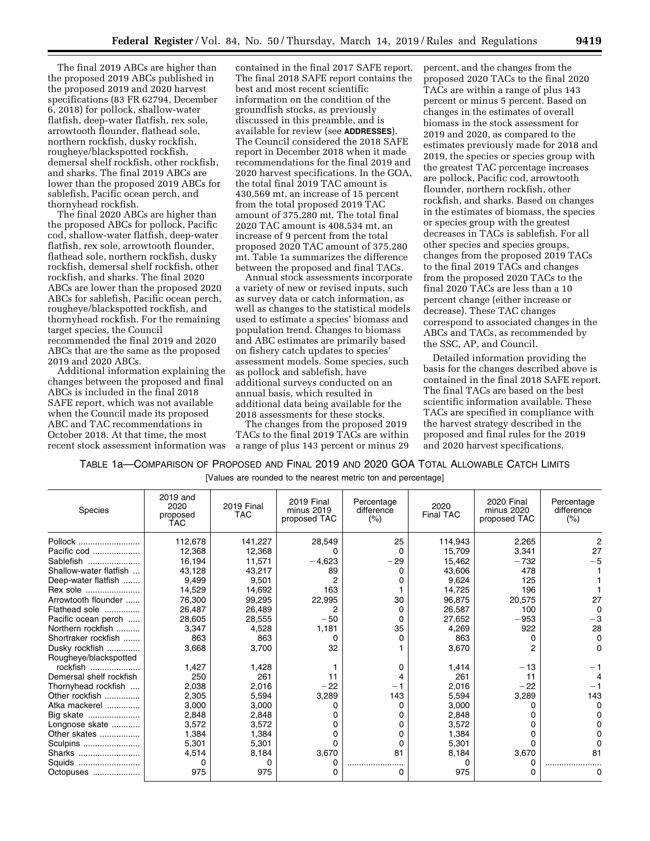The final 2019 ABCs are higher than the proposed 2019 ABCs published in the proposed 2019 and 2020 harvest specifications (83 FR 62794, December 6, 2018) for pollock, shallow-water flatfish, deep-water flatfish, rex sole, arrowtooth flounder, flathead sole, northern rockfish, dusky rockfish, rougheye/blackspotted rockfish, demersal shelf rockfish, other rockfish, and sharks. The final 2019 ABCs are lower than the proposed 2019 ABCs for sablefish, Pacific ocean perch, and thornyhead rockfish.

The final 2020 ABCs are higher than the proposed ABCs for pollock, Pacific cod, shallow-water flatfish, deep-water flatfish, rex sole, arrowtooth flounder, flathead sole, northern rockfish, dusky rockfish, demersal shelf rockfish, other rockfish, and sharks. The final 2020 ABCs are lower than the proposed 2020 ABCs for sablefish, Pacific ocean perch, rougheye/blackspotted rockfish, and thornyhead rockfish. For the remaining target species, the Council recommended the final 2019 and 2020 ABCs that are the same as the proposed 2019 and 2020 ABCs.

Additional information explaining the changes between the proposed and final ABCs is included in the final 2018 SAFE report, which was not available when the Council made its proposed ABC and TAC recommendations in October 2018. At that time, the most recent stock assessment information was

contained in the final 2017 SAFE report. The final 2018 SAFE report contains the best and most recent scientific information on the condition of the groundfish stocks, as previously discussed in this preamble, and is available for review (see **ADDRESSES**). The Council considered the 2018 SAFE report in December 2018 when it made recommendations for the final 2019 and 2020 harvest specifications. In the GOA, the total final 2019 TAC amount is 430,569 mt, an increase of 15 percent from the total proposed 2019 TAC amount of 375,280 mt. The total final 2020 TAC amount is 408,534 mt, an increase of 9 percent from the total proposed 2020 TAC amount of 375,280 mt. Table 1a summarizes the difference between the proposed and final TACs.

Annual stock assessments incorporate a variety of new or revised inputs, such as survey data or catch information, as well as changes to the statistical models used to estimate a species' biomass and population trend. Changes to biomass and ABC estimates are primarily based on fishery catch updates to species' assessment models. Some species, such as pollock and sablefish, have additional surveys conducted on an annual basis, which resulted in additional data being available for the 2018 assessments for these stocks.

The changes from the proposed 2019 TACs to the final 2019 TACs are within a range of plus 143 percent or minus 29 percent, and the changes from the proposed 2020 TACs to the final 2020 TACs are within a range of plus 143 percent or minus 5 percent. Based on changes in the estimates of overall biomass in the stock assessment for 2019 and 2020, as compared to the estimates previously made for 2018 and 2019, the species or species group with the greatest TAC percentage increases are pollock, Pacific cod, arrowtooth flounder, northern rockfish, other rockfish, and sharks. Based on changes in the estimates of biomass, the species or species group with the greatest decreases in TACs is sablefish. For all other species and species groups, changes from the proposed 2019 TACs to the final 2019 TACs and changes from the proposed 2020 TACs to the final 2020 TACs are less than a 10 percent change (either increase or decrease). These TAC changes correspond to associated changes in the ABCs and TACs, as recommended by the SSC, AP, and Council.

Detailed information providing the basis for the changes described above is contained in the final 2018 SAFE report. The final TACs are based on the best scientific information available. These TACs are specified in compliance with the harvest strategy described in the proposed and final rules for the 2019 and 2020 harvest specifications.

# TABLE 1a—COMPARISON OF PROPOSED AND FINAL 2019 AND 2020 GOA TOTAL ALLOWABLE CATCH LIMITS

|  |  |  |  |  | [Values are rounded to the nearest metric ton and percentage] |  |
|--|--|--|--|--|---------------------------------------------------------------|--|
|  |  |  |  |  |                                                               |  |

| Species                 | 2019 and<br>2020<br>proposed<br>TAC | <b>2019 Final</b><br>TAC | <b>2019 Final</b><br>minus 2019<br>proposed TAC | Percentage<br>difference<br>(%) | 2020<br><b>Final TAC</b> | <b>2020 Final</b><br>minus 2020<br>proposed TAC | Percentage<br>difference<br>(% ) |
|-------------------------|-------------------------------------|--------------------------|-------------------------------------------------|---------------------------------|--------------------------|-------------------------------------------------|----------------------------------|
| Pollock                 | 112,678                             | 141,227                  | 28,549                                          | 25                              | 114,943                  | 2,265                                           | 2                                |
| Pacific cod             | 12,368                              | 12.368                   |                                                 |                                 | 15,709                   | 3,341                                           | 27                               |
| Sablefish               | 16,194                              | 11,571                   | $-4,623$                                        | -29                             | 15,462                   | $-732$                                          |                                  |
| Shallow-water flatfish  | 43,128                              | 43,217                   | 89                                              |                                 | 43,606                   | 478                                             |                                  |
| Deep-water flatfish     | 9,499                               | 9,501                    | 2                                               |                                 | 9,624                    | 125                                             |                                  |
| Rex sole                | 14,529                              | 14,692                   | 163                                             |                                 | 14,725                   | 196                                             |                                  |
| Arrowtooth flounder     | 76.300                              | 99,295                   | 22,995                                          | 30                              | 96,875                   | 20,575                                          | 27                               |
| Flathead sole           | 26,487                              | 26,489                   |                                                 |                                 | 26,587                   | 100                                             | O                                |
| Pacific ocean perch     | 28,605                              | 28,555                   | $-50$                                           |                                 | 27,652                   | $-953$                                          | -3                               |
| Northern rockfish       | 3,347                               | 4,528                    | 1,181                                           | 35                              | 4,269                    | 922                                             | 28                               |
| Shortraker rockfish     | 863                                 | 863                      | O                                               |                                 | 863                      |                                                 | 0                                |
| Dusky rockfish          | 3,668                               | 3,700                    | 32                                              |                                 | 3,670                    |                                                 | O                                |
| Rougheye/blackspotted   |                                     |                          |                                                 |                                 |                          |                                                 |                                  |
| rockfish                | 1,427                               | 1,428                    |                                                 | 0                               | 1,414                    | $-13$                                           |                                  |
| Demersal shelf rockfish | 250                                 | 261                      | 11                                              |                                 | 261                      | 11                                              |                                  |
| Thornyhead rockfish     | 2,038                               | 2,016                    | $-22$                                           |                                 | 2,016                    | $-22$                                           |                                  |
| Other rockfish          | 2,305                               | 5,594                    | 3,289                                           | 143                             | 5,594                    | 3,289                                           | 143                              |
| Atka mackerel           | 3,000                               | 3,000                    |                                                 |                                 | 3,000                    |                                                 | 0                                |
| Big skate               | 2,848                               | 2,848                    |                                                 |                                 | 2,848                    |                                                 |                                  |
| Longnose skate          | 3,572                               | 3,572                    |                                                 |                                 | 3,572                    |                                                 |                                  |
| Other skates            | 1,384                               | 1,384                    |                                                 |                                 | 1,384                    |                                                 |                                  |
| Sculpins                | 5,301                               | 5,301                    | O                                               |                                 | 5,301                    |                                                 |                                  |
| Sharks                  | 4,514                               | 8,184                    | 3,670                                           | 81                              | 8,184                    | 3,670                                           | 81                               |
| Squids                  | o                                   |                          |                                                 |                                 | 0                        |                                                 |                                  |
| Octopuses               | 975                                 | 975                      |                                                 |                                 | 975                      |                                                 | o                                |
|                         |                                     |                          |                                                 |                                 |                          |                                                 |                                  |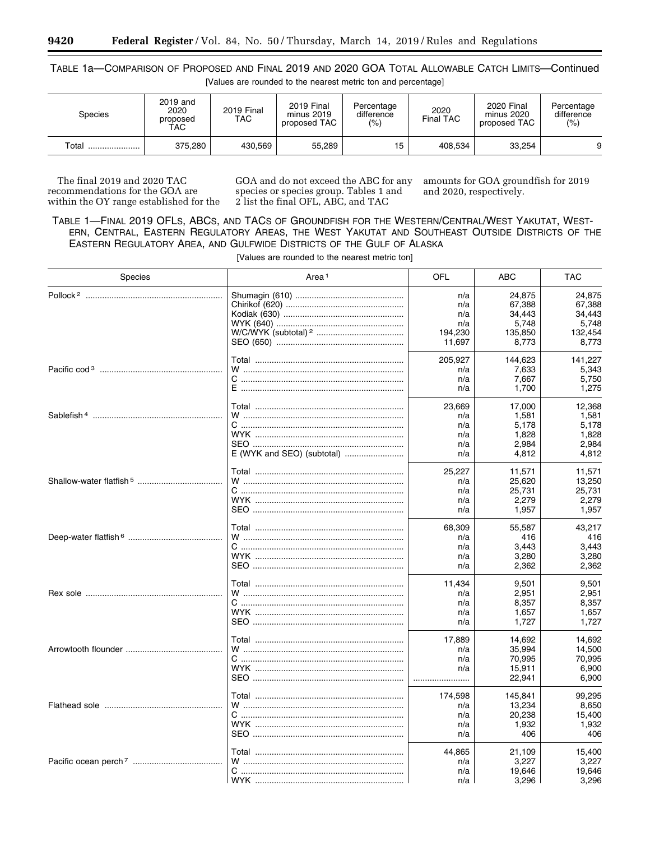# TABLE 1a—COMPARISON OF PROPOSED AND FINAL 2019 AND 2020 GOA TOTAL ALLOWABLE CATCH LIMITS—Continued

| [Values are rounded to the nearest metric ton and percentage] |  |
|---------------------------------------------------------------|--|
|---------------------------------------------------------------|--|

| Species | 2019 and<br>2020<br>proposed<br><b>TAC</b> | 2019 Final<br>TAC | <b>2019 Final</b><br>minus 2019<br>proposed TAC | Percentage<br>difference<br>(%) | 2020<br>Final TAC | 2020 Final<br>minus 2020<br>proposed TAC | Percentage<br>difference<br>(%) |
|---------|--------------------------------------------|-------------------|-------------------------------------------------|---------------------------------|-------------------|------------------------------------------|---------------------------------|
| Total   | 375,280                                    | 430,569           | 55,289                                          | 15                              | 408.534           | 33.254                                   | 9                               |

The final 2019 and 2020 TAC recommendations for the GOA are within the OY range established for the GOA and do not exceed the ABC for any species or species group. Tables 1 and 2 list the final OFL, ABC, and TAC

amounts for GOA groundfish for 2019 and 2020, respectively.

TABLE 1—FINAL 2019 OFLS, ABCS, AND TACS OF GROUNDFISH FOR THE WESTERN/CENTRAL/WEST YAKUTAT, WEST-ERN, CENTRAL, EASTERN REGULATORY AREAS, THE WEST YAKUTAT AND SOUTHEAST OUTSIDE DISTRICTS OF THE EASTERN REGULATORY AREA, AND GULFWIDE DISTRICTS OF THE GULF OF ALASKA

[Values are rounded to the nearest metric ton]

| <b>OFL</b><br>Species<br>Area <sup>1</sup><br>ABC | <b>TAC</b> |
|---------------------------------------------------|------------|
| 24,875<br>n/a                                     | 24,875     |
| 67,388<br>n/a                                     | 67.388     |
| 34,443<br>n/a                                     | 34,443     |
| n/a<br>5,748                                      | 5,748      |
| 194,230<br>135,850                                | 132,454    |
| 11,697<br>8,773                                   | 8,773      |
| 205,927<br>144,623                                | 141,227    |
| 7,633<br>n/a                                      | 5,343      |
| 7,667<br>n/a                                      | 5,750      |
| 1,700<br>n/a                                      | 1,275      |
| 23,669<br>17,000                                  | 12,368     |
| 1,581<br>n/a                                      | 1,581      |
| 5,178<br>n/a                                      | 5,178      |
| 1,828<br>n/a                                      | 1,828      |
| 2,984<br>n/a                                      | 2,984      |
| 4.812<br>n/a                                      | 4.812      |
| 25,227<br>11,571                                  | 11,571     |
| 25,620<br>n/a                                     | 13,250     |
| 25,731<br>n/a                                     | 25,731     |
| 2,279<br>n/a                                      | 2,279      |
| n/a<br>1,957                                      | 1.957      |
| 68,309<br>55,587                                  | 43,217     |
| 416<br>n/a                                        | 416        |
| 3.443<br>n/a                                      | 3,443      |
| 3,280<br>n/a                                      | 3,280      |
| n/a<br>2,362                                      | 2,362      |
| 11,434<br>9,501                                   | 9,501      |
| 2,951<br>n/a                                      | 2,951      |
| n/a<br>8,357                                      | 8,357      |
| 1,657<br>n/a                                      | 1,657      |
| n/a<br>1,727                                      | 1,727      |
| 17.889<br>14,692                                  | 14.692     |
| 35,994<br>n/a                                     | 14,500     |
| n/a<br>70,995                                     | 70,995     |
| n/a<br>15,911                                     | 6,900      |
| 22,941<br>                                        | 6,900      |
| 174,598<br>145,841                                | 99.295     |
| 13,234<br>n/a                                     | 8,650      |
| 20,238<br>n/a                                     | 15,400     |
| 1,932<br>n/a                                      | 1,932      |
| n/a<br>406                                        | 406        |
| 44,865<br>21,109                                  | 15,400     |
| 3,227<br>n/a                                      | 3,227      |
| n/a<br>19,646                                     | 19,646     |
| n/a<br>3,296                                      | 3,296      |

Ξ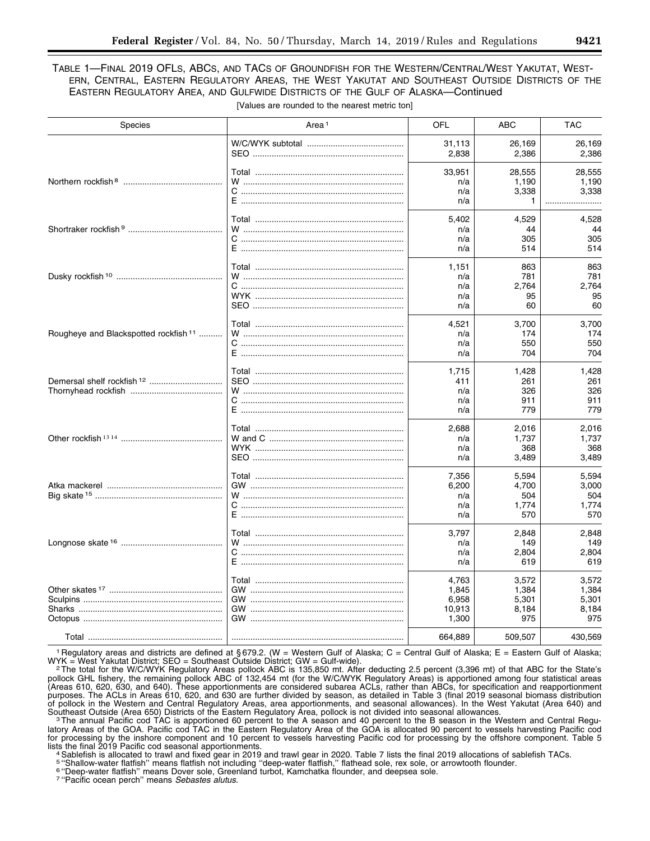# TABLE 1—FINAL 2019 OFLS, ABCS, AND TACS OF GROUNDFISH FOR THE WESTERN/CENTRAL/WEST YAKUTAT, WEST-ERN, CENTRAL, EASTERN REGULATORY AREAS, THE WEST YAKUTAT AND SOUTHEAST OUTSIDE DISTRICTS OF THE EASTERN REGULATORY AREA, AND GULFWIDE DISTRICTS OF THE GULF OF ALASKA—Continued

| Species                                          | Area <sup>1</sup>         | OFL     | ABC     | <b>TAC</b> |
|--------------------------------------------------|---------------------------|---------|---------|------------|
|                                                  |                           | 31,113  | 26,169  | 26,169     |
|                                                  |                           | 2,838   | 2,386   | 2,386      |
|                                                  |                           | 33,951  | 28,555  | 28,555     |
|                                                  |                           | n/a     | 1,190   | 1,190      |
|                                                  |                           | n/a     | 3,338   | 3,338      |
|                                                  |                           | n/a     | 1       |            |
|                                                  |                           | 5,402   | 4,529   | 4,528      |
|                                                  |                           | n/a     | 44      | 44         |
|                                                  |                           | n/a     | 305     | 305        |
|                                                  | E …………………………………………………………… | n/a     | 514     | 514        |
|                                                  |                           | 1,151   | 863     | 863        |
|                                                  |                           | n/a     | 781     | 781        |
|                                                  |                           | n/a     | 2,764   | 2,764      |
|                                                  |                           | n/a     | 95      | 95         |
|                                                  |                           | n/a     | 60      | 60         |
|                                                  |                           | 4,521   | 3,700   | 3,700      |
| Rougheye and Blackspotted rockfish <sup>11</sup> |                           | n/a     | 174     | 174        |
|                                                  |                           | n/a     | 550     | 550        |
|                                                  |                           | n/a     | 704     | 704        |
|                                                  |                           | 1,715   | 1,428   | 1,428      |
| Demersal shelf rockfish <sup>12</sup>            |                           | 411     | 261     | 261        |
|                                                  |                           | n/a     | 326     | 326        |
|                                                  |                           | n/a     | 911     | 911        |
|                                                  |                           | n/a     | 779     | 779        |
|                                                  |                           | 2,688   | 2,016   | 2,016      |
|                                                  |                           | n/a     | 1,737   | 1,737      |
|                                                  |                           | n/a     | 368     | 368        |
|                                                  |                           | n/a     | 3,489   | 3,489      |
|                                                  |                           | 7,356   | 5,594   | 5.594      |
|                                                  |                           | 6,200   | 4,700   | 3,000      |
|                                                  |                           | n/a     | 504     | 504        |
|                                                  |                           | n/a     | 1,774   | 1,774      |
|                                                  |                           | n/a     | 570     | 570        |
|                                                  |                           | 3,797   | 2,848   | 2,848      |
|                                                  |                           | n/a     | 149     | 149        |
|                                                  |                           | n/a     | 2,804   | 2,804      |
|                                                  |                           | n/a     | 619     | 619        |
|                                                  |                           | 4.763   | 3.572   | 3,572      |
|                                                  |                           | 1,845   | 1,384   | 1,384      |
|                                                  |                           | 6,958   | 5,301   | 5,301      |
|                                                  |                           | 10,913  | 8,184   | 8,184      |
|                                                  |                           | 1,300   | 975     | 975        |
|                                                  |                           | 664,889 | 509,507 | 430,569    |

[Values are rounded to the nearest metric ton]

<sup>1</sup> Regulatory areas and districts are defined at § 679.2. (W = Western Gulf of Alaska; C = Central Gulf of Alaska; E = Eastern Gulf of Alaska; WYK = West Yakutat District; SEO = Southeast Outside District; GW = Gulf-wide) WYK = West Yakutat District; SEO = Southeast Outside District; GW = Gulf-wide).<br>2The total for the W/C/WYK Regulatory Areas pollock ABC is 135,850 mt. After deducting 2.5 percent (3,396 mt) of that ABC for the State's

pollock GHL fishery, the remaining pollock ABC of 132,454 mt (for the W/C/WYK Regulatory Areas) is apportioned among four statistical areas (Areas 610, 620, 630, and 640). These apportionments are considered subarea ACLs, rather than ABCs, for specification and reapportionment purposes. The ACLs in Areas 610, 620, and 630 are further divided by season, as detailed in Table 3 (final 2019 seasonal biomass distribution<br>of pollock in the Western and Central Regulatory Areas, area apportionments, and of pollock in the Western and Central Regulatory Areas, area apportionments, and seasonal allowances). In the West Yakutat (Area 640) and

Southeast Outside (Area 650) Districts of the Eastern Regulatory Area, pollock is not divided into seasonal allowances.<br>The annual Pacific cod TAC is apportioned 60 percent to the A season and 40 percent to the B season in latory Areas of the GOA. Pacific cod TAC in the Eastern Regulatory Area of the GOA is allocated 90 percent to vessels harvesting Pacific cod for processing by the inshore component and 10 percent to vessels harvesting Pacific cod for processing by the offshore component. Table 5

lists the final 2019 Pacific cod seasonal apportionments.<br>4Sablefish is allocated to trawl and fixed gear in 2019 and trawl gear in 2020. Table 7 lists the final 2019 allocations of sablefish TACs.

5 "Shallow-water flatfish" means flatfish not including "deep-water flatfish," flathead sole, rex sole, or arrowtooth flounder.<br><sup>6 </sup>"Deep-water flatfish" means Dover sole, Greenland turbot, Kamchatka flounder, and deepsea

7 ''Pacific ocean perch'' means *Sebastes alutus.*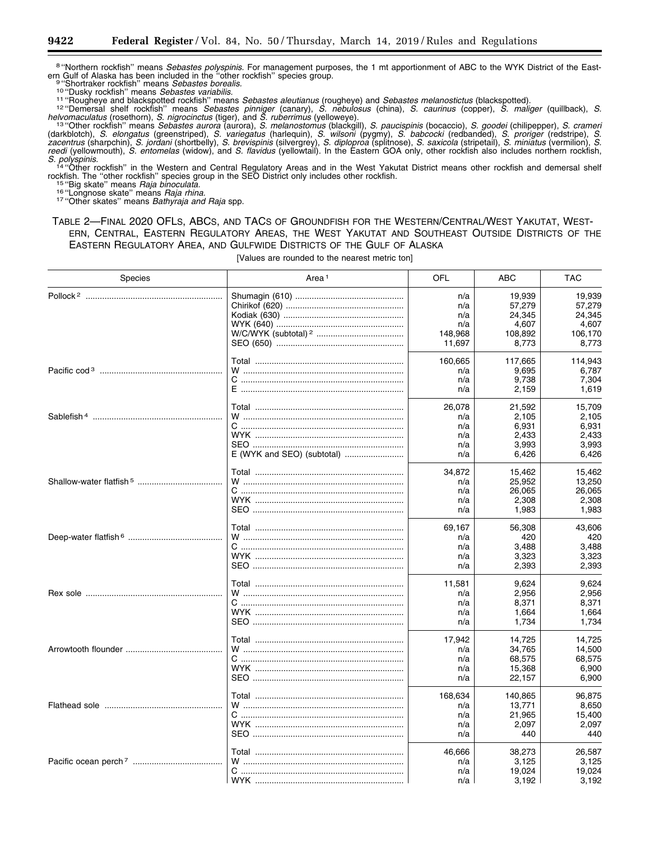<sup>8</sup> "Northern rockfish" means *Sebastes polyspinis.* For management purposes, the 1 mt apportionment of ABC to the WYK District of the East-<br>ern Gulf of Alaska has been included in the "other rockfish" species group. ern Gulf of Alaska has been included in the "other rockfish" species group.<br><sup>9 "</sup>Chortraker rockfish" means *Sebastes borealis.*<br><sup>10 "</sup>Dusky rockfish" means *Sebastes variabilis.*<br><sup>11</sup> "Rougheye and blackspotted rockfish"

helvomaculatus (rosethorn), S. nigrocinctus (tiger), and S. ruberrimus (yelloweye).<br><sup>13</sup> "Other rockfish" means *Sebastes aurora* (aurora), S. melanostomus (blackgill), S. paucispinis (bocaccio), S. goodei (chilipepper), S (darkblotch), *S. elongatus* (greenstriped), *S. variegatus* (harlequin), *S. wilsoni* (pygmy), *S. babcocki* (redbanded), *S. proriger* (redstripe), *S. zacentrus* (sharpchin), *S. jordani* (shortbelly), *S. brevispinis* (silvergrey), *S. diploproa* (splitnose), *S. saxicola* (stripetail), *S. miniatus* (vermilion), *S. reedi* (yellowmouth), *S. entomelas* (widow), and *S. flavidus* (yellowtail). In the Eastern GOA only, other rockfish also includes northern rockfish,

*S. polyspinis.* <sup>14</sup> ''Other rockfish'' in the Western and Central Regulatory Areas and in the West Yakutat District means other rockfish and demersal shelf rockfish. The "other rockfish" species group in the SEO District only includes other rockfish.<br><sup>15</sup> "Big skate" means *Raja binoculata.*<br><sup>16</sup> "Longnose skate" means *Raja rhina.*<br><sup>17</sup> "Other skates" means *Bathyraja and Ra* 

### TABLE 2—FINAL 2020 OFLS, ABCS, AND TACS OF GROUNDFISH FOR THE WESTERN/CENTRAL/WEST YAKUTAT, WEST-ERN, CENTRAL, EASTERN REGULATORY AREAS, THE WEST YAKUTAT AND SOUTHEAST OUTSIDE DISTRICTS OF THE EASTERN REGULATORY AREA, AND GULFWIDE DISTRICTS OF THE GULF OF ALASKA

[Values are rounded to the nearest metric ton]

| <b>Species</b> | Area <sup>1</sup> | OFL     | ABC     | <b>TAC</b> |
|----------------|-------------------|---------|---------|------------|
|                |                   | n/a     | 19.939  | 19,939     |
|                |                   | n/a     | 57,279  | 57.279     |
|                |                   | n/a     | 24,345  | 24,345     |
|                |                   | n/a     | 4,607   | 4,607      |
|                |                   | 148,968 | 108,892 | 106,170    |
|                |                   | 11,697  | 8,773   | 8,773      |
|                |                   | 160,665 | 117,665 | 114,943    |
|                |                   | n/a     | 9,695   | 6.787      |
|                |                   | n/a     | 9,738   | 7,304      |
|                |                   | n/a     | 2,159   | 1,619      |
|                |                   | 26,078  | 21,592  | 15.709     |
|                |                   | n/a     | 2,105   | 2,105      |
|                |                   | n/a     | 6,931   | 6,931      |
|                |                   | n/a     | 2,433   | 2,433      |
|                |                   | n/a     | 3,993   | 3,993      |
|                |                   | n/a     | 6,426   | 6,426      |
|                |                   | 34,872  | 15,462  | 15,462     |
|                |                   | n/a     | 25,952  | 13,250     |
|                |                   | n/a     | 26,065  | 26,065     |
|                |                   | n/a     | 2,308   | 2,308      |
|                |                   | n/a     | 1,983   | 1,983      |
|                |                   | 69,167  | 56,308  | 43,606     |
|                |                   | n/a     | 420     | 420        |
|                |                   | n/a     | 3,488   | 3,488      |
|                |                   | n/a     | 3,323   | 3,323      |
|                |                   | n/a     | 2,393   | 2,393      |
|                |                   | 11,581  | 9,624   | 9,624      |
|                |                   | n/a     | 2,956   | 2,956      |
|                |                   | n/a     | 8,371   | 8,371      |
|                |                   | n/a     | 1,664   | 1,664      |
|                |                   | n/a     | 1,734   | 1,734      |
|                |                   | 17,942  | 14,725  | 14.725     |
|                |                   | n/a     | 34,765  | 14,500     |
|                |                   | n/a     | 68,575  | 68,575     |
|                |                   | n/a     | 15,368  | 6,900      |
|                |                   | n/a     | 22,157  | 6,900      |
|                |                   | 168,634 | 140,865 | 96,875     |
|                |                   | n/a     | 13,771  | 8,650      |
|                |                   | n/a     | 21,965  | 15,400     |
|                |                   | n/a     | 2,097   | 2,097      |
|                |                   | n/a     | 440     | 440        |
|                |                   | 46,666  | 38,273  | 26,587     |
|                |                   | n/a     | 3,125   | 3,125      |
|                |                   | n/a     | 19,024  | 19,024     |
|                |                   | n/a     | 3,192   | 3,192      |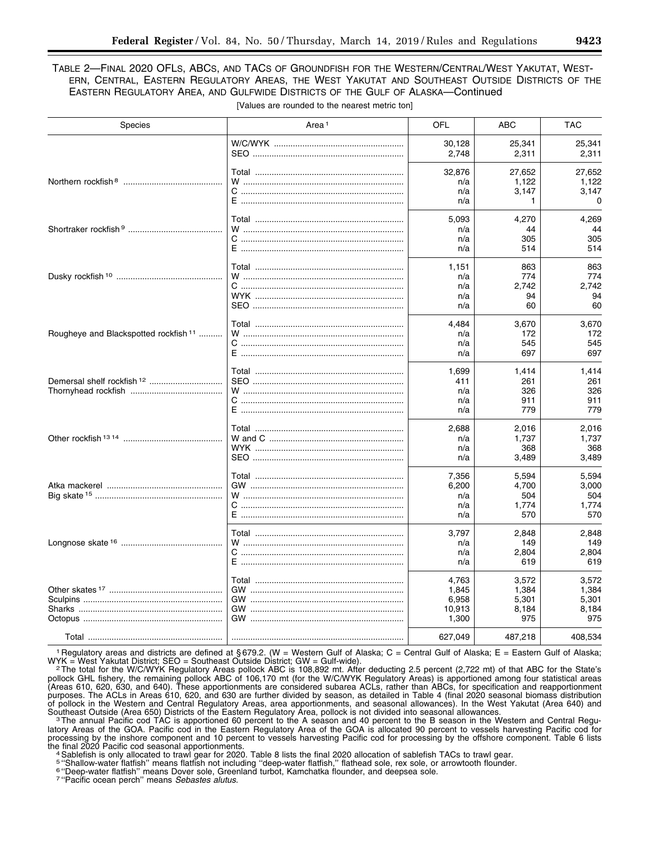# TABLE 2—FINAL 2020 OFLS, ABCS, AND TACS OF GROUNDFISH FOR THE WESTERN/CENTRAL/WEST YAKUTAT, WEST-ERN, CENTRAL, EASTERN REGULATORY AREAS, THE WEST YAKUTAT AND SOUTHEAST OUTSIDE DISTRICTS OF THE EASTERN REGULATORY AREA, AND GULFWIDE DISTRICTS OF THE GULF OF ALASKA—Continued

| <b>Species</b>                                   | Area <sup>1</sup>         | <b>OFL</b>                                 | ABC                                     | <b>TAC</b>                              |
|--------------------------------------------------|---------------------------|--------------------------------------------|-----------------------------------------|-----------------------------------------|
|                                                  |                           | 30,128                                     | 25,341                                  | 25,341                                  |
|                                                  |                           | 2.748                                      | 2,311                                   | 2,311                                   |
|                                                  |                           | 32,876                                     | 27,652                                  | 27,652                                  |
|                                                  |                           | n/a                                        | 1,122                                   | 1,122                                   |
|                                                  |                           | n/a                                        | 3,147                                   | 3,147                                   |
|                                                  |                           | n/a                                        | 1                                       | $\Omega$                                |
|                                                  |                           | 5,093                                      | 4,270                                   | 4,269                                   |
|                                                  |                           | n/a                                        | 44                                      | 44                                      |
|                                                  |                           | n/a                                        | 305                                     | 305                                     |
|                                                  | E …………………………………………………………… | n/a                                        | 514                                     | 514                                     |
|                                                  |                           | 1,151                                      | 863                                     | 863                                     |
|                                                  |                           | n/a                                        | 774                                     | 774                                     |
|                                                  |                           | n/a                                        | 2.742                                   | 2.742                                   |
|                                                  |                           | n/a                                        | 94                                      | 94                                      |
|                                                  |                           | n/a                                        | 60                                      | 60                                      |
| Rougheye and Blackspotted rockfish <sup>11</sup> |                           | 4,484                                      | 3,670                                   | 3,670                                   |
|                                                  |                           | n/a                                        | 172                                     | 172                                     |
|                                                  |                           | n/a                                        | 545                                     | 545                                     |
|                                                  |                           | n/a                                        | 697                                     | 697                                     |
|                                                  |                           | 1,699<br>411<br>n/a<br>n/a<br>n/a          | 1,414<br>261<br>326<br>911<br>779       | 1,414<br>261<br>326<br>911<br>779       |
|                                                  |                           | 2,688                                      | 2,016                                   | 2,016                                   |
|                                                  |                           | n/a                                        | 1,737                                   | 1,737                                   |
|                                                  |                           | n/a                                        | 368                                     | 368                                     |
|                                                  |                           | n/a                                        | 3,489                                   | 3,489                                   |
|                                                  |                           | 7,356<br>6,200<br>n/a<br>n/a               | 5,594<br>4,700<br>504<br>1,774          | 5,594<br>3,000<br>504<br>1,774          |
|                                                  |                           | n/a                                        | 570                                     | 570                                     |
|                                                  |                           | 3,797                                      | 2,848                                   | 2,848                                   |
|                                                  |                           | n/a                                        | 149                                     | 149                                     |
|                                                  |                           | n/a                                        | 2,804                                   | 2,804                                   |
|                                                  |                           | n/a                                        | 619                                     | 619                                     |
|                                                  |                           | 4,763<br>1,845<br>6.958<br>10,913<br>1,300 | 3,572<br>1,384<br>5,301<br>8,184<br>975 | 3,572<br>1,384<br>5,301<br>8,184<br>975 |
|                                                  |                           | 627,049                                    | 487,218                                 | 408,534                                 |

[Values are rounded to the nearest metric ton]

<sup>1</sup> Regulatory areas and districts are defined at § 679.2. (W = Western Gulf of Alaska; C = Central Gulf of Alaska; E = Eastern Gulf of Alaska; WYK = West Yakutat District; SEO = Southeast Outside District; GW = Gulf-wide)

WYK = West Yakutat District; SEO = Southeast Outside District; GW = Gulf-wide).<br><sup>2</sup>The total for the W/C/WYK Regulatory Areas pollock ABC is 108,892 mt. After deducting 2.5 percent (2,722 mt) of that ABC for the State's pollock GHL fishery, the remaining pollock ABC of 106,170 mt (for the W/C/WYK Regulatory Areas) is apportioned among four statistical areas (Areas 610, 620, 630, and 640). These apportionments are considered subarea ACLs, rather than ABCs, for specification and reapportionment purposes. The ACLs in Areas 610, 620, and 630 are further divided by season, as detailed in Table 4 (final 2020 seasonal biomass distribution of pollock in the Western and Central Regulatory Areas, area apportionments, and seasonal allowances). In the West Yakutat (Area 640) and Southeast Outside (Area 650) Districts of the Eastern Regulatory Area, pollock is not divided into seasonal allowances.<br>The annual Pacific cod TAC is apportioned 60 percent to the A season and 40 percent to the B season in

latory Areas of the GOA. Pacific cod in the Eastern Regulatory Area of the GOA is allocated 90 percent to vessels harvesting Pacific cod for processing by the inshore component and 10 percent to vessels harvesting Pacific cod for processing by the offshore component. Table 6 lists the final 2020 Pacific cod seasonal apportionments.<br>4 Sablefish is only allocated to trawl gear for 2020. Table 8 lists the final 2020 allocation of sablefish TACs to trawl gear.

5 "Shallow-water flatfish" means flatfish not including "deep-water flatfish," flathead sole, rex sole, or arrowtooth flounder.<br><sup>6 </sup>"Deep-water flatfish" means Dover sole, Greenland turbot, Kamchatka flounder, and deepsea

7 ''Pacific ocean perch'' means *Sebastes alutus.*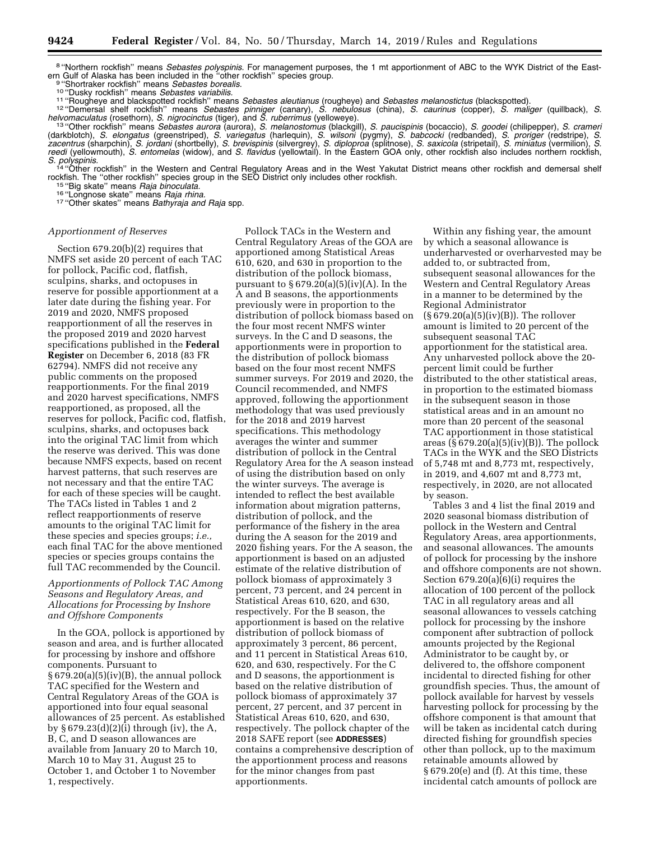<sup>8</sup> "Northern rockfish" means *Sebastes polyspinis.* For management purposes, the 1 mt apportionment of ABC to the WYK District of the East-<br>ern Gulf of Alaska has been included in the "other rockfish" species group.

9 "Shortraker rockfish" means *Sebastes borealis.*<br><sup>10</sup> "Dusky rockfish" means *Sebastes variabilis.*<br><sup>11</sup> "Rougheye and blackspotted rockfish" means *Sebastes aleutianus* (rougheye) and *Sebastes melanostictus* (blackspot helvomaculatus (rosethorn), S. nigrocinctus (tiger), and S. ruberrimus (yelloweye).<br>19 "Other rockfish" means Sebastes aurora (aurora), S. melanostomus (blackgill), S. paucispinis (bocaccio), S. goodei (chilipepper), S. cr

(darkblotch), *S. elongatus* (greenstriped), *S. variegatus* (harlequin), *S. wilsoni* (pygmy), *S. babcocki* (redbanded), *S. proriger* (redstripe), *S. zacentrus* (sharpchin), *S. jordani* (shortbelly), *S. brevispinis* (silvergrey), *S. diploproa* (splitnose), *S. saxicola* (stripetail), *S. miniatus* (vermilion), *S. reedi* (yellowmouth), *S. entomelas* (widow), and *S. flavidus* (yellowtail). In the Eastern GOA only, other rockfish also includes northern rockfish,

*S. polyspinis.* <sup>14</sup> ''Other rockfish'' in the Western and Central Regulatory Areas and in the West Yakutat District means other rockfish and demersal shelf rockfish. The "other rockfish" species group in the SEO District only includes other rockfish.<br><sup>15</sup> "Big skate" means *Raja binoculata*.<br><sup>16</sup> "Longnose skate" means *Raja binoculata*.<br><sup>17</sup> "Other skates" means *Bathyraja a* 

#### *Apportionment of Reserves*

Section 679.20(b)(2) requires that NMFS set aside 20 percent of each TAC for pollock, Pacific cod, flatfish, sculpins, sharks, and octopuses in reserve for possible apportionment at a later date during the fishing year. For 2019 and 2020, NMFS proposed reapportionment of all the reserves in the proposed 2019 and 2020 harvest specifications published in the **Federal Register** on December 6, 2018 (83 FR 62794). NMFS did not receive any public comments on the proposed reapportionments. For the final 2019 and 2020 harvest specifications, NMFS reapportioned, as proposed, all the reserves for pollock, Pacific cod, flatfish, sculpins, sharks, and octopuses back into the original TAC limit from which the reserve was derived. This was done because NMFS expects, based on recent harvest patterns, that such reserves are not necessary and that the entire TAC for each of these species will be caught. The TACs listed in Tables 1 and 2 reflect reapportionments of reserve amounts to the original TAC limit for these species and species groups; *i.e.,*  each final TAC for the above mentioned species or species groups contains the full TAC recommended by the Council.

#### *Apportionments of Pollock TAC Among Seasons and Regulatory Areas, and Allocations for Processing by Inshore and Offshore Components*

In the GOA, pollock is apportioned by season and area, and is further allocated for processing by inshore and offshore components. Pursuant to  $§ 679.20(a)(5)(iv)(B)$ , the annual pollock TAC specified for the Western and Central Regulatory Areas of the GOA is apportioned into four equal seasonal allowances of 25 percent. As established by § 679.23(d)(2)(i) through (iv), the A, B, C, and D season allowances are available from January 20 to March 10, March 10 to May 31, August 25 to October 1, and October 1 to November 1, respectively.

Pollock TACs in the Western and Central Regulatory Areas of the GOA are apportioned among Statistical Areas 610, 620, and 630 in proportion to the distribution of the pollock biomass, pursuant to  $\S 679.20(a)(5)(iv)(A)$ . In the A and B seasons, the apportionments previously were in proportion to the distribution of pollock biomass based on the four most recent NMFS winter surveys. In the C and D seasons, the apportionments were in proportion to the distribution of pollock biomass based on the four most recent NMFS summer surveys. For 2019 and 2020, the Council recommended, and NMFS approved, following the apportionment methodology that was used previously for the 2018 and 2019 harvest specifications. This methodology averages the winter and summer distribution of pollock in the Central Regulatory Area for the A season instead of using the distribution based on only the winter surveys. The average is intended to reflect the best available information about migration patterns, distribution of pollock, and the performance of the fishery in the area during the A season for the 2019 and 2020 fishing years. For the A season, the apportionment is based on an adjusted estimate of the relative distribution of pollock biomass of approximately 3 percent, 73 percent, and 24 percent in Statistical Areas 610, 620, and 630, respectively. For the B season, the apportionment is based on the relative distribution of pollock biomass of approximately 3 percent, 86 percent, and 11 percent in Statistical Areas 610, 620, and 630, respectively. For the C and D seasons, the apportionment is based on the relative distribution of pollock biomass of approximately 37 percent, 27 percent, and 37 percent in Statistical Areas 610, 620, and 630, respectively. The pollock chapter of the 2018 SAFE report (see **ADDRESSES**) contains a comprehensive description of the apportionment process and reasons for the minor changes from past apportionments.

Within any fishing year, the amount by which a seasonal allowance is underharvested or overharvested may be added to, or subtracted from, subsequent seasonal allowances for the Western and Central Regulatory Areas in a manner to be determined by the Regional Administrator  $(\S 679.20(a)(5)(iv)(B))$ . The rollover amount is limited to 20 percent of the subsequent seasonal TAC apportionment for the statistical area. Any unharvested pollock above the 20 percent limit could be further distributed to the other statistical areas, in proportion to the estimated biomass in the subsequent season in those statistical areas and in an amount no more than 20 percent of the seasonal TAC apportionment in those statistical areas  $(\S 679.20(a)(5)(iv)(B))$ . The pollock TACs in the WYK and the SEO Districts of 5,748 mt and 8,773 mt, respectively, in 2019, and 4,607 mt and 8,773 mt, respectively, in 2020, are not allocated by season.

Tables 3 and 4 list the final 2019 and 2020 seasonal biomass distribution of pollock in the Western and Central Regulatory Areas, area apportionments, and seasonal allowances. The amounts of pollock for processing by the inshore and offshore components are not shown. Section 679.20(a)(6)(i) requires the allocation of 100 percent of the pollock TAC in all regulatory areas and all seasonal allowances to vessels catching pollock for processing by the inshore component after subtraction of pollock amounts projected by the Regional Administrator to be caught by, or delivered to, the offshore component incidental to directed fishing for other groundfish species. Thus, the amount of pollock available for harvest by vessels harvesting pollock for processing by the offshore component is that amount that will be taken as incidental catch during directed fishing for groundfish species other than pollock, up to the maximum retainable amounts allowed by § 679.20(e) and (f). At this time, these incidental catch amounts of pollock are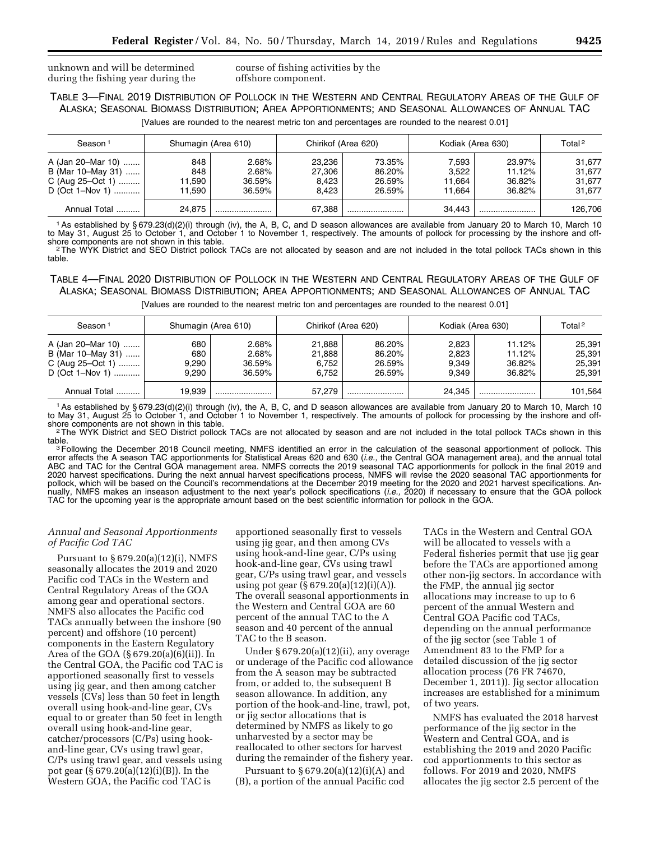unknown and will be determined during the fishing year during the course of fishing activities by the offshore component.

TABLE 3—FINAL 2019 DISTRIBUTION OF POLLOCK IN THE WESTERN AND CENTRAL REGULATORY AREAS OF THE GULF OF ALASKA; SEASONAL BIOMASS DISTRIBUTION; AREA APPORTIONMENTS; AND SEASONAL ALLOWANCES OF ANNUAL TAC

[Values are rounded to the nearest metric ton and percentages are rounded to the nearest 0.01]

| Season <sup>1</sup>                                                               |                                | Shumagin (Area 610)                |                                    | Chirikof (Area 620)                  |                                    | Kodiak (Area 630)                    | Total <sup>2</sup>                   |
|-----------------------------------------------------------------------------------|--------------------------------|------------------------------------|------------------------------------|--------------------------------------|------------------------------------|--------------------------------------|--------------------------------------|
| A (Jan 20–Mar 10)<br>B (Mar 10–May 31)<br>C (Aug $25 - Oct 1)$<br>D (Oct 1–Nov 1) | 848<br>848<br>11.590<br>11.590 | 2.68%<br>2.68%<br>36.59%<br>36.59% | 23.236<br>27.306<br>8.423<br>8.423 | 73.35%<br>86.20%<br>26.59%<br>26.59% | 7.593<br>3,522<br>11.664<br>11.664 | 23.97%<br>11.12%<br>36.82%<br>36.82% | 31.677<br>31.677<br>31.677<br>31.677 |
| Annual Total                                                                      | 24.875                         |                                    | 67.388                             |                                      | 34.443                             |                                      | 126,706                              |

<sup>1</sup>As established by § 679.23(d)(2)(i) through (iv), the A, B, C, and D season allowances are available from January 20 to March 10, March 10 to May 31, August 25 to October 1, and October 1 to November 1, respectively. The amounts of pollock for processing by the inshore and off-<br>shore components are not shown in this table.

are components are not shown in the tracte. 2The MCS are not allocated by season and are not included in the total pollock TACs shown in this <sup>2</sup>The WYK District and SEO District pollock TACs shown in this table.

TABLE 4—FINAL 2020 DISTRIBUTION OF POLLOCK IN THE WESTERN AND CENTRAL REGULATORY AREAS OF THE GULF OF ALASKA; SEASONAL BIOMASS DISTRIBUTION; AREA APPORTIONMENTS; AND SEASONAL ALLOWANCES OF ANNUAL TAC

[Values are rounded to the nearest metric ton and percentages are rounded to the nearest 0.01]

| Season <sup>1</sup>                                                           |                              | Shumagin (Area 610)                |                                    | Chirikof (Area 620)                  |                                  | Kodiak (Area 630)                    | Total <sup>2</sup>                   |
|-------------------------------------------------------------------------------|------------------------------|------------------------------------|------------------------------------|--------------------------------------|----------------------------------|--------------------------------------|--------------------------------------|
| A (Jan 20–Mar 10)<br>B (Mar 10–May 31)<br>C (Aug 25–Oct 1)<br>D (Oct 1–Nov 1) | 680<br>680<br>9.290<br>9.290 | 2.68%<br>2.68%<br>36.59%<br>36.59% | 21.888<br>21.888<br>6.752<br>6.752 | 86.20%<br>86.20%<br>26.59%<br>26.59% | 2.823<br>2.823<br>9.349<br>9.349 | 11.12%<br>11.12%<br>36.82%<br>36.82% | 25.391<br>25.391<br>25.391<br>25.391 |
| Annual Total                                                                  | 19.939                       |                                    | 57.279                             |                                      | 24.345                           |                                      | 101,564                              |

1As established by § 679.23(d)(2)(i) through (iv), the A, B, C, and D season allowances are available from January 20 to March 10, March 10 to May 31, August 25 to October 1, and October 1 to November 1, respectively. The amounts of pollock for processing by the inshore and off-

shore components are not shown in this table.<br><sup>2</sup>The WYK District and SEO District pollock TACs are not allocated by season and are not included in the total pollock TACs shown in this<br>table.

table.<br><sup>3</sup>Following the December 2018 Council meeting, NMFS identified an error in the calculation of the seasonal apportionment of pollock. This error affects the A season TAC apportionments for Statistical Areas 620 and 630 (*i.e.,* the Central GOA management area), and the annual total ABC and TAC for the Central GOA management area. NMFS corrects the 2019 seasonal TAC apportionments for pollock in the final 2019 and 2020 harvest specifications. During the next annual harvest specifications process, NMFS will revise the 2020 seasonal TAC apportionments for pollock, which will be based on the Council's recommendations at the December 2019 meeting for the 2020 and 2021 harvest specifications. Annually, NMFS makes an inseason adjustment to the next year's pollock specifications (*i.e.,* 2020) if necessary to ensure that the GOA pollock TAC for the upcoming year is the appropriate amount based on the best scientific information for pollock in the GOA.

#### *Annual and Seasonal Apportionments of Pacific Cod TAC*

Pursuant to § 679.20(a)(12)(i), NMFS seasonally allocates the 2019 and 2020 Pacific cod TACs in the Western and Central Regulatory Areas of the GOA among gear and operational sectors. NMFS also allocates the Pacific cod TACs annually between the inshore (90 percent) and offshore (10 percent) components in the Eastern Regulatory Area of the GOA (§ 679.20(a)(6)(ii)). In the Central GOA, the Pacific cod TAC is apportioned seasonally first to vessels using jig gear, and then among catcher vessels (CVs) less than 50 feet in length overall using hook-and-line gear, CVs equal to or greater than 50 feet in length overall using hook-and-line gear, catcher/processors (C/Ps) using hookand-line gear, CVs using trawl gear, C/Ps using trawl gear, and vessels using pot gear (§ 679.20(a)(12)(i)(B)). In the Western GOA, the Pacific cod TAC is

apportioned seasonally first to vessels using jig gear, and then among CVs using hook-and-line gear, C/Ps using hook-and-line gear, CVs using trawl gear, C/Ps using trawl gear, and vessels using pot gear  $(S 679.20(a)(12)(i)(A)).$ The overall seasonal apportionments in the Western and Central GOA are 60 percent of the annual TAC to the A season and 40 percent of the annual TAC to the B season.

Under § 679.20(a)(12)(ii), any overage or underage of the Pacific cod allowance from the A season may be subtracted from, or added to, the subsequent B season allowance. In addition, any portion of the hook-and-line, trawl, pot, or jig sector allocations that is determined by NMFS as likely to go unharvested by a sector may be reallocated to other sectors for harvest during the remainder of the fishery year.

Pursuant to  $\S 679.20(a)(12)(i)(A)$  and (B), a portion of the annual Pacific cod

TACs in the Western and Central GOA will be allocated to vessels with a Federal fisheries permit that use jig gear before the TACs are apportioned among other non-jig sectors. In accordance with the FMP, the annual jig sector allocations may increase to up to 6 percent of the annual Western and Central GOA Pacific cod TACs, depending on the annual performance of the jig sector (see Table 1 of Amendment 83 to the FMP for a detailed discussion of the jig sector allocation process (76 FR 74670, December 1, 2011)). Jig sector allocation increases are established for a minimum of two years.

NMFS has evaluated the 2018 harvest performance of the jig sector in the Western and Central GOA, and is establishing the 2019 and 2020 Pacific cod apportionments to this sector as follows. For 2019 and 2020, NMFS allocates the jig sector 2.5 percent of the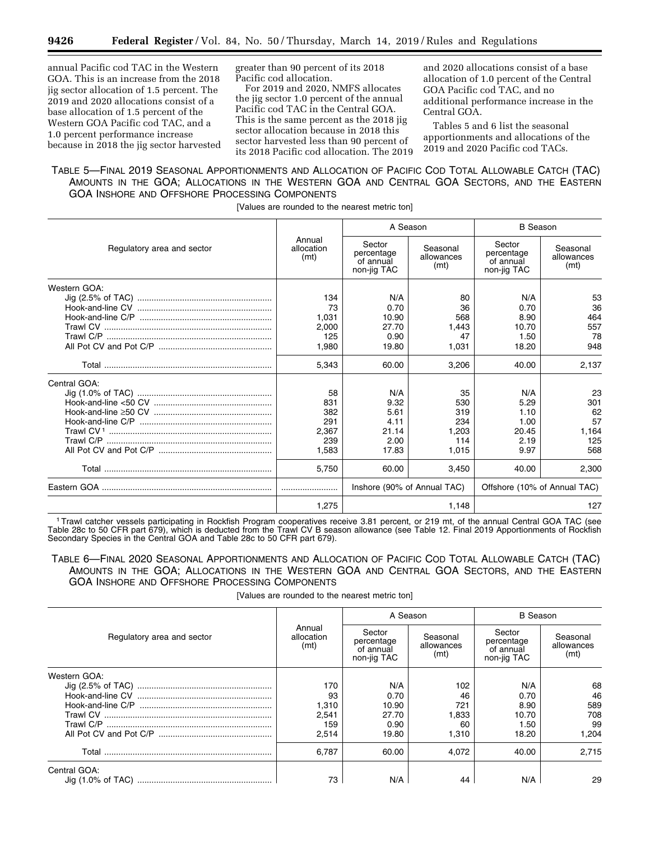annual Pacific cod TAC in the Western GOA. This is an increase from the 2018 jig sector allocation of 1.5 percent. The 2019 and 2020 allocations consist of a base allocation of 1.5 percent of the Western GOA Pacific cod TAC, and a 1.0 percent performance increase because in 2018 the jig sector harvested greater than 90 percent of its 2018 Pacific cod allocation.

For 2019 and 2020, NMFS allocates the jig sector 1.0 percent of the annual Pacific cod TAC in the Central GOA. This is the same percent as the 2018 jig sector allocation because in 2018 this sector harvested less than 90 percent of its 2018 Pacific cod allocation. The 2019 and 2020 allocations consist of a base allocation of 1.0 percent of the Central GOA Pacific cod TAC, and no additional performance increase in the Central GOA.

Tables 5 and 6 list the seasonal apportionments and allocations of the 2019 and 2020 Pacific cod TACs.

# TABLE 5—FINAL 2019 SEASONAL APPORTIONMENTS AND ALLOCATION OF PACIFIC COD TOTAL ALLOWABLE CATCH (TAC) AMOUNTS IN THE GOA; ALLOCATIONS IN THE WESTERN GOA AND CENTRAL GOA SECTORS, AND THE EASTERN GOA INSHORE AND OFFSHORE PROCESSING COMPONENTS

[Values are rounded to the nearest metric ton]

|                            |                              | A Season                                         |                                | <b>B</b> Season                                  |                                |  |
|----------------------------|------------------------------|--------------------------------------------------|--------------------------------|--------------------------------------------------|--------------------------------|--|
| Regulatory area and sector | Annual<br>allocation<br>(mt) | Sector<br>percentage<br>of annual<br>non-jig TAC | Seasonal<br>allowances<br>(mt) | Sector<br>percentage<br>of annual<br>non-jig TAC | Seasonal<br>allowances<br>(mt) |  |
| Western GOA:               |                              |                                                  |                                |                                                  |                                |  |
|                            | 134                          | N/A                                              | 80                             | N/A                                              | 53                             |  |
|                            | 73                           | 0.70                                             | 36                             | 0.70                                             | 36                             |  |
|                            | 1.031                        | 10.90                                            | 568                            | 8.90                                             | 464                            |  |
|                            | 2.000                        | 27.70                                            | 1.443                          | 10.70                                            | 557                            |  |
|                            | 125                          | 0.90                                             | 47                             | 1.50                                             | 78                             |  |
|                            | 1.980                        | 19.80                                            | 1.031                          | 18.20                                            | 948                            |  |
|                            | 5,343                        | 60.00                                            | 3,206                          | 40.00                                            | 2,137                          |  |
| Central GOA:               |                              |                                                  |                                |                                                  |                                |  |
|                            | 58                           | N/A                                              | 35                             | N/A                                              | 23                             |  |
|                            | 831                          | 9.32                                             | 530                            | 5.29                                             | 301                            |  |
|                            | 382                          | 5.61                                             | 319                            | 1.10                                             | 62                             |  |
|                            | 291                          | 4.11                                             | 234                            | 1.00                                             | 57                             |  |
|                            | 2,367                        | 21.14                                            | 1,203                          | 20.45                                            | 1,164                          |  |
|                            | 239                          | 2.00                                             | 114                            | 2.19                                             | 125                            |  |
|                            | 1.583                        | 17.83                                            | 1.015                          | 9.97                                             | 568                            |  |
|                            | 5,750                        | 60.00                                            | 3.450                          | 40.00                                            | 2,300                          |  |
|                            |                              | Inshore (90% of Annual TAC)                      |                                | Offshore (10% of Annual TAC)                     |                                |  |
|                            | 1,275                        |                                                  | 1,148                          |                                                  | 127                            |  |

1Trawl catcher vessels participating in Rockfish Program cooperatives receive 3.81 percent, or 219 mt, of the annual Central GOA TAC (see Table 28c to 50 CFR part 679), which is deducted from the Trawl CV B season allowance (see Table 12. Final 2019 Apportionments of Rockfish Secondary Species in the Central GOA and Table 28c to 50 CFR part 679).

TABLE 6—FINAL 2020 SEASONAL APPORTIONMENTS AND ALLOCATION OF PACIFIC COD TOTAL ALLOWABLE CATCH (TAC) AMOUNTS IN THE GOA; ALLOCATIONS IN THE WESTERN GOA AND CENTRAL GOA SECTORS, AND THE EASTERN GOA INSHORE AND OFFSHORE PROCESSING COMPONENTS

[Values are rounded to the nearest metric ton]

|                            |                              |                                                  | A Season                       | <b>B</b> Season                                  |                                |  |
|----------------------------|------------------------------|--------------------------------------------------|--------------------------------|--------------------------------------------------|--------------------------------|--|
| Regulatory area and sector | Annual<br>allocation<br>(mt) | Sector<br>percentage<br>of annual<br>non-jig TAC | Seasonal<br>allowances<br>(mt) | Sector<br>percentage<br>of annual<br>non-jig TAC | Seasonal<br>allowances<br>(mt) |  |
| Western GOA:               |                              |                                                  |                                |                                                  |                                |  |
|                            | 170                          | N/A                                              | 102                            | N/A                                              | 68                             |  |
|                            | 93                           | 0.70                                             | 46                             | 0.70                                             | 46                             |  |
|                            | 1,310                        | 10.90                                            | 721                            | 8.90                                             | 589                            |  |
|                            | 2,541                        | 27.70                                            | 1.833                          | 10.70                                            | 708                            |  |
|                            | 159                          | 0.90                                             | 60                             | 1.50                                             | 99                             |  |
|                            | 2.514                        | 19.80                                            | 1.310                          | 18.20                                            | 1.204                          |  |
|                            | 6.787                        | 60.00                                            | 4.072                          | 40.00                                            | 2.715                          |  |
| Central GOA:               |                              |                                                  |                                |                                                  |                                |  |
|                            | 73                           | N/A                                              | 44                             | N/A                                              | 29                             |  |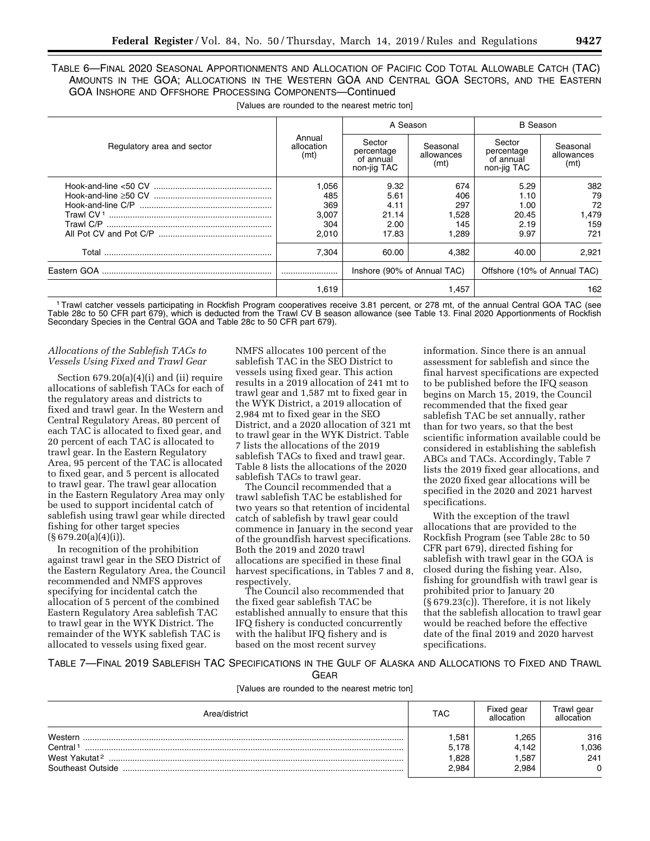TABLE 6—FINAL 2020 SEASONAL APPORTIONMENTS AND ALLOCATION OF PACIFIC COD TOTAL ALLOWABLE CATCH (TAC) AMOUNTS IN THE GOA; ALLOCATIONS IN THE WESTERN GOA AND CENTRAL GOA SECTORS, AND THE EASTERN GOA INSHORE AND OFFSHORE PROCESSING COMPONENTS—Continued

|                            |                              | A Season                                                    |                                | <b>B</b> Season                                  |                                |  |
|----------------------------|------------------------------|-------------------------------------------------------------|--------------------------------|--------------------------------------------------|--------------------------------|--|
| Regulatory area and sector | Annual<br>allocation<br>(mt) | Sector<br>percentage<br>of annual<br>non-jig TAC            | Seasonal<br>allowances<br>(mt) | Sector<br>percentage<br>of annual<br>non-jig TAC | Seasonal<br>allowances<br>(mt) |  |
|                            | .056                         | 9.32                                                        | 674                            | 5.29                                             | 382                            |  |
|                            | 485                          | 5.61                                                        | 406                            | 1.10                                             | 79                             |  |
|                            | 369                          | 4.11                                                        | 297                            | 1.00                                             | 72                             |  |
|                            | 3.007                        | 21.14                                                       | 1.528                          | 20.45                                            | 1.479                          |  |
|                            | 304                          | 2.00                                                        | 145                            | 2.19                                             | 159                            |  |
|                            | 2.010                        | 17.83                                                       | l.289                          | 9.97                                             | 721                            |  |
|                            | 7.304                        | 60.00                                                       | 4.382                          | 40.00                                            | 2.921                          |  |
|                            |                              | Offshore (10% of Annual TAC)<br>Inshore (90% of Annual TAC) |                                |                                                  |                                |  |
|                            | 1.619                        |                                                             | 1.457                          |                                                  | 162                            |  |

[Values are rounded to the nearest metric ton]

1Trawl catcher vessels participating in Rockfish Program cooperatives receive 3.81 percent, or 278 mt, of the annual Central GOA TAC (see Table 28c to 50 CFR part 679), which is deducted from the Trawl CV B season allowance (see Table 13. Final 2020 Apportionments of Rockfish Secondary Species in the Central GOA and Table 28c to 50 CFR part 679).

#### *Allocations of the Sablefish TACs to Vessels Using Fixed and Trawl Gear*

Section 679.20(a)(4)(i) and (ii) require allocations of sablefish TACs for each of the regulatory areas and districts to fixed and trawl gear. In the Western and Central Regulatory Areas, 80 percent of each TAC is allocated to fixed gear, and 20 percent of each TAC is allocated to trawl gear. In the Eastern Regulatory Area, 95 percent of the TAC is allocated to fixed gear, and 5 percent is allocated to trawl gear. The trawl gear allocation in the Eastern Regulatory Area may only be used to support incidental catch of sablefish using trawl gear while directed fishing for other target species  $(S 679.20(a)(4)(i)).$ 

In recognition of the prohibition against trawl gear in the SEO District of the Eastern Regulatory Area, the Council recommended and NMFS approves specifying for incidental catch the allocation of 5 percent of the combined Eastern Regulatory Area sablefish TAC to trawl gear in the WYK District. The remainder of the WYK sablefish TAC is allocated to vessels using fixed gear.

NMFS allocates 100 percent of the sablefish TAC in the SEO District to vessels using fixed gear. This action results in a 2019 allocation of 241 mt to trawl gear and 1,587 mt to fixed gear in the WYK District, a 2019 allocation of 2,984 mt to fixed gear in the SEO District, and a 2020 allocation of 321 mt to trawl gear in the WYK District. Table 7 lists the allocations of the 2019 sablefish TACs to fixed and trawl gear. Table 8 lists the allocations of the 2020 sablefish TACs to trawl gear.

The Council recommended that a trawl sablefish TAC be established for two years so that retention of incidental catch of sablefish by trawl gear could commence in January in the second year of the groundfish harvest specifications. Both the 2019 and 2020 trawl allocations are specified in these final harvest specifications, in Tables 7 and 8, respectively.

The Council also recommended that the fixed gear sablefish TAC be established annually to ensure that this IFQ fishery is conducted concurrently with the halibut IFQ fishery and is based on the most recent survey

information. Since there is an annual assessment for sablefish and since the final harvest specifications are expected to be published before the IFQ season begins on March 15, 2019, the Council recommended that the fixed gear sablefish TAC be set annually, rather than for two years, so that the best scientific information available could be considered in establishing the sablefish ABCs and TACs. Accordingly, Table 7 lists the 2019 fixed gear allocations, and the 2020 fixed gear allocations will be specified in the 2020 and 2021 harvest specifications.

With the exception of the trawl allocations that are provided to the Rockfish Program (see Table 28c to 50 CFR part 679), directed fishing for sablefish with trawl gear in the GOA is closed during the fishing year. Also, fishing for groundfish with trawl gear is prohibited prior to January 20 (§ 679.23(c)). Therefore, it is not likely that the sablefish allocation to trawl gear would be reached before the effective date of the final 2019 and 2020 harvest specifications.

TABLE 7—FINAL 2019 SABLEFISH TAC SPECIFICATIONS IN THE GULF OF ALASKA AND ALLOCATIONS TO FIXED AND TRAWL

GEAR

[Values are rounded to the nearest metric ton]

| Area/district                                                                     | TAC                            | Fixed gear<br>allocation       | Frawl gear<br>allocation       |
|-----------------------------------------------------------------------------------|--------------------------------|--------------------------------|--------------------------------|
| Western<br>Central <sup>1</sup><br>West Yakutat <sup>2</sup><br>Southeast Outside | .581<br>5,178<br>.828<br>2.984 | .265<br>4.142<br>.587<br>2,984 | 316<br>,036<br>241<br>$\Omega$ |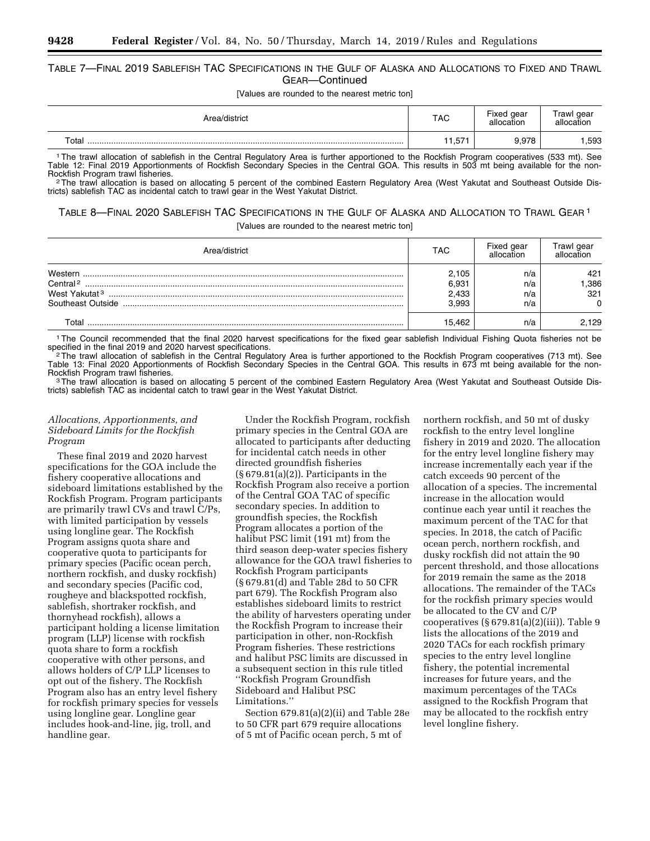## TABLE 7—FINAL 2019 SABLEFISH TAC SPECIFICATIONS IN THE GULF OF ALASKA AND ALLOCATIONS TO FIXED AND TRAWL GEAR—Continued

[Values are rounded to the nearest metric ton]

| Area/district | <b>TAC</b>    | Fixed gear<br>allocation | Trawl gear<br>allocation |
|---------------|---------------|--------------------------|--------------------------|
| Total         | $-$<br>h<br>. | 9,978                    | .593                     |

1The trawl allocation of sablefish in the Central Regulatory Area is further apportioned to the Rockfish Program cooperatives (533 mt). See Table 12: Final 2019 Apportionments of Rockfish Secondary Species in the Central GOA. This results in 503 mt being available for the non-<br>Rockfish Program trawl fisheries.

<sup>2</sup>The trawl allocation is based on allocating 5 percent of the combined Eastern Regulatory Area (West Yakutat and Southeast Outside Districts) sablefish TAC as incidental catch to trawl gear in the West Yakutat District.

TABLE 8—FINAL 2020 SABLEFISH TAC SPECIFICATIONS IN THE GULF OF ALASKA AND ALLOCATION TO TRAWL GEAR 1 [Values are rounded to the nearest metric ton]

| ∖rea/district                                                                     | TAC                              | Fixed gear               | rawl gear<br>allocation        |
|-----------------------------------------------------------------------------------|----------------------------------|--------------------------|--------------------------------|
| Western<br>Central <sup>2</sup><br>West Yakutat <sup>3</sup><br>Southeast Outside | 2.105<br>6,931<br>2,433<br>3.993 | n/a<br>n/a<br>n/a<br>n/a | 421<br>.386<br>321<br>$\Omega$ |
| Г∩tal                                                                             | 15.462                           | n/a                      | 2.129                          |

<sup>1</sup>The Council recommended that the final 2020 harvest specifications for the fixed gear sablefish Individual Fishing Quota fisheries not be specified in the final 2019 and 2020 harvest specifications. specified in the final 2019 and 2020 harvest specifications.<br><sup>2</sup>The trawl allocation of sablefish in the Central Regulatory Area is further apportioned to the Rockfish Program cooperatives (713 mt). See

Table 13: Final 2020 Apportionments of Rockfish Secondary Species in the Central GOA. This results in 673 mt being available for the non-Rockfish Program trawl fisheries.<br>3The trawl allocation is based on allocating 5 percent of the combined Eastern Regulatory Area (West Yakutat and Southeast Outside Dis-

tricts) sablefish TAC as incidental catch to trawl gear in the West Yakutat District.

#### *Allocations, Apportionments, and Sideboard Limits for the Rockfish Program*

These final 2019 and 2020 harvest specifications for the GOA include the fishery cooperative allocations and sideboard limitations established by the Rockfish Program. Program participants are primarily trawl CVs and trawl C/Ps, with limited participation by vessels using longline gear. The Rockfish Program assigns quota share and cooperative quota to participants for primary species (Pacific ocean perch, northern rockfish, and dusky rockfish) and secondary species (Pacific cod, rougheye and blackspotted rockfish, sablefish, shortraker rockfish, and thornyhead rockfish), allows a participant holding a license limitation program (LLP) license with rockfish quota share to form a rockfish cooperative with other persons, and allows holders of C/P LLP licenses to opt out of the fishery. The Rockfish Program also has an entry level fishery for rockfish primary species for vessels using longline gear. Longline gear includes hook-and-line, jig, troll, and handline gear.

Under the Rockfish Program, rockfish primary species in the Central GOA are allocated to participants after deducting for incidental catch needs in other directed groundfish fisheries (§ 679.81(a)(2)). Participants in the Rockfish Program also receive a portion of the Central GOA TAC of specific secondary species. In addition to groundfish species, the Rockfish Program allocates a portion of the halibut PSC limit (191 mt) from the third season deep-water species fishery allowance for the GOA trawl fisheries to Rockfish Program participants (§ 679.81(d) and Table 28d to 50 CFR part 679). The Rockfish Program also establishes sideboard limits to restrict the ability of harvesters operating under the Rockfish Program to increase their participation in other, non-Rockfish Program fisheries. These restrictions and halibut PSC limits are discussed in a subsequent section in this rule titled ''Rockfish Program Groundfish Sideboard and Halibut PSC Limitations.''

Section 679.81(a)(2)(ii) and Table 28e to 50 CFR part 679 require allocations of 5 mt of Pacific ocean perch, 5 mt of

northern rockfish, and 50 mt of dusky rockfish to the entry level longline fishery in 2019 and 2020. The allocation for the entry level longline fishery may increase incrementally each year if the catch exceeds 90 percent of the allocation of a species. The incremental increase in the allocation would continue each year until it reaches the maximum percent of the TAC for that species. In 2018, the catch of Pacific ocean perch, northern rockfish, and dusky rockfish did not attain the 90 percent threshold, and those allocations for 2019 remain the same as the 2018 allocations. The remainder of the TACs for the rockfish primary species would be allocated to the CV and C/P cooperatives  $(\S 679.81(a)(2)(iii))$ . Table 9 lists the allocations of the 2019 and 2020 TACs for each rockfish primary species to the entry level longline fishery, the potential incremental increases for future years, and the maximum percentages of the TACs assigned to the Rockfish Program that may be allocated to the rockfish entry level longline fishery.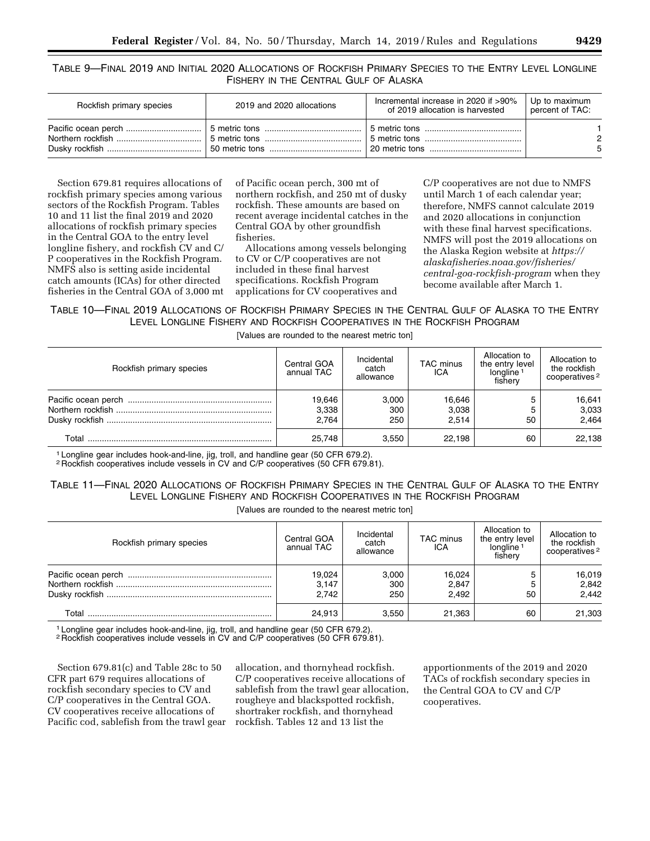TABLE 9—FINAL 2019 AND INITIAL 2020 ALLOCATIONS OF ROCKFISH PRIMARY SPECIES TO THE ENTRY LEVEL LONGLINE FISHERY IN THE CENTRAL GULF OF ALASKA

| Rockfish primary species | 2019 and 2020 allocations | Incremental increase in 2020 if >90%<br>of 2019 allocation is harvested | Up to maximum<br>percent of TAC: |
|--------------------------|---------------------------|-------------------------------------------------------------------------|----------------------------------|
|                          |                           |                                                                         | ◠<br>-5                          |

Section 679.81 requires allocations of rockfish primary species among various sectors of the Rockfish Program. Tables 10 and 11 list the final 2019 and 2020 allocations of rockfish primary species in the Central GOA to the entry level longline fishery, and rockfish CV and C/ P cooperatives in the Rockfish Program. NMFS also is setting aside incidental catch amounts (ICAs) for other directed fisheries in the Central GOA of 3,000 mt

of Pacific ocean perch, 300 mt of northern rockfish, and 250 mt of dusky rockfish. These amounts are based on recent average incidental catches in the Central GOA by other groundfish fisheries.

Allocations among vessels belonging to CV or C/P cooperatives are not included in these final harvest specifications. Rockfish Program applications for CV cooperatives and

C/P cooperatives are not due to NMFS until March 1 of each calendar year; therefore, NMFS cannot calculate 2019 and 2020 allocations in conjunction with these final harvest specifications. NMFS will post the 2019 allocations on the Alaska Region website at *[https://](https://alaskafisheries.noaa.gov/fisheries/central-goa-rockfish-program) [alaskafisheries.noaa.gov/fisheries/](https://alaskafisheries.noaa.gov/fisheries/central-goa-rockfish-program)  [central-goa-rockfish-program](https://alaskafisheries.noaa.gov/fisheries/central-goa-rockfish-program)* when they become available after March 1.

# TABLE 10—FINAL 2019 ALLOCATIONS OF ROCKFISH PRIMARY SPECIES IN THE CENTRAL GULF OF ALASKA TO THE ENTRY LEVEL LONGLINE FISHERY AND ROCKFISH COOPERATIVES IN THE ROCKFISH PROGRAM

[Values are rounded to the nearest metric ton]

| Rockfish primary species | Central GOA<br>annual TAC | Incidental<br>catch<br>allowance | <b>TAC</b> minus<br>ICA  | Allocation to<br>the entry level<br>longline <sup>1</sup><br>fishery | Allocation to<br>the rockfish<br>cooperatives <sup>2</sup> |
|--------------------------|---------------------------|----------------------------------|--------------------------|----------------------------------------------------------------------|------------------------------------------------------------|
|                          | 19,646<br>3,338<br>2.764  | 3.000<br>300<br>250              | 16,646<br>3,038<br>2.514 | 50                                                                   | 16,641<br>3,033<br>2,464                                   |
| Total                    | 25.748                    | 3.550                            | 22.198                   | 60                                                                   | 22,138                                                     |

1 Longline gear includes hook-and-line, jig, troll, and handline gear (50 CFR 679.2).

2 Rockfish cooperatives include vessels in CV and C/P cooperatives (50 CFR 679.81).

# TABLE 11—FINAL 2020 ALLOCATIONS OF ROCKFISH PRIMARY SPECIES IN THE CENTRAL GULF OF ALASKA TO THE ENTRY LEVEL LONGLINE FISHERY AND ROCKFISH COOPERATIVES IN THE ROCKFISH PROGRAM

[Values are rounded to the nearest metric ton]

| Rockfish primary species | Central GOA<br>annual TAC | Incidental<br>catch<br>allowance | <b>TAC</b> minus<br>ICA | Allocation to<br>the entry level<br>longline <sup>1</sup><br>fishery | Allocation to<br>the rockfish<br>cooperatives <sup>2</sup> |
|--------------------------|---------------------------|----------------------------------|-------------------------|----------------------------------------------------------------------|------------------------------------------------------------|
|                          | 19,024                    | 3,000                            | 16,024                  |                                                                      | 16,019                                                     |
|                          | 3,147                     | 300                              | 2,847                   |                                                                      | 2,842                                                      |
|                          | 2.742                     | 250                              | 2.492                   | 50                                                                   | 2,442                                                      |
| Total                    | 24.913                    | 3.550                            | 21,363                  | 60                                                                   | 21,303                                                     |

1 Longline gear includes hook-and-line, jig, troll, and handline gear (50 CFR 679.2).

2 Rockfish cooperatives include vessels in CV and C/P cooperatives (50 CFR 679.81).

Section 679.81(c) and Table 28c to 50 CFR part 679 requires allocations of rockfish secondary species to CV and C/P cooperatives in the Central GOA. CV cooperatives receive allocations of Pacific cod, sablefish from the trawl gear

allocation, and thornyhead rockfish. C/P cooperatives receive allocations of sablefish from the trawl gear allocation, rougheye and blackspotted rockfish, shortraker rockfish, and thornyhead rockfish. Tables 12 and 13 list the

apportionments of the 2019 and 2020 TACs of rockfish secondary species in the Central GOA to CV and C/P cooperatives.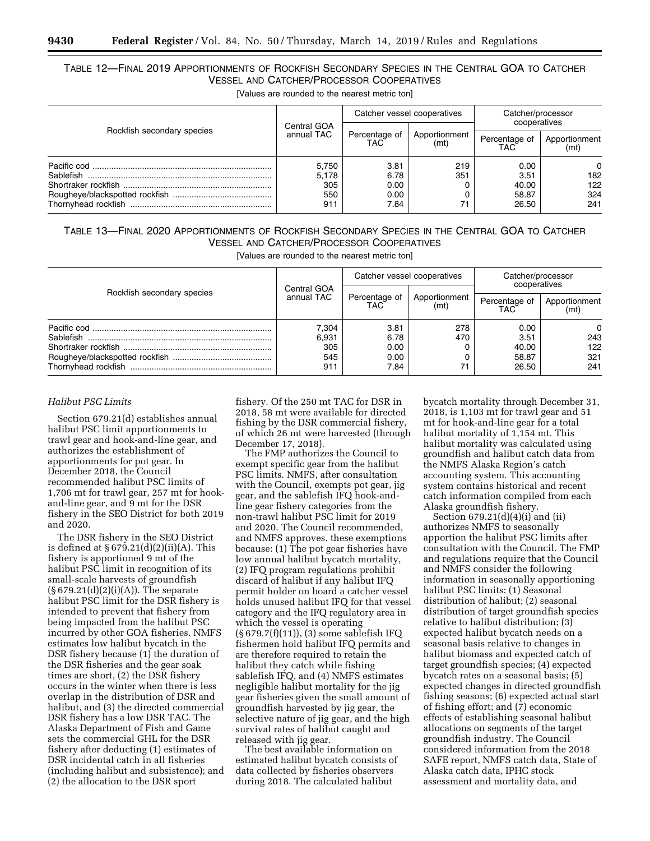# TABLE 12—FINAL 2019 APPORTIONMENTS OF ROCKFISH SECONDARY SPECIES IN THE CENTRAL GOA TO CATCHER VESSEL AND CATCHER/PROCESSOR COOPERATIVES

[Values are rounded to the nearest metric ton]

|                            |                                     |                                      | Catcher vessel cooperatives | Catcher/processor<br>cooperatives<br>Percentage of<br>Apportionment<br>TAC <sup>-</sup><br>(mt' |                               |
|----------------------------|-------------------------------------|--------------------------------------|-----------------------------|-------------------------------------------------------------------------------------------------|-------------------------------|
| Rockfish secondary species | Central GOA<br>annual TAC           | Percentage of<br>TAC <sup>-</sup>    | Apportionment<br>(mt)       |                                                                                                 |                               |
|                            | 5,750<br>5,178<br>305<br>550<br>911 | 3.81<br>6.78<br>0.00<br>0.00<br>7.84 | 219<br>351                  | 0.00<br>3.51<br>40.00<br>58.87<br>26.50                                                         | 0<br>182<br>122<br>324<br>241 |

# TABLE 13—FINAL 2020 APPORTIONMENTS OF ROCKFISH SECONDARY SPECIES IN THE CENTRAL GOA TO CATCHER VESSEL AND CATCHER/PROCESSOR COOPERATIVES

[Values are rounded to the nearest metric ton]

| Rockfish secondary species | Central GOA                         | Catcher vessel cooperatives          |                       | Catcher/processor<br>cooperatives       |                               |
|----------------------------|-------------------------------------|--------------------------------------|-----------------------|-----------------------------------------|-------------------------------|
|                            | annual TAC                          | Percentage of<br>TAC                 | Apportionment<br>(mt) | Percentage of<br>TAC                    | Apportionment<br>(mt)         |
|                            | 7.304<br>6.931<br>305<br>545<br>911 | 3.81<br>6.78<br>0.00<br>0.00<br>7.84 | 278<br>470<br>71      | 0.00<br>3.51<br>40.00<br>58.87<br>26.50 | 0<br>243<br>122<br>321<br>241 |

#### *Halibut PSC Limits*

Section 679.21(d) establishes annual halibut PSC limit apportionments to trawl gear and hook-and-line gear, and authorizes the establishment of apportionments for pot gear. In December 2018, the Council recommended halibut PSC limits of 1,706 mt for trawl gear, 257 mt for hookand-line gear, and 9 mt for the DSR fishery in the SEO District for both 2019 and 2020.

The DSR fishery in the SEO District is defined at § 679.21(d)(2)(ii)(A). This fishery is apportioned 9 mt of the halibut PSC limit in recognition of its small-scale harvests of groundfish (§ 679.21(d)(2)(i)(A)). The separate halibut PSC limit for the DSR fishery is intended to prevent that fishery from being impacted from the halibut PSC incurred by other GOA fisheries. NMFS estimates low halibut bycatch in the DSR fishery because (1) the duration of the DSR fisheries and the gear soak times are short, (2) the DSR fishery occurs in the winter when there is less overlap in the distribution of DSR and halibut, and (3) the directed commercial DSR fishery has a low DSR TAC. The Alaska Department of Fish and Game sets the commercial GHL for the DSR fishery after deducting (1) estimates of DSR incidental catch in all fisheries (including halibut and subsistence); and (2) the allocation to the DSR sport

fishery. Of the 250 mt TAC for DSR in 2018, 58 mt were available for directed fishing by the DSR commercial fishery, of which 26 mt were harvested (through December 17, 2018).

The FMP authorizes the Council to exempt specific gear from the halibut PSC limits. NMFS, after consultation with the Council, exempts pot gear, jig gear, and the sablefish IFQ hook-andline gear fishery categories from the non-trawl halibut PSC limit for 2019 and 2020. The Council recommended, and NMFS approves, these exemptions because: (1) The pot gear fisheries have low annual halibut bycatch mortality, (2) IFQ program regulations prohibit discard of halibut if any halibut IFQ permit holder on board a catcher vessel holds unused halibut IFQ for that vessel category and the IFQ regulatory area in which the vessel is operating (§ 679.7(f)(11)), (3) some sablefish IFQ fishermen hold halibut IFQ permits and are therefore required to retain the halibut they catch while fishing sablefish IFQ, and (4) NMFS estimates negligible halibut mortality for the jig gear fisheries given the small amount of groundfish harvested by jig gear, the selective nature of jig gear, and the high survival rates of halibut caught and released with jig gear.

The best available information on estimated halibut bycatch consists of data collected by fisheries observers during 2018. The calculated halibut

bycatch mortality through December 31, 2018, is 1,103 mt for trawl gear and 51 mt for hook-and-line gear for a total halibut mortality of 1,154 mt. This halibut mortality was calculated using groundfish and halibut catch data from the NMFS Alaska Region's catch accounting system. This accounting system contains historical and recent catch information compiled from each Alaska groundfish fishery.

Section 679.21(d)(4)(i) and (ii) authorizes NMFS to seasonally apportion the halibut PSC limits after consultation with the Council. The FMP and regulations require that the Council and NMFS consider the following information in seasonally apportioning halibut PSC limits: (1) Seasonal distribution of halibut; (2) seasonal distribution of target groundfish species relative to halibut distribution; (3) expected halibut bycatch needs on a seasonal basis relative to changes in halibut biomass and expected catch of target groundfish species; (4) expected bycatch rates on a seasonal basis; (5) expected changes in directed groundfish fishing seasons; (6) expected actual start of fishing effort; and (7) economic effects of establishing seasonal halibut allocations on segments of the target groundfish industry. The Council considered information from the 2018 SAFE report, NMFS catch data, State of Alaska catch data, IPHC stock assessment and mortality data, and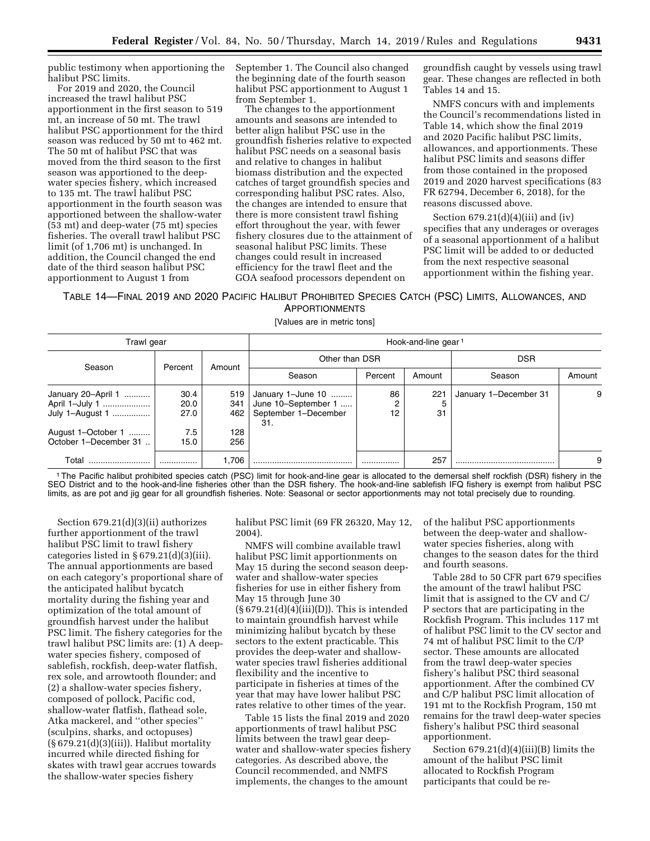public testimony when apportioning the halibut PSC limits.

For 2019 and 2020, the Council increased the trawl halibut PSC apportionment in the first season to 519 mt, an increase of 50 mt. The trawl halibut PSC apportionment for the third season was reduced by 50 mt to 462 mt. The 50 mt of halibut PSC that was moved from the third season to the first season was apportioned to the deepwater species fishery, which increased to 135 mt. The trawl halibut PSC apportionment in the fourth season was apportioned between the shallow-water (53 mt) and deep-water (75 mt) species fisheries. The overall trawl halibut PSC limit (of 1,706 mt) is unchanged. In addition, the Council changed the end date of the third season halibut PSC apportionment to August 1 from

September 1. The Council also changed the beginning date of the fourth season halibut PSC apportionment to August 1 from September 1.

The changes to the apportionment amounts and seasons are intended to better align halibut PSC use in the groundfish fisheries relative to expected halibut PSC needs on a seasonal basis and relative to changes in halibut biomass distribution and the expected catches of target groundfish species and corresponding halibut PSC rates. Also, the changes are intended to ensure that there is more consistent trawl fishing effort throughout the year, with fewer fishery closures due to the attainment of seasonal halibut PSC limits. These changes could result in increased efficiency for the trawl fleet and the GOA seafood processors dependent on

groundfish caught by vessels using trawl gear. These changes are reflected in both Tables 14 and 15.

NMFS concurs with and implements the Council's recommendations listed in Table 14, which show the final 2019 and 2020 Pacific halibut PSC limits, allowances, and apportionments. These halibut PSC limits and seasons differ from those contained in the proposed 2019 and 2020 harvest specifications (83 FR 62794, December 6, 2018), for the reasons discussed above.

Section  $679.21(d)(4)(iii)$  and  $(iv)$ specifies that any underages or overages of a seasonal apportionment of a halibut PSC limit will be added to or deducted from the next respective seasonal apportionment within the fishing year.

#### TABLE 14—FINAL 2019 AND 2020 PACIFIC HALIBUT PROHIBITED SPECIES CATCH (PSC) LIMITS, ALLOWANCES, AND APPORTIONMENTS

[Values are in metric tons]

| Trawl gear                                              |                      |                   | Hook-and-line gear <sup>1</sup>                                         |               |            |                       |        |
|---------------------------------------------------------|----------------------|-------------------|-------------------------------------------------------------------------|---------------|------------|-----------------------|--------|
|                                                         |                      |                   | Other than DSR                                                          |               | <b>DSR</b> |                       |        |
| Season                                                  | Percent              | Amount            | Season                                                                  | Percent       | Amount     | Season                | Amount |
| January 20-April 1<br>April 1-July 1<br>July 1-August 1 | 30.4<br>20.0<br>27.0 | 519<br>341<br>462 | January 1-June 10<br>June 10-September 1<br>September 1-December<br>31. | 86<br>2<br>12 | 221<br>31  | January 1-December 31 | 9      |
| August 1-October 1<br>October 1-December 31.            | 7.5<br>15.0          | 128<br>256        |                                                                         |               |            |                       |        |
| Total                                                   |                      | .706              |                                                                         |               | 257        |                       | 9      |

1The Pacific halibut prohibited species catch (PSC) limit for hook-and-line gear is allocated to the demersal shelf rockfish (DSR) fishery in the SEO District and to the hook-and-line fisheries other than the DSR fishery. The hook-and-line sablefish IFQ fishery is exempt from halibut PSC limits, as are pot and jig gear for all groundfish fisheries. Note: Seasonal or sector apportionments may not total precisely due to rounding.

Section 679.21(d)(3)(ii) authorizes further apportionment of the trawl halibut PSC limit to trawl fishery categories listed in § 679.21(d)(3)(iii). The annual apportionments are based on each category's proportional share of the anticipated halibut bycatch mortality during the fishing year and optimization of the total amount of groundfish harvest under the halibut PSC limit. The fishery categories for the trawl halibut PSC limits are: (1) A deepwater species fishery, composed of sablefish, rockfish, deep-water flatfish, rex sole, and arrowtooth flounder; and (2) a shallow-water species fishery, composed of pollock, Pacific cod, shallow-water flatfish, flathead sole, Atka mackerel, and ''other species'' (sculpins, sharks, and octopuses)  $(S679.21(d)(3)(iii))$ . Halibut mortality incurred while directed fishing for skates with trawl gear accrues towards the shallow-water species fishery

halibut PSC limit (69 FR 26320, May 12, 2004).

NMFS will combine available trawl halibut PSC limit apportionments on May 15 during the second season deepwater and shallow-water species fisheries for use in either fishery from May 15 through June 30  $(\S 679.21(d)(4)(iii)(D))$ . This is intended to maintain groundfish harvest while minimizing halibut bycatch by these sectors to the extent practicable. This provides the deep-water and shallowwater species trawl fisheries additional flexibility and the incentive to participate in fisheries at times of the year that may have lower halibut PSC rates relative to other times of the year.

Table 15 lists the final 2019 and 2020 apportionments of trawl halibut PSC limits between the trawl gear deepwater and shallow-water species fishery categories. As described above, the Council recommended, and NMFS implements, the changes to the amount

of the halibut PSC apportionments between the deep-water and shallowwater species fisheries, along with changes to the season dates for the third and fourth seasons.

Table 28d to 50 CFR part 679 specifies the amount of the trawl halibut PSC limit that is assigned to the CV and C/ P sectors that are participating in the Rockfish Program. This includes 117 mt of halibut PSC limit to the CV sector and 74 mt of halibut PSC limit to the C/P sector. These amounts are allocated from the trawl deep-water species fishery's halibut PSC third seasonal apportionment. After the combined CV and C/P halibut PSC limit allocation of 191 mt to the Rockfish Program, 150 mt remains for the trawl deep-water species fishery's halibut PSC third seasonal apportionment.

Section  $679.21(d)(4)(iii)(B)$  limits the amount of the halibut PSC limit allocated to Rockfish Program participants that could be re-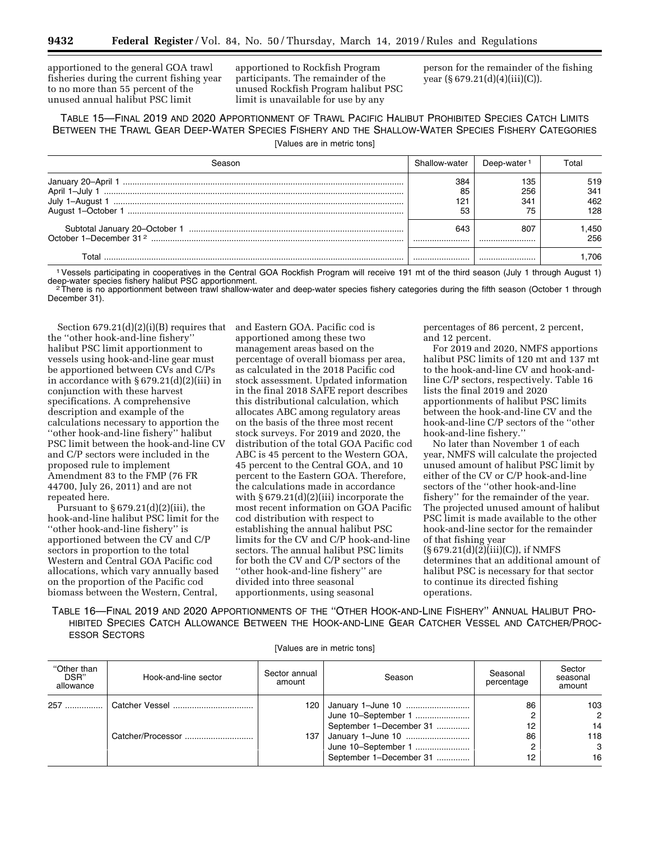apportioned to the general GOA trawl fisheries during the current fishing year to no more than 55 percent of the unused annual halibut PSC limit

apportioned to Rockfish Program participants. The remainder of the unused Rockfish Program halibut PSC limit is unavailable for use by any

person for the remainder of the fishing year  $(\S 679.21(d)(4)(iii)(C)).$ 

TABLE 15—FINAL 2019 AND 2020 APPORTIONMENT OF TRAWL PACIFIC HALIBUT PROHIBITED SPECIES CATCH LIMITS BETWEEN THE TRAWL GEAR DEEP-WATER SPECIES FISHERY AND THE SHALLOW-WATER SPECIES FISHERY CATEGORIES

[Values are in metric tons]

|                | Shallow-water | Deep-water | ั∩tal       |
|----------------|---------------|------------|-------------|
| April 1-July 1 | 384<br>85     | 135<br>256 | 519<br>341  |
| ∵1–Auɑust      | 12٠<br>53     | 341<br>۰.  | 462<br>128  |
|                | 643<br>       | 80.<br>    | .450<br>256 |
| ⊺otal          |               |            | .706        |

1Vessels participating in cooperatives in the Central GOA Rockfish Program will receive 191 mt of the third season (July 1 through August 1)

 $2$ There is no apportionment between trawl shallow-water and deep-water species fishery categories during the fifth season (October 1 through December 31).

Section 679.21(d)(2)(i)(B) requires that the ''other hook-and-line fishery'' halibut PSC limit apportionment to vessels using hook-and-line gear must be apportioned between CVs and C/Ps in accordance with § 679.21(d)(2)(iii) in conjunction with these harvest specifications. A comprehensive description and example of the calculations necessary to apportion the ''other hook-and-line fishery'' halibut PSC limit between the hook-and-line CV and C/P sectors were included in the proposed rule to implement Amendment 83 to the FMP (76 FR 44700, July 26, 2011) and are not repeated here.

Pursuant to  $\S 679.21(d)(2)(iii)$ , the hook-and-line halibut PSC limit for the ''other hook-and-line fishery'' is apportioned between the CV and C/P sectors in proportion to the total Western and Central GOA Pacific cod allocations, which vary annually based on the proportion of the Pacific cod biomass between the Western, Central,

and Eastern GOA. Pacific cod is apportioned among these two management areas based on the percentage of overall biomass per area, as calculated in the 2018 Pacific cod stock assessment. Updated information in the final 2018 SAFE report describes this distributional calculation, which allocates ABC among regulatory areas on the basis of the three most recent stock surveys. For 2019 and 2020, the distribution of the total GOA Pacific cod ABC is 45 percent to the Western GOA, 45 percent to the Central GOA, and 10 percent to the Eastern GOA. Therefore, the calculations made in accordance with  $\S 679.21(d)(2)(iii)$  incorporate the most recent information on GOA Pacific cod distribution with respect to establishing the annual halibut PSC limits for the CV and C/P hook-and-line sectors. The annual halibut PSC limits for both the CV and C/P sectors of the ''other hook-and-line fishery'' are divided into three seasonal apportionments, using seasonal

percentages of 86 percent, 2 percent, and 12 percent.

For 2019 and 2020, NMFS apportions halibut PSC limits of 120 mt and 137 mt to the hook-and-line CV and hook-andline C/P sectors, respectively. Table 16 lists the final 2019 and 2020 apportionments of halibut PSC limits between the hook-and-line CV and the hook-and-line C/P sectors of the ''other hook-and-line fishery.''

No later than November 1 of each year, NMFS will calculate the projected unused amount of halibut PSC limit by either of the CV or C/P hook-and-line sectors of the ''other hook-and-line fishery'' for the remainder of the year. The projected unused amount of halibut PSC limit is made available to the other hook-and-line sector for the remainder of that fishing year  $(S679.21(d)(2)(iii)(C))$ , if NMFS determines that an additional amount of halibut PSC is necessary for that sector to continue its directed fishing operations.

TABLE 16—FINAL 2019 AND 2020 APPORTIONMENTS OF THE ''OTHER HOOK-AND-LINE FISHERY'' ANNUAL HALIBUT PRO-HIBITED SPECIES CATCH ALLOWANCE BETWEEN THE HOOK-AND-LINE GEAR CATCHER VESSEL AND CATCHER/PROC-ESSOR SECTORS

[Values are in metric tons]

| "Other than<br>DSR"<br>allowance | Hook-and-line sector | Sector annual<br>amount | Season                                                                  | Seasonal<br>percentage | Sector<br>seasonal<br>amount |
|----------------------------------|----------------------|-------------------------|-------------------------------------------------------------------------|------------------------|------------------------------|
| 257                              |                      |                         | 120 January 1-June 10<br>June 10-September 1<br>September 1-December 31 | 86<br>12               | 103<br>$\mathcal{P}$<br>14   |
|                                  | Catcher/Processor    |                         | 137 January 1-June 10<br>June 10-September 1<br>September 1-December 31 | 86<br>12               | 118<br>3<br>16               |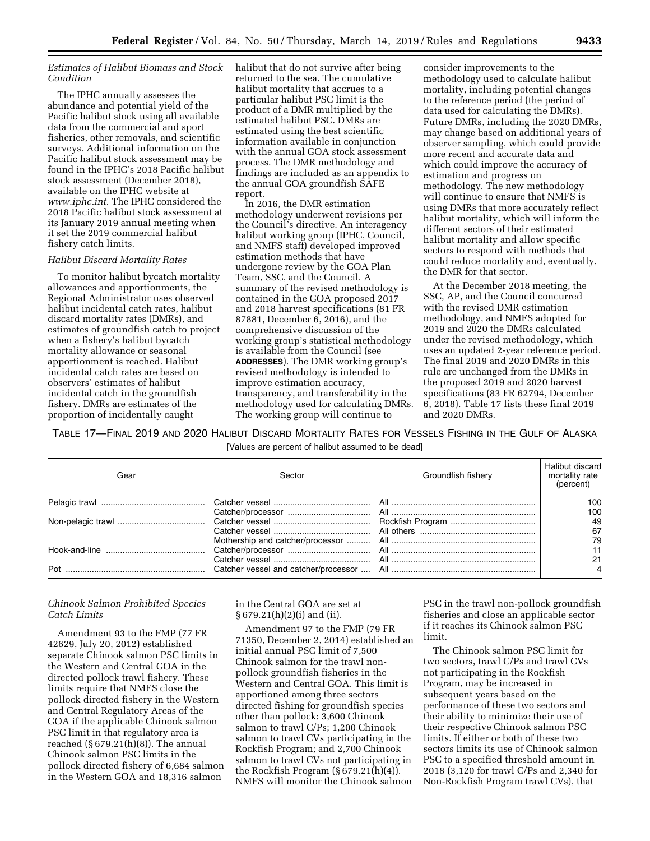#### *Estimates of Halibut Biomass and Stock Condition*

The IPHC annually assesses the abundance and potential yield of the Pacific halibut stock using all available data from the commercial and sport fisheries, other removals, and scientific surveys. Additional information on the Pacific halibut stock assessment may be found in the IPHC's 2018 Pacific halibut stock assessment (December 2018), available on the IPHC website at *[www.iphc.int.](http://www.iphc.int)* The IPHC considered the 2018 Pacific halibut stock assessment at its January 2019 annual meeting when it set the 2019 commercial halibut fishery catch limits.

#### *Halibut Discard Mortality Rates*

To monitor halibut bycatch mortality allowances and apportionments, the Regional Administrator uses observed halibut incidental catch rates, halibut discard mortality rates (DMRs), and estimates of groundfish catch to project when a fishery's halibut bycatch mortality allowance or seasonal apportionment is reached. Halibut incidental catch rates are based on observers' estimates of halibut incidental catch in the groundfish fishery. DMRs are estimates of the proportion of incidentally caught

halibut that do not survive after being returned to the sea. The cumulative halibut mortality that accrues to a particular halibut PSC limit is the product of a DMR multiplied by the estimated halibut PSC. DMRs are estimated using the best scientific information available in conjunction with the annual GOA stock assessment process. The DMR methodology and findings are included as an appendix to the annual GOA groundfish SAFE report.

In 2016, the DMR estimation methodology underwent revisions per the Council's directive. An interagency halibut working group (IPHC, Council, and NMFS staff) developed improved estimation methods that have undergone review by the GOA Plan Team, SSC, and the Council. A summary of the revised methodology is contained in the GOA proposed 2017 and 2018 harvest specifications (81 FR 87881, December 6, 2016), and the comprehensive discussion of the working group's statistical methodology is available from the Council (see **ADDRESSES**). The DMR working group's revised methodology is intended to improve estimation accuracy, transparency, and transferability in the methodology used for calculating DMRs. The working group will continue to

consider improvements to the methodology used to calculate halibut mortality, including potential changes to the reference period (the period of data used for calculating the DMRs). Future DMRs, including the 2020 DMRs, may change based on additional years of observer sampling, which could provide more recent and accurate data and which could improve the accuracy of estimation and progress on methodology. The new methodology will continue to ensure that NMFS is using DMRs that more accurately reflect halibut mortality, which will inform the different sectors of their estimated halibut mortality and allow specific sectors to respond with methods that could reduce mortality and, eventually, the DMR for that sector.

At the December 2018 meeting, the SSC, AP, and the Council concurred with the revised DMR estimation methodology, and NMFS adopted for 2019 and 2020 the DMRs calculated under the revised methodology, which uses an updated 2-year reference period. The final 2019 and 2020 DMRs in this rule are unchanged from the DMRs in the proposed 2019 and 2020 harvest specifications (83 FR 62794, December 6, 2018). Table 17 lists these final 2019 and 2020 DMRs.

TABLE 17—FINAL 2019 AND 2020 HALIBUT DISCARD MORTALITY RATES FOR VESSELS FISHING IN THE GULF OF ALASKA [Values are percent of halibut assumed to be dead]

| Gear | Sector                               | Groundfish fishery | Halibut discard<br>mortality rate<br>(percent) |
|------|--------------------------------------|--------------------|------------------------------------------------|
|      |                                      |                    | 100                                            |
|      |                                      |                    | 100                                            |
|      |                                      |                    | 49                                             |
|      |                                      |                    | 67                                             |
|      | Mothership and catcher/processor     |                    | 79                                             |
|      |                                      |                    |                                                |
|      |                                      |                    |                                                |
| Pot  | Catcher vessel and catcher/processor |                    |                                                |

#### *Chinook Salmon Prohibited Species Catch Limits*

Amendment 93 to the FMP (77 FR 42629, July 20, 2012) established separate Chinook salmon PSC limits in the Western and Central GOA in the directed pollock trawl fishery. These limits require that NMFS close the pollock directed fishery in the Western and Central Regulatory Areas of the GOA if the applicable Chinook salmon PSC limit in that regulatory area is reached  $(\S 679.21(h)(8))$ . The annual Chinook salmon PSC limits in the pollock directed fishery of 6,684 salmon in the Western GOA and 18,316 salmon

in the Central GOA are set at § 679.21(h)(2)(i) and (ii).

Amendment 97 to the FMP (79 FR 71350, December 2, 2014) established an initial annual PSC limit of 7,500 Chinook salmon for the trawl nonpollock groundfish fisheries in the Western and Central GOA. This limit is apportioned among three sectors directed fishing for groundfish species other than pollock: 3,600 Chinook salmon to trawl C/Ps; 1,200 Chinook salmon to trawl CVs participating in the Rockfish Program; and 2,700 Chinook salmon to trawl CVs not participating in the Rockfish Program (§ 679.21(h)(4)). NMFS will monitor the Chinook salmon

PSC in the trawl non-pollock groundfish fisheries and close an applicable sector if it reaches its Chinook salmon PSC limit.

The Chinook salmon PSC limit for two sectors, trawl C/Ps and trawl CVs not participating in the Rockfish Program, may be increased in subsequent years based on the performance of these two sectors and their ability to minimize their use of their respective Chinook salmon PSC limits. If either or both of these two sectors limits its use of Chinook salmon PSC to a specified threshold amount in 2018 (3,120 for trawl C/Ps and 2,340 for Non-Rockfish Program trawl CVs), that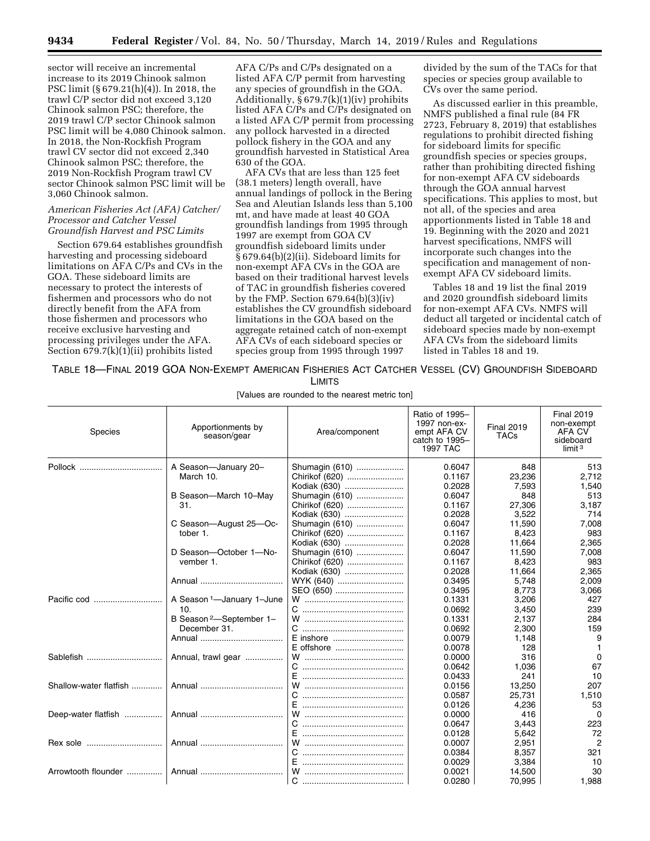**9434 Federal Register** / Vol. 84, No. 50 / Thursday, March 14, 2019 / Rules and Regulations

sector will receive an incremental increase to its 2019 Chinook salmon PSC limit (§ 679.21(h)(4)). In 2018, the trawl C/P sector did not exceed 3,120 Chinook salmon PSC; therefore, the 2019 trawl C/P sector Chinook salmon PSC limit will be 4,080 Chinook salmon. In 2018, the Non-Rockfish Program trawl CV sector did not exceed 2,340 Chinook salmon PSC; therefore, the 2019 Non-Rockfish Program trawl CV sector Chinook salmon PSC limit will be 3,060 Chinook salmon.

#### *American Fisheries Act (AFA) Catcher/ Processor and Catcher Vessel Groundfish Harvest and PSC Limits*

Section 679.64 establishes groundfish harvesting and processing sideboard limitations on AFA C/Ps and CVs in the GOA. These sideboard limits are necessary to protect the interests of fishermen and processors who do not directly benefit from the AFA from those fishermen and processors who receive exclusive harvesting and processing privileges under the AFA. Section  $679.7(k)(1)(ii)$  prohibits listed

AFA C/Ps and C/Ps designated on a listed AFA C/P permit from harvesting any species of groundfish in the GOA. Additionally, § 679.7(k)(1)(iv) prohibits listed AFA C/Ps and C/Ps designated on a listed AFA C/P permit from processing any pollock harvested in a directed pollock fishery in the GOA and any groundfish harvested in Statistical Area 630 of the GOA.

AFA CVs that are less than 125 feet (38.1 meters) length overall, have annual landings of pollock in the Bering Sea and Aleutian Islands less than 5,100 mt, and have made at least 40 GOA groundfish landings from 1995 through 1997 are exempt from GOA CV groundfish sideboard limits under § 679.64(b)(2)(ii). Sideboard limits for non-exempt AFA CVs in the GOA are based on their traditional harvest levels of TAC in groundfish fisheries covered by the FMP. Section  $679.64(b)(3)(iv)$ establishes the CV groundfish sideboard limitations in the GOA based on the aggregate retained catch of non-exempt AFA CVs of each sideboard species or species group from 1995 through 1997

divided by the sum of the TACs for that species or species group available to CVs over the same period.

As discussed earlier in this preamble, NMFS published a final rule (84 FR 2723, February 8, 2019) that establishes regulations to prohibit directed fishing for sideboard limits for specific groundfish species or species groups, rather than prohibiting directed fishing for non-exempt AFA CV sideboards through the GOA annual harvest specifications. This applies to most, but not all, of the species and area apportionments listed in Table 18 and 19. Beginning with the 2020 and 2021 harvest specifications, NMFS will incorporate such changes into the specification and management of nonexempt AFA CV sideboard limits.

Tables 18 and 19 list the final 2019 and 2020 groundfish sideboard limits for non-exempt AFA CVs. NMFS will deduct all targeted or incidental catch of sideboard species made by non-exempt AFA CVs from the sideboard limits listed in Tables 18 and 19.

TABLE 18—FINAL 2019 GOA NON-EXEMPT AMERICAN FISHERIES ACT CATCHER VESSEL (CV) GROUNDFISH SIDEBOARD LIMITS

[Values are rounded to the nearest metric ton]

| <b>Species</b>         | Apportionments by<br>season/gear      | Area/component | Ratio of 1995-<br>1997 non-ex-<br>empt AFA CV<br>catch to 1995-<br>1997 TAC | <b>Final 2019</b><br><b>TACs</b> | <b>Final 2019</b><br>non-exempt<br>AFA CV<br>sideboard<br>limit $3$ |
|------------------------|---------------------------------------|----------------|-----------------------------------------------------------------------------|----------------------------------|---------------------------------------------------------------------|
|                        | A Season-January 20-                  | Shumagin (610) | 0.6047                                                                      | 848                              | 513                                                                 |
|                        | March 10.                             | Chirikof (620) | 0.1167                                                                      | 23,236                           | 2,712                                                               |
|                        |                                       | Kodiak (630)   | 0.2028                                                                      | 7,593                            | 1,540                                                               |
|                        | B Season-March 10-May                 | Shumagin (610) | 0.6047                                                                      | 848                              | 513                                                                 |
|                        | 31.                                   | Chirikof (620) | 0.1167                                                                      | 27.306                           | 3,187                                                               |
|                        |                                       | Kodiak (630)   | 0.2028                                                                      | 3,522                            | 714                                                                 |
|                        | C Season-August 25-Oc-                | Shumagin (610) | 0.6047                                                                      | 11,590                           | 7,008                                                               |
|                        | tober 1.                              | Chirikof (620) | 0.1167                                                                      | 8.423                            | 983                                                                 |
|                        |                                       | Kodiak (630)   | 0.2028                                                                      | 11.664                           | 2,365                                                               |
|                        | D Season-October 1-No-                | Shumagin (610) | 0.6047                                                                      | 11.590                           | 7,008                                                               |
|                        | vember 1.                             | Chirikof (620) | 0.1167                                                                      | 8,423                            | 983                                                                 |
|                        |                                       | Kodiak (630)   | 0.2028                                                                      | 11.664                           | 2,365                                                               |
|                        |                                       | WYK (640)      | 0.3495                                                                      | 5.748                            | 2,009                                                               |
|                        |                                       | SEO (650)      | 0.3495                                                                      | 8.773                            | 3,066                                                               |
| Pacific cod            | A Season <sup>1</sup> -January 1-June |                | 0.1331                                                                      | 3,206                            | 427                                                                 |
|                        | 10.                                   |                | 0.0692                                                                      | 3,450                            | 239                                                                 |
|                        | B Season <sup>2</sup> -September 1-   |                | 0.1331                                                                      | 2,137                            | 284                                                                 |
|                        | December 31.                          |                | 0.0692                                                                      | 2,300                            | 159                                                                 |
|                        |                                       | E inshore      | 0.0079                                                                      | 1,148                            | 9                                                                   |
|                        |                                       | E offshore     | 0.0078                                                                      | 128                              | $\mathbf{1}$                                                        |
| Sablefish              | Annual, trawl gear                    |                | 0.0000                                                                      | 316                              | 0                                                                   |
|                        |                                       |                | 0.0642                                                                      | 1,036                            | 67                                                                  |
|                        |                                       |                | 0.0433                                                                      | 241                              | 10                                                                  |
| Shallow-water flatfish |                                       | w              | 0.0156                                                                      | 13,250                           | 207                                                                 |
|                        |                                       | C.             | 0.0587                                                                      | 25,731                           | 1,510                                                               |
|                        |                                       |                | 0.0126                                                                      | 4,236                            | 53                                                                  |
| Deep-water flatfish    |                                       | W              | 0.0000                                                                      | 416                              | $\Omega$                                                            |
|                        |                                       | C.             | 0.0647                                                                      | 3,443                            | 223                                                                 |
|                        |                                       |                | 0.0128                                                                      | 5,642                            | 72                                                                  |
| Rex sole               |                                       | W              | 0.0007                                                                      | 2,951                            | 2                                                                   |
|                        |                                       | C.             | 0.0384                                                                      | 8,357                            | 321                                                                 |
|                        |                                       | E.             | 0.0029                                                                      | 3,384                            | 10                                                                  |
| Arrowtooth flounder    |                                       | W              | 0.0021                                                                      | 14,500                           | 30                                                                  |
|                        |                                       | C              | 0.0280                                                                      | 70,995                           | 1,988                                                               |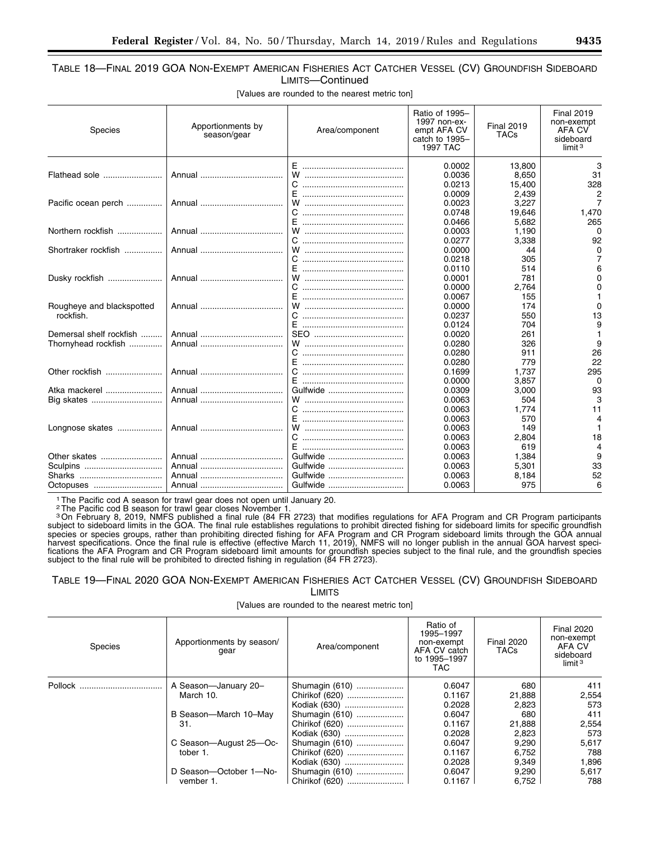# TABLE 18—FINAL 2019 GOA NON-EXEMPT AMERICAN FISHERIES ACT CATCHER VESSEL (CV) GROUNDFISH SIDEBOARD LIMITS—Continued

[Values are rounded to the nearest metric ton]

| Species                   | Apportionments by<br>season/gear | Area/component | Ratio of 1995-<br>1997 non-ex-<br>empt AFA CV<br>catch to 1995-<br>1997 TAC | <b>Final 2019</b><br><b>TACs</b> | <b>Final 2019</b><br>non-exempt<br><b>AFA CV</b><br>sideboard<br>limit $3$ |
|---------------------------|----------------------------------|----------------|-----------------------------------------------------------------------------|----------------------------------|----------------------------------------------------------------------------|
|                           |                                  |                | 0.0002                                                                      | 13,800                           | 3                                                                          |
| Flathead sole             |                                  | w              | 0.0036                                                                      | 8,650                            | 31                                                                         |
|                           |                                  | C.<br>F.       | 0.0213<br>0.0009                                                            | 15,400                           | 328                                                                        |
|                           |                                  | W              | 0.0023                                                                      | 2.439                            | 2<br>7                                                                     |
| Pacific ocean perch       |                                  |                | 0.0748                                                                      | 3,227<br>19,646                  | 1,470                                                                      |
|                           |                                  |                | 0.0466                                                                      | 5,682                            | 265                                                                        |
| Northern rockfish         |                                  | W              | 0.0003                                                                      | 1.190                            | 0                                                                          |
|                           |                                  |                | 0.0277                                                                      | 3,338                            | 92                                                                         |
| Shortraker rockfish       |                                  | w              | 0.0000                                                                      | 44                               | 0                                                                          |
|                           |                                  |                | 0.0218                                                                      | 305                              |                                                                            |
|                           |                                  | F              | 0.0110                                                                      | 514                              | 6                                                                          |
| Dusky rockfish            |                                  | W              | 0.0001                                                                      | 781                              | 0                                                                          |
|                           |                                  |                | 0.0000                                                                      | 2,764                            | 0                                                                          |
|                           |                                  | Е              | 0.0067                                                                      | 155                              |                                                                            |
| Rougheye and blackspotted |                                  |                | 0.0000                                                                      | 174                              | $\Omega$                                                                   |
| rockfish.                 |                                  |                | 0.0237                                                                      | 550                              | 13                                                                         |
|                           |                                  | F.             | 0.0124                                                                      | 704                              | 9                                                                          |
| Demersal shelf rockfish   |                                  |                | 0.0020                                                                      | 261                              |                                                                            |
| Thornyhead rockfish       |                                  |                | 0.0280                                                                      | 326                              | 9                                                                          |
|                           |                                  |                | 0.0280                                                                      | 911                              | 26                                                                         |
|                           |                                  |                | 0.0280                                                                      | 779                              | 22                                                                         |
| Other rockfish            |                                  |                | 0.1699                                                                      | 1,737                            | 295                                                                        |
|                           |                                  | F.             | 0.0000                                                                      | 3.857                            | $\Omega$                                                                   |
| Atka mackerel             |                                  | Gulfwide       | 0.0309                                                                      | 3,000                            | 93                                                                         |
|                           |                                  |                | 0.0063                                                                      | 504                              | 3                                                                          |
|                           |                                  |                | 0.0063                                                                      | 1,774                            | 11                                                                         |
|                           |                                  | F              | 0.0063                                                                      | 570                              | 4                                                                          |
| Longnose skates           |                                  | W              | 0.0063                                                                      | 149                              |                                                                            |
|                           |                                  | C.             | 0.0063                                                                      | 2,804                            | 18                                                                         |
|                           |                                  |                | 0.0063                                                                      | 619                              | 4                                                                          |
| Other skates              |                                  | Gulfwide       | 0.0063                                                                      | 1,384                            | 9                                                                          |
| Sculpins                  |                                  | Gulfwide       | 0.0063                                                                      | 5,301                            | 33                                                                         |
|                           |                                  | Gulfwide       | 0.0063                                                                      | 8,184                            | 52                                                                         |
| Octopuses                 |                                  | Gulfwide       | 0.0063                                                                      | 975                              | 6                                                                          |

1The Pacific cod A season for trawl gear does not open until January 20.

<sup>2</sup>The Pacific cod B season for trawl gear closes November 1.<br><sup>3</sup>On February 8, 2019, NMFS published a final rule (84 FR 2723) that modifies regulations for AFA Program and CR Program participants subject to sideboard limits in the GOA. The final rule establishes regulations to prohibit directed fishing for sideboard limits for specific groundfish species or species groups, rather than prohibiting directed fishing for AFA Program and CR Program sideboard limits through the GOA annual harvest specifications. Once the final rule is effective (effective March 11, 2019), NMFS will no longer publish in the annual GOA harvest specifications the AFA Program and CR Program sideboard limit amounts for groundfish species subject to the final rule, and the groundfish species subject to the final rule will be prohibited to directed fishing in regulation (84 FR 2723).

#### TABLE 19—FINAL 2020 GOA NON-EXEMPT AMERICAN FISHERIES ACT CATCHER VESSEL (CV) GROUNDFISH SIDEBOARD LIMITS

[Values are rounded to the nearest metric ton]

| <b>Species</b> | Apportionments by season/<br>qear | Area/component | Ratio of<br>1995-1997<br>non-exempt<br>AFA CV catch<br>to 1995-1997<br>TAC. | <b>Final 2020</b><br><b>TACs</b> | <b>Final 2020</b><br>non-exempt<br>AFA CV<br>sideboard<br>limit <sup>3</sup> |
|----------------|-----------------------------------|----------------|-----------------------------------------------------------------------------|----------------------------------|------------------------------------------------------------------------------|
| Pollock        | A Season-January 20-              | Shumagin (610) | 0.6047                                                                      | 680                              | 411                                                                          |
|                | March 10.                         | Chirikof (620) | 0.1167                                                                      | 21,888                           | 2,554                                                                        |
|                |                                   | Kodiak (630)   | 0.2028                                                                      | 2,823                            | 573                                                                          |
|                | B Season-March 10-May             | Shumagin (610) | 0.6047                                                                      | 680                              | 411                                                                          |
|                | 31.                               | Chirikof (620) | 0.1167                                                                      | 21.888                           | 2,554                                                                        |
|                |                                   | Kodiak (630)   | 0.2028                                                                      | 2,823                            | 573                                                                          |
|                | C Season-August 25-Oc-            | Shumagin (610) | 0.6047                                                                      | 9,290                            | 5.617                                                                        |
|                | tober 1.                          | Chirikof (620) | 0.1167                                                                      | 6.752                            | 788                                                                          |
|                |                                   | Kodiak (630)   | 0.2028                                                                      | 9.349                            | 1,896                                                                        |
|                | D Season-October 1-No-            | Shumagin (610) | 0.6047                                                                      | 9,290                            | 5,617                                                                        |
|                | vember 1.                         | Chirikof (620) | 0.1167                                                                      | 6,752                            | 788                                                                          |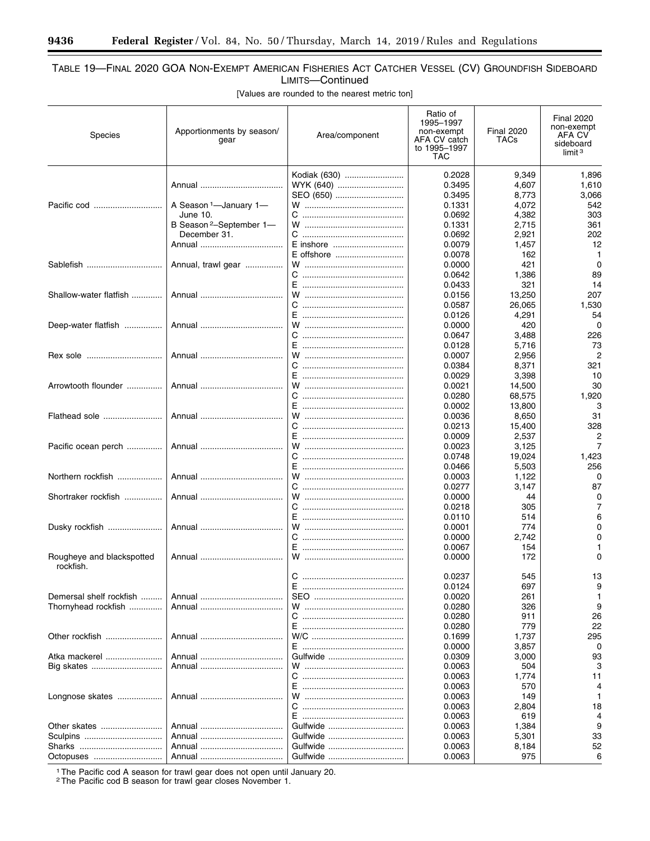-

# TABLE 19—FINAL 2020 GOA NON-EXEMPT AMERICAN FISHERIES ACT CATCHER VESSEL (CV) GROUNDFISH SIDEBOARD LIMITS—Continued

[Values are rounded to the nearest metric ton]

| Species                                | Apportionments by season/<br>gear   | Area/component       | Ratio of<br>1995-1997<br>non-exempt<br>AFA CV catch<br>to 1995-1997<br><b>TAC</b> | <b>Final 2020</b><br>TACs | <b>Final 2020</b><br>non-exempt<br>AFA CV<br>sideboard<br>limit <sup>3</sup> |
|----------------------------------------|-------------------------------------|----------------------|-----------------------------------------------------------------------------------|---------------------------|------------------------------------------------------------------------------|
|                                        |                                     | Kodiak (630)         | 0.2028                                                                            | 9,349                     | 1,896                                                                        |
|                                        |                                     | WYK (640)            | 0.3495                                                                            | 4,607                     | 1,610                                                                        |
|                                        |                                     | SEO (650)            | 0.3495                                                                            | 8,773                     | 3,066                                                                        |
|                                        | A Season <sup>1</sup> -January 1-   |                      | 0.1331                                                                            | 4,072                     | 542                                                                          |
|                                        | June 10.                            |                      | 0.0692                                                                            | 4,382                     | 303                                                                          |
|                                        | B Season <sup>2</sup> -September 1- |                      | 0.1331                                                                            | 2,715                     | 361                                                                          |
|                                        | December 31.                        | C                    | 0.0692                                                                            | 2,921                     | 202                                                                          |
|                                        |                                     | E inshore            | 0.0079                                                                            | 1,457                     | 12                                                                           |
|                                        |                                     | E offshore           | 0.0078                                                                            | 162                       | $\mathbf 1$                                                                  |
| Sablefish                              | Annual, trawl gear                  |                      | 0.0000                                                                            | 421                       | 0                                                                            |
|                                        |                                     |                      | 0.0642                                                                            | 1,386                     | 89                                                                           |
|                                        |                                     |                      | 0.0433                                                                            | 321                       | 14                                                                           |
| Shallow-water flatfish                 |                                     |                      | 0.0156                                                                            | 13,250                    | 207                                                                          |
|                                        |                                     |                      | 0.0587<br>0.0126                                                                  | 26,065<br>4,291           | 1,530<br>54                                                                  |
| Deep-water flatfish                    |                                     |                      | 0.0000                                                                            | 420                       | $\Omega$                                                                     |
|                                        |                                     |                      | 0.0647                                                                            | 3,488                     | 226                                                                          |
|                                        |                                     |                      | 0.0128                                                                            | 5,716                     | 73                                                                           |
| Rex sole                               |                                     | w                    | 0.0007                                                                            | 2,956                     | $\overline{2}$                                                               |
|                                        |                                     | C                    | 0.0384                                                                            | 8,371                     | 321                                                                          |
|                                        |                                     |                      | 0.0029                                                                            | 3,398                     | 10                                                                           |
| Arrowtooth flounder                    |                                     |                      | 0.0021                                                                            | 14,500                    | 30                                                                           |
|                                        |                                     |                      | 0.0280                                                                            | 68,575                    | 1,920                                                                        |
|                                        |                                     |                      | 0.0002                                                                            | 13,800                    | 3                                                                            |
| Flathead sole                          |                                     | w                    | 0.0036                                                                            | 8,650                     | 31                                                                           |
|                                        |                                     |                      | 0.0213                                                                            | 15,400                    | 328                                                                          |
|                                        |                                     |                      | 0.0009                                                                            | 2,537                     | 2                                                                            |
| Pacific ocean perch                    |                                     |                      | 0.0023                                                                            | 3,125                     | 7                                                                            |
|                                        |                                     |                      | 0.0748                                                                            | 19,024                    | 1,423                                                                        |
|                                        |                                     |                      | 0.0466                                                                            | 5,503                     | 256                                                                          |
| Northern rockfish                      |                                     | w                    | 0.0003                                                                            | 1,122                     | 0                                                                            |
|                                        |                                     |                      | 0.0277                                                                            | 3,147                     | 87                                                                           |
| Shortraker rockfish                    |                                     | w                    | 0.0000                                                                            | 44                        | 0                                                                            |
|                                        |                                     |                      | 0.0218                                                                            | 305                       | 7                                                                            |
|                                        |                                     |                      | 0.0110                                                                            | 514                       | 6                                                                            |
| Dusky rockfish                         |                                     | W                    | 0.0001                                                                            | 774                       | 0                                                                            |
|                                        |                                     | C                    | 0.0000                                                                            | 2,742                     | 0                                                                            |
|                                        |                                     | E.                   | 0.0067                                                                            | 154                       | 1<br>0                                                                       |
| Rougheye and blackspotted<br>rockfish. |                                     |                      | 0.0000                                                                            | 172                       |                                                                              |
|                                        |                                     |                      | 0.0237                                                                            | 545                       | 13                                                                           |
|                                        |                                     | E ………………………………………    | 0.0124                                                                            | 697                       | 9                                                                            |
| Demersal shelf rockfish                |                                     |                      | 0.0020                                                                            | 261                       | 1                                                                            |
| Thornyhead rockfish                    |                                     |                      | 0.0280                                                                            | 326                       | 9                                                                            |
|                                        |                                     |                      | 0.0280                                                                            | 911                       | 26                                                                           |
|                                        |                                     |                      | 0.0280                                                                            | 779                       | 22                                                                           |
| Other rockfish                         |                                     |                      | 0.1699                                                                            | 1,737                     | 295                                                                          |
|                                        |                                     |                      | 0.0000                                                                            | 3,857                     | 0                                                                            |
| Atka mackerel                          |                                     | Gulfwide             | 0.0309                                                                            | 3,000                     | 93                                                                           |
|                                        |                                     |                      | 0.0063                                                                            | 504                       | 3                                                                            |
|                                        |                                     |                      | 0.0063                                                                            | 1,774                     | 11                                                                           |
|                                        |                                     |                      | 0.0063                                                                            | 570                       | 4                                                                            |
| Longnose skates                        |                                     |                      | 0.0063                                                                            | 149                       |                                                                              |
|                                        |                                     |                      | 0.0063                                                                            | 2,804                     | 18                                                                           |
|                                        |                                     |                      | 0.0063                                                                            | 619                       |                                                                              |
|                                        |                                     | Gulfwide             | 0.0063                                                                            | 1,384                     | 9                                                                            |
| Sharks                                 |                                     | Gulfwide<br>Gulfwide | 0.0063                                                                            | 5,301                     | 33<br>52                                                                     |
|                                        |                                     | Gulfwide             | 0.0063<br>0.0063                                                                  | 8,184<br>975              | 6                                                                            |
|                                        |                                     |                      |                                                                                   |                           |                                                                              |

1The Pacific cod A season for trawl gear does not open until January 20.

2The Pacific cod B season for trawl gear closes November 1.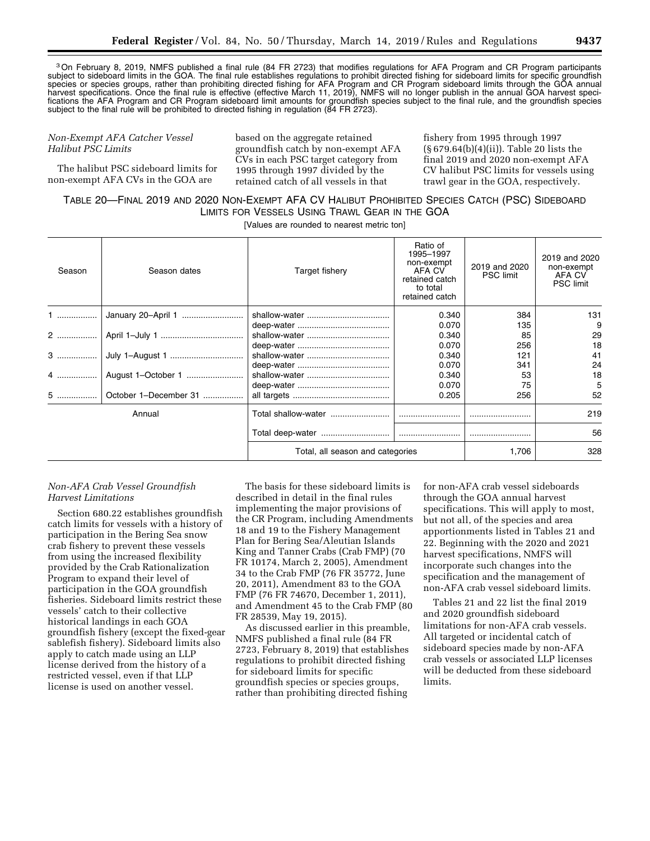3On February 8, 2019, NMFS published a final rule (84 FR 2723) that modifies regulations for AFA Program and CR Program participants subject to sideboard limits in the GOA. The final rule establishes regulations to prohibit directed fishing for sideboard limits for specific groundfish species or species groups, rather than prohibiting directed fishing for AFA Program and CR Program sideboard limits through the GOA annual harvest specifications. Once the final rule is effective (effective March 11, 2019), NMFS will no longer publish in the annual GOA harvest specifications the AFA Program and CR Program sideboard limit amounts for groundfish species subject to the final rule, and the groundfish species subject to the final rule will be prohibited to directed fishing in regulation (84 FR 2723).

#### *Non-Exempt AFA Catcher Vessel Halibut PSC Limits*

The halibut PSC sideboard limits for non-exempt AFA CVs in the GOA are

based on the aggregate retained groundfish catch by non-exempt AFA CVs in each PSC target category from 1995 through 1997 divided by the retained catch of all vessels in that

fishery from 1995 through 1997 (§ 679.64(b)(4)(ii)). Table 20 lists the final 2019 and 2020 non-exempt AFA CV halibut PSC limits for vessels using trawl gear in the GOA, respectively.

# TABLE 20—FINAL 2019 AND 2020 NON-EXEMPT AFA CV HALIBUT PROHIBITED SPECIES CATCH (PSC) SIDEBOARD LIMITS FOR VESSELS USING TRAWL GEAR IN THE GOA

[Values are rounded to nearest metric ton]

| Season | Season dates          | Target fishery                   | Ratio of<br>1995-1997<br>non-exempt<br>AFA CV<br>retained catch<br>to total<br>retained catch | 2019 and 2020<br><b>PSC</b> limit | 2019 and 2020<br>non-exempt<br>AFA CV<br><b>PSC</b> limit |
|--------|-----------------------|----------------------------------|-----------------------------------------------------------------------------------------------|-----------------------------------|-----------------------------------------------------------|
|        | January 20-April 1    |                                  | 0.340                                                                                         | 384                               | 131                                                       |
|        |                       |                                  | 0.070                                                                                         | 135                               | 9                                                         |
|        |                       |                                  | 0.340                                                                                         | 85                                | 29                                                        |
|        |                       |                                  | 0.070                                                                                         | 256                               | 18                                                        |
| 3      |                       |                                  | 0.340                                                                                         | 121                               | 41                                                        |
|        |                       |                                  | 0.070                                                                                         | 341                               | 24                                                        |
| 4      |                       |                                  | 0.340                                                                                         | 53                                | 18                                                        |
|        |                       |                                  | 0.070                                                                                         | 75                                | 5                                                         |
| 5      | October 1-December 31 |                                  | 0.205                                                                                         | 256                               | 52                                                        |
| Annual |                       | Total shallow-water              |                                                                                               |                                   | 219                                                       |
|        |                       |                                  |                                                                                               |                                   | 56                                                        |
|        |                       | Total, all season and categories |                                                                                               | 1,706                             | 328                                                       |

#### *Non-AFA Crab Vessel Groundfish Harvest Limitations*

Section 680.22 establishes groundfish catch limits for vessels with a history of participation in the Bering Sea snow crab fishery to prevent these vessels from using the increased flexibility provided by the Crab Rationalization Program to expand their level of participation in the GOA groundfish fisheries. Sideboard limits restrict these vessels' catch to their collective historical landings in each GOA groundfish fishery (except the fixed-gear sablefish fishery). Sideboard limits also apply to catch made using an LLP license derived from the history of a restricted vessel, even if that LLP license is used on another vessel.

The basis for these sideboard limits is described in detail in the final rules implementing the major provisions of the CR Program, including Amendments 18 and 19 to the Fishery Management Plan for Bering Sea/Aleutian Islands King and Tanner Crabs (Crab FMP) (70 FR 10174, March 2, 2005), Amendment 34 to the Crab FMP (76 FR 35772, June 20, 2011), Amendment 83 to the GOA FMP (76 FR 74670, December 1, 2011), and Amendment 45 to the Crab FMP (80 FR 28539, May 19, 2015).

As discussed earlier in this preamble, NMFS published a final rule (84 FR 2723, February 8, 2019) that establishes regulations to prohibit directed fishing for sideboard limits for specific groundfish species or species groups, rather than prohibiting directed fishing

for non-AFA crab vessel sideboards through the GOA annual harvest specifications. This will apply to most, but not all, of the species and area apportionments listed in Tables 21 and 22. Beginning with the 2020 and 2021 harvest specifications, NMFS will incorporate such changes into the specification and the management of non-AFA crab vessel sideboard limits.

Tables 21 and 22 list the final 2019 and 2020 groundfish sideboard limitations for non-AFA crab vessels. All targeted or incidental catch of sideboard species made by non-AFA crab vessels or associated LLP licenses will be deducted from these sideboard limits.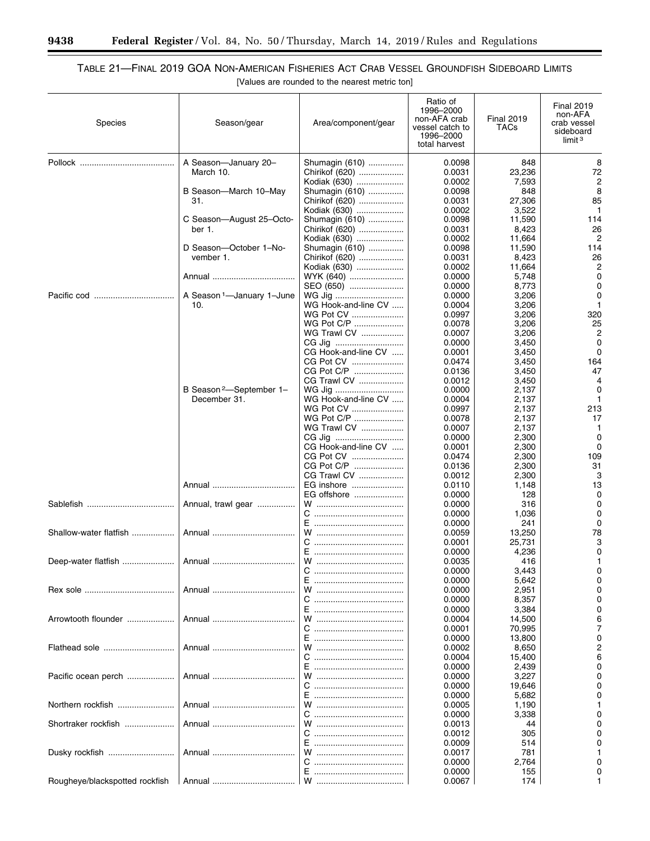۳

۲

# TABLE 21—FINAL 2019 GOA NON-AMERICAN FISHERIES ACT CRAB VESSEL GROUNDFISH SIDEBOARD LIMITS [Values are rounded to the nearest metric ton]

| <b>Species</b>                 | Season/gear                         | Area/component/gear            | Ratio of<br>1996-2000<br>non-AFA crab<br>vessel catch to<br>1996-2000<br>total harvest | <b>Final 2019</b><br>TACs | <b>Final 2019</b><br>non-AFA<br>crab vessel<br>sideboard<br>limit <sup>3</sup> |
|--------------------------------|-------------------------------------|--------------------------------|----------------------------------------------------------------------------------------|---------------------------|--------------------------------------------------------------------------------|
|                                | A Season-January 20-                | Shumagin (610)                 | 0.0098                                                                                 | 848                       | 8                                                                              |
|                                | March 10.                           | Chirikof (620)<br>Kodiak (630) | 0.0031<br>0.0002                                                                       | 23,236<br>7,593           | 72<br>$\overline{c}$                                                           |
|                                | B Season-March 10-May               | Shumagin (610)                 | 0.0098                                                                                 | 848                       | 8                                                                              |
|                                | 31.                                 | Chirikof (620)                 | 0.0031                                                                                 | 27.306                    | 85                                                                             |
|                                |                                     | Kodiak (630)                   | 0.0002                                                                                 | 3,522                     | 1                                                                              |
|                                | C Season-August 25-Octo-            | Shumagin (610)                 | 0.0098                                                                                 | 11,590                    | 114                                                                            |
|                                | ber 1.                              | Chirikof (620)                 | 0.0031                                                                                 | 8,423                     | 26                                                                             |
|                                |                                     | Kodiak (630)                   | 0.0002                                                                                 | 11,664                    | 2                                                                              |
|                                | D Season-October 1-No-              | Shumagin (610)                 | 0.0098                                                                                 | 11,590                    | 114                                                                            |
|                                | vember 1.                           | Chirikof (620)                 | 0.0031<br>0.0002                                                                       | 8,423<br>11,664           | 26<br>2                                                                        |
|                                | Annual                              | Kodiak (630)<br>WYK (640)      | 0.0000                                                                                 | 5,748                     | 0                                                                              |
|                                |                                     | SEO (650)                      | 0.0000                                                                                 | 8,773                     | 0                                                                              |
|                                | A Season 1-January 1-June           | WG Jig                         | 0.0000                                                                                 | 3,206                     | 0                                                                              |
|                                | 10.                                 | WG Hook-and-line CV            | 0.0004                                                                                 | 3,206                     | $\mathbf{1}$                                                                   |
|                                |                                     | WG Pot CV                      | 0.0997                                                                                 | 3,206                     | 320                                                                            |
|                                |                                     | WG Pot C/P                     | 0.0078                                                                                 | 3,206                     | 25                                                                             |
|                                |                                     | WG Trawl CV                    | 0.0007                                                                                 | 3,206                     | $\overline{2}$                                                                 |
|                                |                                     | CG Jig                         | 0.0000                                                                                 | 3,450                     | 0                                                                              |
|                                |                                     | CG Hook-and-line CV            | 0.0001                                                                                 | 3,450                     | $\Omega$                                                                       |
|                                |                                     | CG Pot CV<br>CG Pot C/P        | 0.0474<br>0.0136                                                                       | 3,450<br>3,450            | 164<br>47                                                                      |
|                                |                                     | CG Trawl CV                    | 0.0012                                                                                 | 3,450                     | 4                                                                              |
|                                | B Season <sup>2</sup> -September 1- | WG Jig                         | 0.0000                                                                                 | 2,137                     | 0                                                                              |
|                                | December 31.                        | WG Hook-and-line CV            | 0.0004                                                                                 | 2,137                     | 1                                                                              |
|                                |                                     | WG Pot CV                      | 0.0997                                                                                 | 2,137                     | 213                                                                            |
|                                |                                     | WG Pot C/P                     | 0.0078                                                                                 | 2,137                     | 17                                                                             |
|                                |                                     | WG Trawl CV                    | 0.0007                                                                                 | 2,137                     | -1                                                                             |
|                                |                                     | CG Jig                         | 0.0000                                                                                 | 2,300                     | 0                                                                              |
|                                |                                     | CG Hook-and-line CV            | 0.0001                                                                                 | 2,300                     | $\Omega$                                                                       |
|                                |                                     | CG Pot CV<br>CG Pot C/P        | 0.0474<br>0.0136                                                                       | 2,300                     | 109<br>31                                                                      |
|                                |                                     | CG Trawl CV                    | 0.0012                                                                                 | 2,300<br>2,300            | 3                                                                              |
|                                | Annual                              | EG inshore                     | 0.0110                                                                                 | 1,148                     | 13                                                                             |
|                                |                                     | EG offshore                    | 0.0000                                                                                 | 128                       | 0                                                                              |
|                                | Annual, trawl gear                  |                                | 0.0000                                                                                 | 316                       | 0                                                                              |
|                                |                                     |                                | 0.0000                                                                                 | 1,036                     | 0                                                                              |
|                                |                                     |                                | 0.0000                                                                                 | 241                       | 0                                                                              |
| Shallow-water flatfish         |                                     |                                | 0.0059                                                                                 | 13,250                    | 78                                                                             |
|                                |                                     |                                | 0.0001                                                                                 | 25,731                    | 3                                                                              |
| Deep-water flatfish    Annual  |                                     |                                | 0.0000<br>0.0035                                                                       | 4,236<br>416              | 0<br>1                                                                         |
|                                |                                     |                                | 0.0000                                                                                 | 3,443                     | 0                                                                              |
|                                |                                     | Е                              | 0.0000                                                                                 | 5,642                     | 0                                                                              |
|                                |                                     | w                              | 0.0000                                                                                 | 2,951                     | 0                                                                              |
|                                |                                     |                                | 0.0000                                                                                 | 8,357                     | 0                                                                              |
|                                |                                     |                                | 0.0000                                                                                 | 3,384                     | 0                                                                              |
| Arrowtooth flounder            | Annual                              |                                | 0.0004                                                                                 | 14,500                    | 6                                                                              |
|                                |                                     | C.                             | 0.0001                                                                                 | 70,995                    | 7                                                                              |
|                                |                                     |                                | 0.0000                                                                                 | 13,800                    | 0                                                                              |
| Flathead sole                  | Annual                              | С                              | 0.0002<br>0.0004                                                                       | 8,650<br>15,400           | 2<br>6                                                                         |
|                                |                                     |                                | 0.0000                                                                                 | 2,439                     | 0                                                                              |
| Pacific ocean perch            |                                     |                                | 0.0000                                                                                 | 3,227                     | 0                                                                              |
|                                |                                     | C.                             | 0.0000                                                                                 | 19,646                    | 0                                                                              |
|                                |                                     |                                | 0.0000                                                                                 | 5,682                     |                                                                                |
| Northern rockfish              |                                     |                                | 0.0005                                                                                 | 1,190                     |                                                                                |
|                                |                                     |                                | 0.0000                                                                                 | 3,338                     |                                                                                |
| Shortraker rockfish            |                                     |                                | 0.0013                                                                                 | 44                        |                                                                                |
|                                |                                     | С                              | 0.0012                                                                                 | 305                       |                                                                                |
| Dusky rockfish                 |                                     | w                              | 0.0009<br>0.0017                                                                       | 514<br>781                |                                                                                |
|                                |                                     | C                              | 0.0000                                                                                 | 2,764                     |                                                                                |
|                                |                                     |                                | 0.0000                                                                                 | 155                       |                                                                                |
| Rougheye/blackspotted rockfish |                                     |                                | 0.0067                                                                                 | 174                       | 1                                                                              |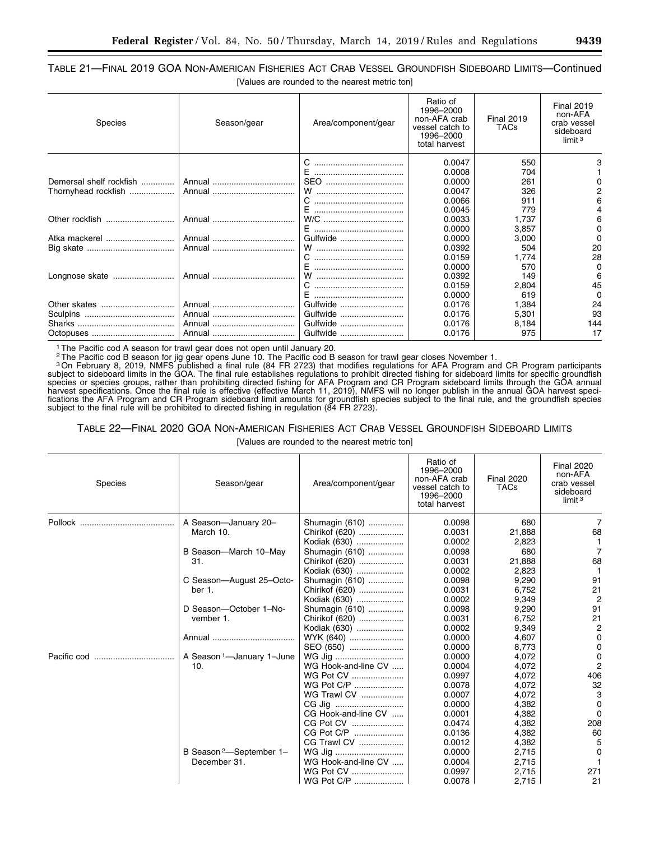# TABLE 21—FINAL 2019 GOA NON-AMERICAN FISHERIES ACT CRAB VESSEL GROUNDFISH SIDEBOARD LIMITS—Continued [Values are rounded to the nearest metric ton]

| <b>Species</b>          | Season/gear | Area/component/gear | Ratio of<br>1996-2000<br>non-AFA crab<br>vessel catch to<br>1996-2000<br>total harvest | <b>Final 2019</b><br><b>TACs</b> | <b>Final 2019</b><br>non-AFA<br>crab vessel<br>sideboard<br>limit $3$ |
|-------------------------|-------------|---------------------|----------------------------------------------------------------------------------------|----------------------------------|-----------------------------------------------------------------------|
|                         |             |                     | 0.0047                                                                                 | 550                              |                                                                       |
|                         |             |                     | 0.0008                                                                                 | 704                              |                                                                       |
| Demersal shelf rockfish |             | SEO                 | 0.0000                                                                                 | 261                              |                                                                       |
| Thornyhead rockfish     |             |                     | 0.0047                                                                                 | 326                              |                                                                       |
|                         |             |                     | 0.0066                                                                                 | 911                              |                                                                       |
|                         |             |                     | 0.0045                                                                                 | 779                              |                                                                       |
|                         |             |                     | 0.0033                                                                                 | 1.737                            |                                                                       |
|                         |             |                     | 0.0000                                                                                 | 3,857                            | 0                                                                     |
| Atka mackerel           |             | Gulfwide            | 0.0000                                                                                 | 3,000                            | O                                                                     |
|                         |             |                     | 0.0392                                                                                 | 504                              | 20                                                                    |
|                         |             |                     | 0.0159                                                                                 | 1.774                            | 28                                                                    |
|                         |             |                     | 0.0000                                                                                 | 570                              | O                                                                     |
| Longnose skate          |             |                     | 0.0392                                                                                 | 149                              |                                                                       |
|                         |             |                     | 0.0159                                                                                 | 2,804                            | 45                                                                    |
|                         |             | F                   | 0.0000                                                                                 | 619                              | O                                                                     |
|                         |             | Gulfwide            | 0.0176                                                                                 | 1,384                            | 24                                                                    |
|                         |             | Gulfwide            | 0.0176                                                                                 | 5,301                            | 93                                                                    |
|                         |             | Gulfwide            | 0.0176                                                                                 | 8,184                            | 144                                                                   |
|                         |             | Gulfwide            | 0.0176                                                                                 | 975                              | 17                                                                    |

1The Pacific cod A season for trawl gear does not open until January 20.

<sup>2</sup>The Pacific cod B season for jig gear opens June 10. The Pacific cod B season for trawl gear closes November 1.<br><sup>3</sup>On February 8, 2019, NMFS published a final rule (84 FR 2723) that modifies regulations for AFA Program subject to sideboard limits in the GOA. The final rule establishes regulations to prohibit directed fishing for sideboard limits for specific groundfish species or species groups, rather than prohibiting directed fishing for AFA Program and CR Program sideboard limits through the GOA annual harvest specifications. Once the final rule is effective (effective March 11, 2019), NMFS will no longer publish in the annual GOA harvest specifications the AFA Program and CR Program sideboard limit amounts for groundfish species subject to the final rule, and the groundfish species subject to the final rule will be prohibited to directed fishing in regulation (84 FR 2723).

#### TABLE 22—FINAL 2020 GOA NON-AMERICAN FISHERIES ACT CRAB VESSEL GROUNDFISH SIDEBOARD LIMITS

[Values are rounded to the nearest metric ton]

| Species | Season/gear                           | Area/component/gear | Ratio of<br>1996-2000<br>non-AFA crab<br>vessel catch to<br>1996-2000<br>total harvest | <b>Final 2020</b><br><b>TACs</b> | <b>Final 2020</b><br>non-AFA<br>crab vessel<br>sideboard<br>limit <sup>3</sup> |
|---------|---------------------------------------|---------------------|----------------------------------------------------------------------------------------|----------------------------------|--------------------------------------------------------------------------------|
| Pollock | A Season-January 20-                  | Shumagin (610)      | 0.0098                                                                                 | 680                              | $\overline{7}$                                                                 |
|         | March 10.                             | Chirikof (620)      | 0.0031                                                                                 | 21,888                           | 68                                                                             |
|         |                                       | Kodiak (630)        | 0.0002                                                                                 | 2,823                            |                                                                                |
|         | B Season-March 10-May                 | Shumagin (610)      | 0.0098                                                                                 | 680                              | 7                                                                              |
|         | 31.                                   | Chirikof (620)      | 0.0031                                                                                 | 21,888                           | 68                                                                             |
|         |                                       | Kodiak (630)        | 0.0002                                                                                 | 2,823                            |                                                                                |
|         | C Season-August 25-Octo-              | Shumagin (610)      | 0.0098                                                                                 | 9,290                            | 91                                                                             |
|         | ber 1.                                | Chirikof (620)      | 0.0031                                                                                 | 6,752                            | 21                                                                             |
|         |                                       | Kodiak (630)        | 0.0002                                                                                 | 9,349                            | $\overline{c}$                                                                 |
|         | D Season-October 1-No-                | Shumagin (610)      | 0.0098                                                                                 | 9,290                            | 91                                                                             |
|         | vember 1.                             | Chirikof (620)      | 0.0031                                                                                 | 6,752                            | 21                                                                             |
|         |                                       | Kodiak (630)        | 0.0002                                                                                 | 9,349                            | 2                                                                              |
|         | Annual                                | WYK (640)           | 0.0000                                                                                 | 4,607                            | 0                                                                              |
|         |                                       | SEO (650)           | 0.0000                                                                                 | 8,773                            | 0                                                                              |
|         | A Season <sup>1</sup> -January 1-June | WG Jig              | 0.0000                                                                                 | 4,072                            | 0                                                                              |
|         | 10.                                   | WG Hook-and-line CV | 0.0004                                                                                 | 4,072                            | $\overline{2}$                                                                 |
|         |                                       | WG Pot CV           | 0.0997                                                                                 | 4,072                            | 406                                                                            |
|         |                                       | WG Pot C/P          | 0.0078                                                                                 | 4,072                            | 32                                                                             |
|         |                                       | WG Trawl CV         | 0.0007                                                                                 | 4.072                            | 3                                                                              |
|         |                                       | CG Jig              | 0.0000                                                                                 | 4,382                            | 0                                                                              |
|         |                                       | CG Hook-and-line CV | 0.0001                                                                                 | 4,382                            | $\Omega$                                                                       |
|         |                                       | CG Pot CV           | 0.0474                                                                                 | 4,382                            | 208                                                                            |
|         |                                       | CG Pot C/P          | 0.0136                                                                                 | 4,382                            | 60                                                                             |
|         |                                       | CG Trawl CV         | 0.0012                                                                                 | 4,382                            | 5                                                                              |
|         | B Season <sup>2</sup> -September 1-   | WG Jig              | 0.0000                                                                                 | 2,715                            | $\Omega$                                                                       |
|         | December 31.                          | WG Hook-and-line CV | 0.0004                                                                                 | 2,715                            |                                                                                |
|         |                                       | WG Pot CV           | 0.0997                                                                                 | 2,715                            | 271                                                                            |
|         |                                       | WG Pot C/P          | 0.0078                                                                                 | 2,715                            | 21                                                                             |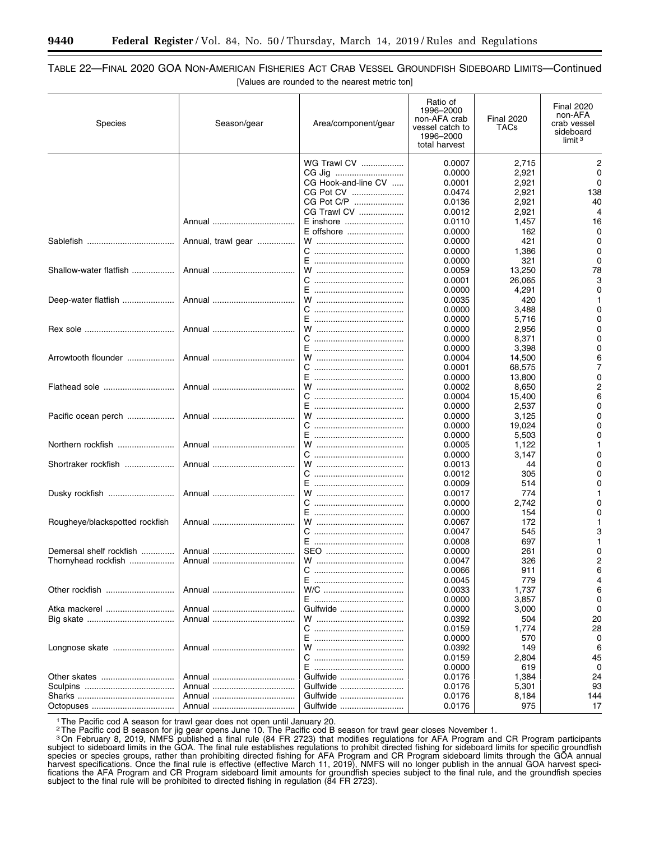# TABLE 22—FINAL 2020 GOA NON-AMERICAN FISHERIES ACT CRAB VESSEL GROUNDFISH SIDEBOARD LIMITS—Continued [Values are rounded to the nearest metric ton]

| <b>Species</b>                 | Season/gear        | Area/component/gear | Ratio of<br>1996-2000<br>non-AFA crab<br>vessel catch to<br>1996-2000<br>total harvest | <b>Final 2020</b><br>TACs | <b>Final 2020</b><br>non-AFA<br>crab vessel<br>sideboard<br>limit $3$ |
|--------------------------------|--------------------|---------------------|----------------------------------------------------------------------------------------|---------------------------|-----------------------------------------------------------------------|
|                                |                    | <b>WG Trawl CV </b> | 0.0007                                                                                 | 2,715                     | 2                                                                     |
|                                |                    |                     |                                                                                        |                           | 0                                                                     |
|                                |                    | CG Jig              | 0.0000                                                                                 | 2,921                     |                                                                       |
|                                |                    | CG Hook-and-line CV | 0.0001                                                                                 | 2,921                     | 0                                                                     |
|                                |                    | CG Pot CV           | 0.0474                                                                                 | 2,921                     | 138                                                                   |
|                                |                    | CG Pot C/P          | 0.0136                                                                                 | 2,921                     | 40                                                                    |
|                                |                    | CG Trawl CV         | 0.0012                                                                                 | 2,921                     | 4                                                                     |
|                                | Annual             | E inshore           | 0.0110                                                                                 | 1,457                     | 16                                                                    |
|                                |                    | E offshore          | 0.0000                                                                                 | 162                       | 0                                                                     |
|                                | Annual, trawl gear |                     | 0.0000                                                                                 | 421                       | 0                                                                     |
|                                |                    |                     | 0.0000                                                                                 | 1,386                     | 0                                                                     |
|                                |                    |                     | 0.0000                                                                                 | 321                       | 0                                                                     |
| Shallow-water flatfish         |                    |                     | 0.0059                                                                                 | 13,250                    | 78                                                                    |
|                                |                    |                     | 0.0001                                                                                 | 26,065                    | 3                                                                     |
|                                |                    |                     | 0.0000                                                                                 | 4,291                     | 0                                                                     |
| Deep-water flatfish            | Annual             |                     | 0.0035                                                                                 | 420                       |                                                                       |
|                                |                    |                     | 0.0000                                                                                 | 3,488                     | 0                                                                     |
|                                |                    |                     | 0.0000                                                                                 | 5,716                     | 0                                                                     |
|                                | Annual             |                     | 0.0000                                                                                 | 2,956                     | 0                                                                     |
|                                |                    | С                   | 0.0000                                                                                 | 8,371                     | 0                                                                     |
|                                |                    |                     | 0.0000                                                                                 | 3,398                     | 0                                                                     |
| Arrowtooth flounder            |                    |                     | 0.0004                                                                                 |                           | 6                                                                     |
|                                |                    |                     |                                                                                        | 14,500                    |                                                                       |
|                                |                    |                     | 0.0001                                                                                 | 68,575                    | 7                                                                     |
|                                |                    |                     | 0.0000                                                                                 | 13,800                    | 0                                                                     |
|                                |                    |                     | 0.0002                                                                                 | 8,650                     | 2                                                                     |
|                                |                    |                     | 0.0004                                                                                 | 15,400                    | 6                                                                     |
|                                |                    |                     | 0.0000                                                                                 | 2,537                     | 0                                                                     |
| Pacific ocean perch            |                    |                     | 0.0000                                                                                 | 3,125                     | 0                                                                     |
|                                |                    |                     | 0.0000                                                                                 | 19,024                    | 0                                                                     |
|                                |                    |                     | 0.0000                                                                                 | 5,503                     | O                                                                     |
| Northern rockfish              | Annual             |                     | 0.0005                                                                                 | 1,122                     |                                                                       |
|                                |                    |                     | 0.0000                                                                                 | 3,147                     | 0                                                                     |
| Shortraker rockfish            | Annual             |                     | 0.0013                                                                                 | 44                        | 0                                                                     |
|                                |                    | C.                  | 0.0012                                                                                 | 305                       |                                                                       |
|                                |                    |                     | 0.0009                                                                                 | 514                       |                                                                       |
| Dusky rockfish                 |                    |                     | 0.0017                                                                                 | 774                       |                                                                       |
|                                |                    |                     | 0.0000                                                                                 | 2,742                     |                                                                       |
|                                |                    |                     | 0.0000                                                                                 | 154                       |                                                                       |
| Rougheye/blackspotted rockfish | Annual             |                     | 0.0067                                                                                 | 172                       |                                                                       |
|                                |                    |                     | 0.0047                                                                                 | 545                       |                                                                       |
|                                |                    |                     | 0.0008                                                                                 | 697                       |                                                                       |
| Demersal shelf rockfish        |                    | SEO                 | 0.0000                                                                                 | 261                       |                                                                       |
| Thornyhead rockfish            |                    |                     | 0.0047                                                                                 | 326                       | 2                                                                     |
|                                |                    |                     | 0.0066                                                                                 | 911                       | 6                                                                     |
|                                |                    | E ……………………………………    | 0.0045                                                                                 | 779                       | 4                                                                     |
|                                |                    |                     |                                                                                        |                           |                                                                       |
|                                |                    |                     | 0.0033                                                                                 | 1,737                     | 6<br>0                                                                |
|                                |                    | E …………………………………     | 0.0000                                                                                 | 3,857                     |                                                                       |
| Atka mackerel                  |                    | Gulfwide            | 0.0000                                                                                 | 3,000                     | 0                                                                     |
|                                |                    |                     | 0.0392                                                                                 | 504                       | 20                                                                    |
|                                |                    |                     | 0.0159                                                                                 | 1,774                     | 28                                                                    |
|                                |                    |                     | 0.0000                                                                                 | 570                       | 0                                                                     |
| Longnose skate                 |                    |                     | 0.0392                                                                                 | 149                       | 6                                                                     |
|                                |                    |                     | 0.0159                                                                                 | 2,804                     | 45                                                                    |
|                                |                    |                     | 0.0000                                                                                 | 619                       | 0                                                                     |
|                                | Annual             | Gulfwide            | 0.0176                                                                                 | 1,384                     | 24                                                                    |
|                                |                    | Gulfwide            | 0.0176                                                                                 | 5,301                     | 93                                                                    |
|                                | Annual             | Gulfwide            | 0.0176                                                                                 | 8,184                     | 144                                                                   |
|                                | Annual             | Gulfwide            | 0.0176                                                                                 | 975                       | 17                                                                    |

<sup>1</sup> The Pacific cod A season for trawl gear does not open until January 20.

<sup>2</sup>The Pacific cod B season for jig gear opens June 10. The Pacific cod B season for trawl gear closes November 1.

3On February 8, 2019, NMFS published a final rule (84 FR 2723) that modifies regulations for AFA Program and CR Program participants subject to sideboard limits in the GOA. The final rule establishes regulations to prohibit directed fishing for sideboard limits for specific groundfish species or species groups, rather than prohibiting directed fishing for AFA Program and CR Program sideboard limits through the GOA annual harvest specifications. Once the final rule is effective (effective March 11, 2019), NMFS will no longer publish in the annual GOA harvest specifications the AFA Program and CR Program sideboard limit amounts for groundfish species subject to the final rule, and the groundfish species subject to the final rule will be prohibited to directed fishing in regulation (84 FR 2723).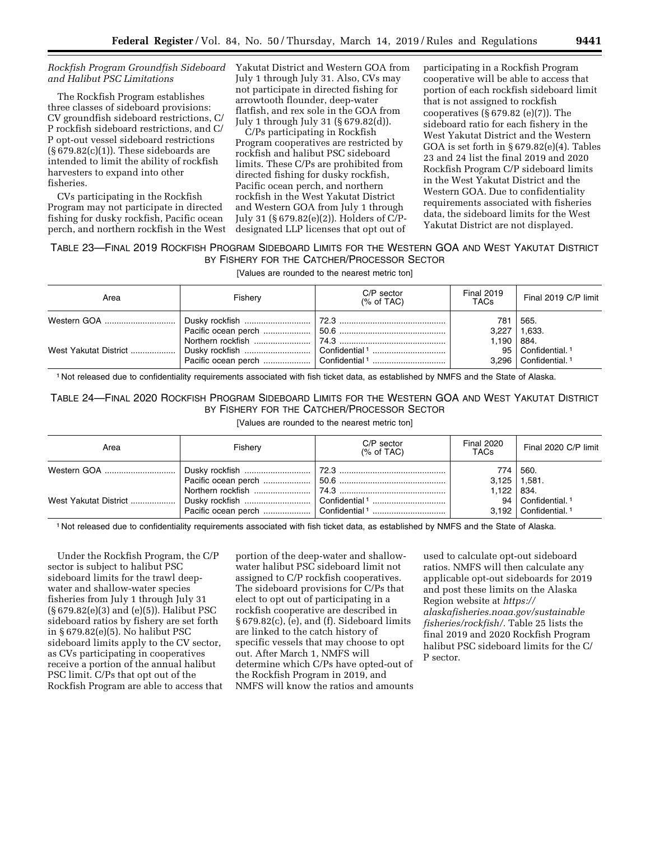#### *Rockfish Program Groundfish Sideboard and Halibut PSC Limitations*

The Rockfish Program establishes three classes of sideboard provisions: CV groundfish sideboard restrictions, C/ P rockfish sideboard restrictions, and C/ P opt-out vessel sideboard restrictions  $(\S 679.82(c)(1))$ . These sideboards are intended to limit the ability of rockfish harvesters to expand into other fisheries.

CVs participating in the Rockfish Program may not participate in directed fishing for dusky rockfish, Pacific ocean perch, and northern rockfish in the West Yakutat District and Western GOA from July 1 through July 31. Also, CVs may not participate in directed fishing for arrowtooth flounder, deep-water flatfish, and rex sole in the GOA from July 1 through July 31 (§ 679.82(d)).

C/Ps participating in Rockfish Program cooperatives are restricted by rockfish and halibut PSC sideboard limits. These C/Ps are prohibited from directed fishing for dusky rockfish, Pacific ocean perch, and northern rockfish in the West Yakutat District and Western GOA from July 1 through July 31 (§ 679.82(e)(2)). Holders of C/Pdesignated LLP licenses that opt out of

participating in a Rockfish Program cooperative will be able to access that portion of each rockfish sideboard limit that is not assigned to rockfish cooperatives  $(\S 679.82 \text{ (e)}(7))$ . The sideboard ratio for each fishery in the West Yakutat District and the Western GOA is set forth in § 679.82(e)(4). Tables 23 and 24 list the final 2019 and 2020 Rockfish Program C/P sideboard limits in the West Yakutat District and the Western GOA. Due to confidentiality requirements associated with fisheries data, the sideboard limits for the West Yakutat District are not displayed.

## TABLE 23—FINAL 2019 ROCKFISH PROGRAM SIDEBOARD LIMITS FOR THE WESTERN GOA AND WEST YAKUTAT DISTRICT BY FISHERY FOR THE CATCHER/PROCESSOR SECTOR

[Values are rounded to the nearest metric ton]

| Area | Fisherv | $C/P$ sector<br>% of TAC | <b>Final 2019</b><br><b>TACs</b> | Final 2019 C/P limit                                                    |
|------|---------|--------------------------|----------------------------------|-------------------------------------------------------------------------|
|      |         |                          | 781                              | 565.<br>$3,227$   1,633.                                                |
|      |         | Confidential 1           | $1,190$   884.                   | 95   Confidential. <sup>1</sup><br>$3.296$   Confidential. <sup>1</sup> |

1 Not released due to confidentiality requirements associated with fish ticket data, as established by NMFS and the State of Alaska.

# TABLE 24—FINAL 2020 ROCKFISH PROGRAM SIDEBOARD LIMITS FOR THE WESTERN GOA AND WEST YAKUTAT DISTRICT BY FISHERY FOR THE CATCHER/PROCESSOR SECTOR

[Values are rounded to the nearest metric ton]

| Area | Fishery | $C/P$ sector<br>% of TAC | <b>Final 2020</b><br>TACs | Final 2020 C/P limit                                                  |
|------|---------|--------------------------|---------------------------|-----------------------------------------------------------------------|
|      |         |                          | $3,125$   1,581.          | 774 560.                                                              |
|      |         |                          | $1,122$   834.            | 94   Confidential. <sup>1</sup><br>$3,192$ Confidential. <sup>1</sup> |

1 Not released due to confidentiality requirements associated with fish ticket data, as established by NMFS and the State of Alaska.

Under the Rockfish Program, the C/P sector is subject to halibut PSC sideboard limits for the trawl deepwater and shallow-water species fisheries from July 1 through July 31 (§ 679.82(e)(3) and (e)(5)). Halibut PSC sideboard ratios by fishery are set forth in § 679.82(e)(5). No halibut PSC sideboard limits apply to the CV sector, as CVs participating in cooperatives receive a portion of the annual halibut PSC limit. C/Ps that opt out of the Rockfish Program are able to access that

portion of the deep-water and shallowwater halibut PSC sideboard limit not assigned to C/P rockfish cooperatives. The sideboard provisions for C/Ps that elect to opt out of participating in a rockfish cooperative are described in § 679.82(c), (e), and (f). Sideboard limits are linked to the catch history of specific vessels that may choose to opt out. After March 1, NMFS will determine which C/Ps have opted-out of the Rockfish Program in 2019, and NMFS will know the ratios and amounts

used to calculate opt-out sideboard ratios. NMFS will then calculate any applicable opt-out sideboards for 2019 and post these limits on the Alaska Region website at *[https://](https://alaskafisheries.noaa.gov/sustainablefisheries/rockfish/) [alaskafisheries.noaa.gov/sustainable](https://alaskafisheries.noaa.gov/sustainablefisheries/rockfish/) [fisheries/rockfish/.](https://alaskafisheries.noaa.gov/sustainablefisheries/rockfish/)* Table 25 lists the final 2019 and 2020 Rockfish Program halibut PSC sideboard limits for the C/ P sector.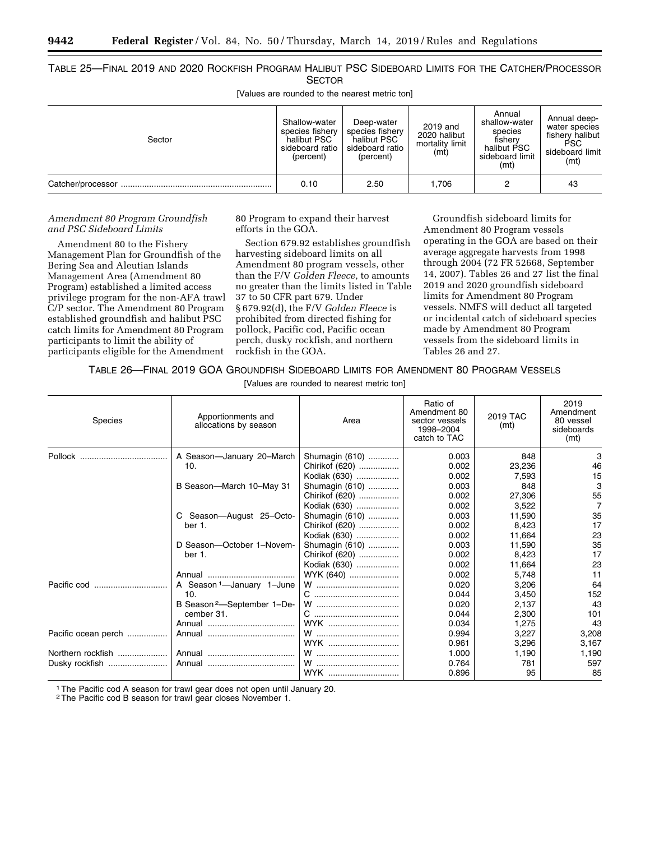TABLE 25—FINAL 2019 AND 2020 ROCKFISH PROGRAM HALIBUT PSC SIDEBOARD LIMITS FOR THE CATCHER/PROCESSOR **SECTOR** 

[Values are rounded to the nearest metric ton]

| Sector | Shallow-water<br>species fishery<br>halibut PSC<br>sideboard ratio<br>(percent) | Deep-water<br>species fishery<br>halibut PSC<br>sideboard ratio<br>(percent) | 2019 and<br>2020 halibut<br>mortality limit<br>(mt) | Annual<br>shallow-water<br>species<br>fisherv<br>halibut PSC<br>sideboard limit<br>(mt) | Annual deep-<br>water species<br>fishery halibut<br>PSC.<br>sideboard limit<br>(mt) |
|--------|---------------------------------------------------------------------------------|------------------------------------------------------------------------------|-----------------------------------------------------|-----------------------------------------------------------------------------------------|-------------------------------------------------------------------------------------|
|        | 0.10                                                                            | 2.50                                                                         | 1.706                                               |                                                                                         | 43                                                                                  |

#### *Amendment 80 Program Groundfish and PSC Sideboard Limits*

Amendment 80 to the Fishery Management Plan for Groundfish of the Bering Sea and Aleutian Islands Management Area (Amendment 80 Program) established a limited access privilege program for the non-AFA trawl C/P sector. The Amendment 80 Program established groundfish and halibut PSC catch limits for Amendment 80 Program participants to limit the ability of participants eligible for the Amendment

80 Program to expand their harvest efforts in the GOA.

Section 679.92 establishes groundfish harvesting sideboard limits on all Amendment 80 program vessels, other than the F/V *Golden Fleece,* to amounts no greater than the limits listed in Table 37 to 50 CFR part 679. Under § 679.92(d), the F/V *Golden Fleece* is prohibited from directed fishing for pollock, Pacific cod, Pacific ocean perch, dusky rockfish, and northern rockfish in the GOA.

Groundfish sideboard limits for Amendment 80 Program vessels operating in the GOA are based on their average aggregate harvests from 1998 through 2004 (72 FR 52668, September 14, 2007). Tables 26 and 27 list the final 2019 and 2020 groundfish sideboard limits for Amendment 80 Program vessels. NMFS will deduct all targeted or incidental catch of sideboard species made by Amendment 80 Program vessels from the sideboard limits in Tables 26 and 27.

TABLE 26—FINAL 2019 GOA GROUNDFISH SIDEBOARD LIMITS FOR AMENDMENT 80 PROGRAM VESSELS

|  | [Values are rounded to nearest metric ton] |  |
|--|--------------------------------------------|--|
|--|--------------------------------------------|--|

| <b>Species</b>      | Apportionments and<br>allocations by season | Area           | Ratio of<br>Amendment 80<br>sector vessels<br>1998-2004<br>catch to TAC | 2019 TAC<br>(mt) | 2019<br>Amendment<br>80 vessel<br>sideboards<br>(mt) |
|---------------------|---------------------------------------------|----------------|-------------------------------------------------------------------------|------------------|------------------------------------------------------|
| Pollock             | A Season-January 20-March                   | Shumagin (610) | 0.003                                                                   | 848              | 3                                                    |
|                     | 10.                                         | Chirikof (620) | 0.002                                                                   | 23,236           | 46                                                   |
|                     |                                             | Kodiak (630)   | 0.002                                                                   | 7,593            | 15                                                   |
|                     | B Season-March 10-May 31                    | Shumagin (610) | 0.003                                                                   | 848              | 3                                                    |
|                     |                                             | Chirikof (620) | 0.002                                                                   | 27,306           | 55                                                   |
|                     |                                             | Kodiak (630)   | 0.002                                                                   | 3,522            | 7                                                    |
|                     | C Season-August 25-Octo-                    | Shumagin (610) | 0.003                                                                   | 11.590           | 35                                                   |
|                     | ber 1.                                      | Chirikof (620) | 0.002                                                                   | 8,423            | 17                                                   |
|                     |                                             | Kodiak (630)   | 0.002                                                                   | 11,664           | 23                                                   |
|                     | D Season-October 1-Novem-                   | Shumagin (610) | 0.003                                                                   | 11,590           | 35                                                   |
|                     | ber 1.                                      | Chirikof (620) | 0.002                                                                   | 8.423            | 17                                                   |
|                     |                                             | Kodiak (630)   | 0.002                                                                   | 11.664           | 23                                                   |
|                     |                                             | WYK (640)      | 0.002                                                                   | 5,748            | 11                                                   |
|                     | A Season <sup>1</sup> —January 1-June       |                | 0.020                                                                   | 3,206            | 64                                                   |
|                     | 10.                                         |                | 0.044                                                                   | 3,450            | 152                                                  |
|                     | B Season <sup>2</sup> -September 1-De-      | W              | 0.020                                                                   | 2,137            | 43                                                   |
|                     | cember 31.                                  |                | 0.044                                                                   | 2,300            | 101                                                  |
|                     |                                             | WYK            | 0.034                                                                   | 1,275            | 43                                                   |
| Pacific ocean perch |                                             |                | 0.994                                                                   | 3,227            | 3,208                                                |
|                     |                                             | WYK            | 0.961                                                                   | 3,296            | 3,167                                                |
| Northern rockfish   |                                             |                | 1.000                                                                   | 1,190            | 1,190                                                |
| Dusky rockfish      | Annual                                      |                | 0.764                                                                   | 781              | 597                                                  |
|                     |                                             | WYK            | 0.896                                                                   | 95               | 85                                                   |

1The Pacific cod A season for trawl gear does not open until January 20.

2The Pacific cod B season for trawl gear closes November 1.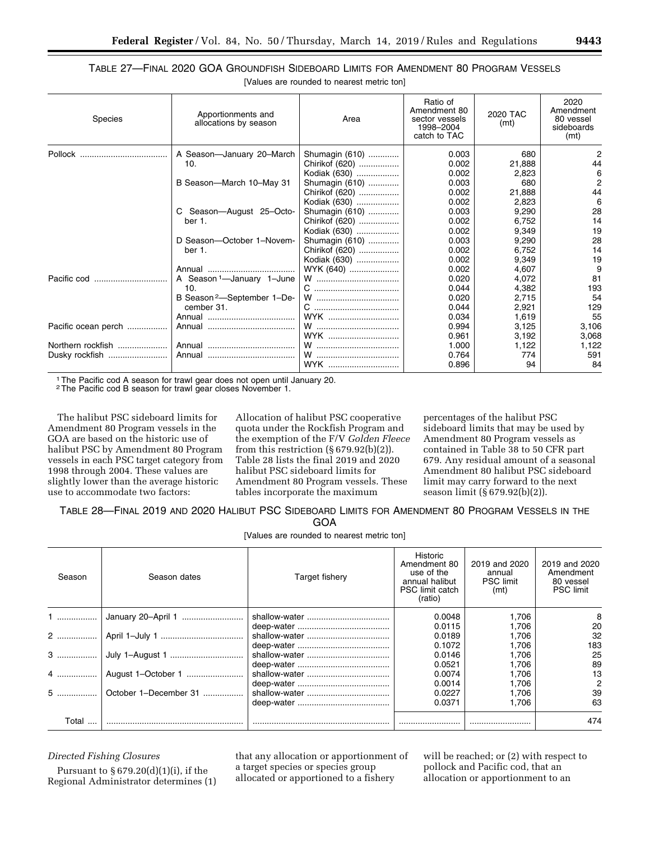# TABLE 27—FINAL 2020 GOA GROUNDFISH SIDEBOARD LIMITS FOR AMENDMENT 80 PROGRAM VESSELS [Values are rounded to nearest metric ton]

| <b>Species</b>      | Apportionments and<br>allocations by season | Area           | Ratio of<br>Amendment 80<br>sector vessels<br>1998-2004<br>catch to TAC | 2020 TAC<br>(mt) | 2020<br>Amendment<br>80 vessel<br>sideboards<br>(mt) |
|---------------------|---------------------------------------------|----------------|-------------------------------------------------------------------------|------------------|------------------------------------------------------|
|                     | A Season-January 20-March                   | Shumagin (610) | 0.003                                                                   | 680              | 2                                                    |
|                     | 10.                                         | Chirikof (620) | 0.002                                                                   | 21.888           | 44                                                   |
|                     |                                             | Kodiak (630)   | 0.002                                                                   | 2,823            | 6                                                    |
|                     | B Season-March 10-May 31                    | Shumagin (610) | 0.003                                                                   | 680              | $\overline{2}$                                       |
|                     |                                             | Chirikof (620) | 0.002                                                                   | 21,888           | 44                                                   |
|                     |                                             | Kodiak (630)   | 0.002                                                                   | 2.823            | 6                                                    |
|                     | C Season-August 25-Octo-                    | Shumagin (610) | 0.003                                                                   | 9,290            | 28                                                   |
|                     | ber 1.                                      | Chirikof (620) | 0.002                                                                   | 6.752            | 14                                                   |
|                     |                                             | Kodiak (630)   | 0.002                                                                   | 9,349            | 19                                                   |
|                     | D Season-October 1-Novem-                   | Shumagin (610) | 0.003                                                                   | 9,290            | 28                                                   |
|                     | ber 1.                                      | Chirikof (620) | 0.002                                                                   | 6,752            | 14                                                   |
|                     |                                             | Kodiak (630)   | 0.002                                                                   | 9,349            | 19                                                   |
|                     |                                             | WYK (640)      | 0.002                                                                   | 4,607            | 9                                                    |
|                     | A Season <sup>1</sup> -January 1-June       |                | 0.020                                                                   | 4.072            | 81                                                   |
|                     | 10.                                         |                | 0.044                                                                   | 4,382            | 193                                                  |
|                     | B Season <sup>2</sup> -September 1-De-      |                | 0.020                                                                   | 2,715            | 54                                                   |
|                     | cember 31.                                  |                | 0.044                                                                   | 2,921            | 129                                                  |
|                     |                                             | WYK            | 0.034                                                                   | 1.619            | 55                                                   |
| Pacific ocean perch |                                             |                | 0.994                                                                   | 3,125            | 3,106                                                |
|                     |                                             | WYK            | 0.961                                                                   | 3,192            | 3,068                                                |
| Northern rockfish   |                                             | W              | 1.000                                                                   | 1,122            | 1,122                                                |
| Dusky rockfish      | Annual                                      |                | 0.764                                                                   | 774              | 591                                                  |
|                     |                                             | WYK            | 0.896                                                                   | 94               | 84                                                   |

1The Pacific cod A season for trawl gear does not open until January 20.

2The Pacific cod B season for trawl gear closes November 1.

The halibut PSC sideboard limits for Amendment 80 Program vessels in the GOA are based on the historic use of halibut PSC by Amendment 80 Program vessels in each PSC target category from 1998 through 2004. These values are slightly lower than the average historic use to accommodate two factors:

Allocation of halibut PSC cooperative quota under the Rockfish Program and the exemption of the F/V *Golden Fleece*  from this restriction  $(\S 679.92(b)(2))$ . Table 28 lists the final 2019 and 2020 halibut PSC sideboard limits for Amendment 80 Program vessels. These tables incorporate the maximum

percentages of the halibut PSC sideboard limits that may be used by Amendment 80 Program vessels as contained in Table 38 to 50 CFR part 679. Any residual amount of a seasonal Amendment 80 halibut PSC sideboard limit may carry forward to the next season limit (§ 679.92(b)(2)).

TABLE 28—FINAL 2019 AND 2020 HALIBUT PSC SIDEBOARD LIMITS FOR AMENDMENT 80 PROGRAM VESSELS IN THE

GOA

[Values are rounded to nearest metric ton]

| Season | Season dates          | Target fishery | Historic<br>Amendment 80<br>use of the<br>annual halibut<br><b>PSC</b> limit catch<br>(ratio) | 2019 and 2020<br>annual<br><b>PSC</b> limit<br>(mt) | 2019 and 2020<br>Amendment<br>80 vessel<br><b>PSC</b> limit |
|--------|-----------------------|----------------|-----------------------------------------------------------------------------------------------|-----------------------------------------------------|-------------------------------------------------------------|
|        |                       |                | 0.0048                                                                                        | .706                                                | 8                                                           |
|        |                       |                | 0.0115                                                                                        | 1.706                                               | 20                                                          |
|        |                       |                | 0.0189                                                                                        | 1.706                                               | 32                                                          |
|        |                       |                | 0.1072                                                                                        | .706                                                | 183                                                         |
|        |                       |                | 0.0146                                                                                        | .706                                                | 25                                                          |
|        |                       |                | 0.0521                                                                                        | .706                                                | 89                                                          |
|        | August 1–October 1    |                | 0.0074                                                                                        | .706                                                | 13                                                          |
|        |                       |                | 0.0014                                                                                        | .706                                                | 2                                                           |
| $5$    | October 1-December 31 |                | 0.0227                                                                                        | 1.706                                               | 39                                                          |
|        |                       |                | 0.0371                                                                                        | .706                                                | 63                                                          |
| Total  |                       |                |                                                                                               |                                                     | 474                                                         |

#### *Directed Fishing Closures*

Pursuant to  $§ 679.20(d)(1)(i)$ , if the Regional Administrator determines (1)

that any allocation or apportionment of a target species or species group allocated or apportioned to a fishery

will be reached; or (2) with respect to pollock and Pacific cod, that an allocation or apportionment to an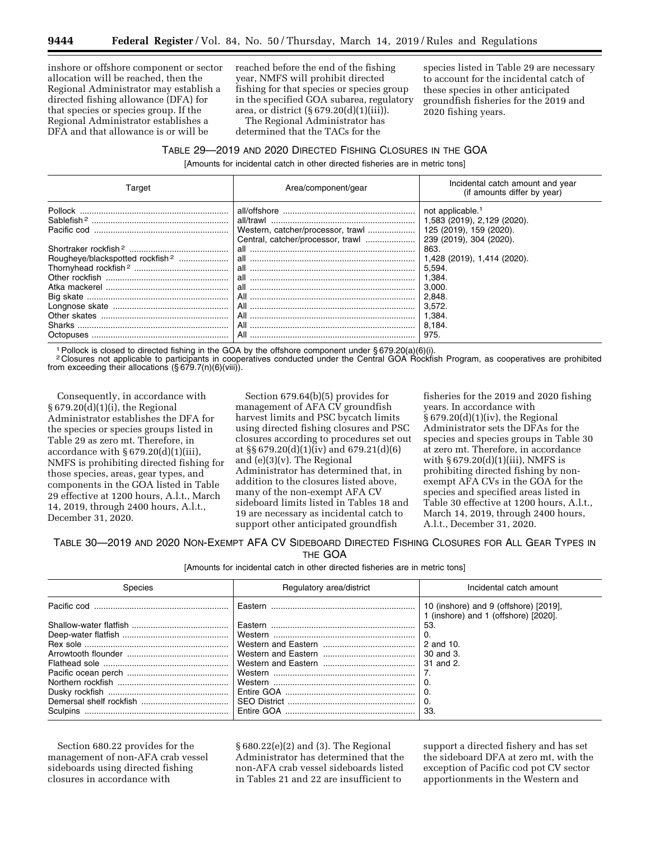inshore or offshore component or sector allocation will be reached, then the Regional Administrator may establish a directed fishing allowance (DFA) for that species or species group. If the Regional Administrator establishes a DFA and that allowance is or will be

reached before the end of the fishing year, NMFS will prohibit directed fishing for that species or species group in the specified GOA subarea, regulatory area, or district  $(\S 679.20(d)(1)(iii))$ .

The Regional Administrator has determined that the TACs for the

species listed in Table 29 are necessary to account for the incidental catch of these species in other anticipated groundfish fisheries for the 2019 and 2020 fishing years.

# TABLE 29—2019 AND 2020 DIRECTED FISHING CLOSURES IN THE GOA

[Amounts for incidental catch in other directed fisheries are in metric tons]

| Target                                      | Area/component/gear | Incidental catch amount and year<br>(if amounts differ by year)                                                   |
|---------------------------------------------|---------------------|-------------------------------------------------------------------------------------------------------------------|
| Pollock                                     | all/trawl           | not applicable. <sup>1</sup><br>1,583 (2019), 2,129 (2020).<br>125 (2019), 159 (2020).<br>239 (2019), 304 (2020). |
| Rougheye/blackspotted rockfish <sup>2</sup> | all<br>all          | 863.<br>1,428 (2019), 1,414 (2020).<br>5.594.<br>1,384.<br>3.000.<br>2,848.                                       |
| Octopuses                                   | All                 | 3.572.<br>1,384.<br>8.184.<br>975.                                                                                |

1Pollock is closed to directed fishing in the GOA by the offshore component under § 679.20(a)(6)(i).

2 Closures not applicable to participants in cooperatives conducted under the Central GOA Rockfish Program, as cooperatives are prohibited from exceeding their allocations (§ 679.7(n)(6)(viii)).

Consequently, in accordance with § 679.20(d)(1)(i), the Regional Administrator establishes the DFA for the species or species groups listed in Table 29 as zero mt. Therefore, in accordance with  $\S 679.20(d)(1)(iii)$ , NMFS is prohibiting directed fishing for those species, areas, gear types, and components in the GOA listed in Table 29 effective at 1200 hours, A.l.t., March 14, 2019, through 2400 hours, A.l.t., December 31, 2020.

Section 679.64(b)(5) provides for management of AFA CV groundfish harvest limits and PSC bycatch limits using directed fishing closures and PSC closures according to procedures set out at §§ 679.20(d)(1)(iv) and 679.21(d)(6) and (e)(3)(v). The Regional Administrator has determined that, in addition to the closures listed above, many of the non-exempt AFA CV sideboard limits listed in Tables 18 and 19 are necessary as incidental catch to support other anticipated groundfish

fisheries for the 2019 and 2020 fishing years. In accordance with § 679.20(d)(1)(iv), the Regional Administrator sets the DFAs for the species and species groups in Table 30 at zero mt. Therefore, in accordance with § 679.20(d)(1)(iii), NMFS is prohibiting directed fishing by nonexempt AFA CVs in the GOA for the species and specified areas listed in Table 30 effective at 1200 hours, A.l.t., March 14, 2019, through 2400 hours, A.l.t., December 31, 2020.

#### TABLE 30—2019 AND 2020 NON-EXEMPT AFA CV SIDEBOARD DIRECTED FISHING CLOSURES FOR ALL GEAR TYPES IN THE GOA

[Amounts for incidental catch in other directed fisheries are in metric tons]

| Species         | Regulatory area/district | Incidental catch amount                                                       |
|-----------------|--------------------------|-------------------------------------------------------------------------------|
|                 | Eastern                  | 10 (inshore) and 9 (offshore) [2019],<br>1 (inshore) and 1 (offshore) [2020]. |
|                 |                          | 53                                                                            |
|                 |                          |                                                                               |
|                 |                          | 2 and 10.                                                                     |
|                 |                          | 30 and 3.                                                                     |
|                 |                          | 31 and 2.                                                                     |
|                 |                          |                                                                               |
|                 |                          |                                                                               |
|                 |                          |                                                                               |
|                 |                          |                                                                               |
| <b>Sculpins</b> | Entire GOA               | 33.                                                                           |

Section 680.22 provides for the management of non-AFA crab vessel sideboards using directed fishing closures in accordance with

§ 680.22(e)(2) and (3). The Regional Administrator has determined that the non-AFA crab vessel sideboards listed in Tables 21 and 22 are insufficient to

support a directed fishery and has set the sideboard DFA at zero mt, with the exception of Pacific cod pot CV sector apportionments in the Western and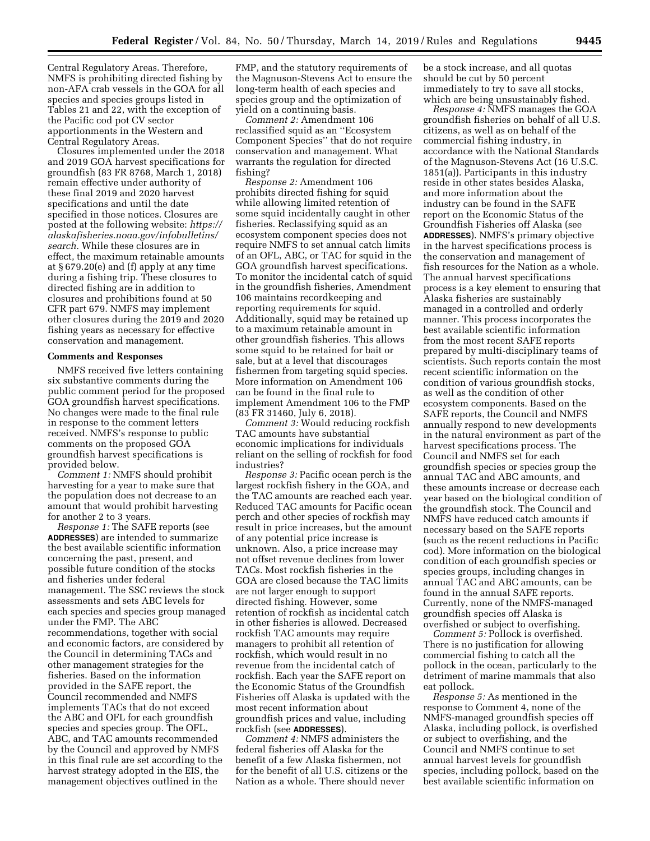Central Regulatory Areas. Therefore, NMFS is prohibiting directed fishing by non-AFA crab vessels in the GOA for all species and species groups listed in Tables 21 and 22, with the exception of the Pacific cod pot CV sector apportionments in the Western and Central Regulatory Areas.

Closures implemented under the 2018 and 2019 GOA harvest specifications for groundfish (83 FR 8768, March 1, 2018) remain effective under authority of these final 2019 and 2020 harvest specifications and until the date specified in those notices. Closures are posted at the following website: *[https://](https://alaskafisheries.noaa.gov/infobulletins/search) [alaskafisheries.noaa.gov/infobulletins/](https://alaskafisheries.noaa.gov/infobulletins/search)  [search.](https://alaskafisheries.noaa.gov/infobulletins/search)* While these closures are in effect, the maximum retainable amounts at § 679.20(e) and (f) apply at any time during a fishing trip. These closures to directed fishing are in addition to closures and prohibitions found at 50 CFR part 679. NMFS may implement other closures during the 2019 and 2020 fishing years as necessary for effective conservation and management.

#### **Comments and Responses**

NMFS received five letters containing six substantive comments during the public comment period for the proposed GOA groundfish harvest specifications. No changes were made to the final rule in response to the comment letters received. NMFS's response to public comments on the proposed GOA groundfish harvest specifications is provided below.

*Comment 1:* NMFS should prohibit harvesting for a year to make sure that the population does not decrease to an amount that would prohibit harvesting for another 2 to 3 years.

*Response 1:* The SAFE reports (see **ADDRESSES**) are intended to summarize the best available scientific information concerning the past, present, and possible future condition of the stocks and fisheries under federal management. The SSC reviews the stock assessments and sets ABC levels for each species and species group managed under the FMP. The ABC recommendations, together with social and economic factors, are considered by the Council in determining TACs and other management strategies for the fisheries. Based on the information provided in the SAFE report, the Council recommended and NMFS implements TACs that do not exceed the ABC and OFL for each groundfish species and species group. The OFL, ABC, and TAC amounts recommended by the Council and approved by NMFS in this final rule are set according to the harvest strategy adopted in the EIS, the management objectives outlined in the

FMP, and the statutory requirements of the Magnuson-Stevens Act to ensure the long-term health of each species and species group and the optimization of yield on a continuing basis.

*Comment 2:* Amendment 106 reclassified squid as an ''Ecosystem Component Species'' that do not require conservation and management. What warrants the regulation for directed fishing?

*Response 2:* Amendment 106 prohibits directed fishing for squid while allowing limited retention of some squid incidentally caught in other fisheries. Reclassifying squid as an ecosystem component species does not require NMFS to set annual catch limits of an OFL, ABC, or TAC for squid in the GOA groundfish harvest specifications. To monitor the incidental catch of squid in the groundfish fisheries, Amendment 106 maintains recordkeeping and reporting requirements for squid. Additionally, squid may be retained up to a maximum retainable amount in other groundfish fisheries. This allows some squid to be retained for bait or sale, but at a level that discourages fishermen from targeting squid species. More information on Amendment 106 can be found in the final rule to implement Amendment 106 to the FMP (83 FR 31460, July 6, 2018).

*Comment 3:* Would reducing rockfish TAC amounts have substantial economic implications for individuals reliant on the selling of rockfish for food industries?

*Response 3:* Pacific ocean perch is the largest rockfish fishery in the GOA, and the TAC amounts are reached each year. Reduced TAC amounts for Pacific ocean perch and other species of rockfish may result in price increases, but the amount of any potential price increase is unknown. Also, a price increase may not offset revenue declines from lower TACs. Most rockfish fisheries in the GOA are closed because the TAC limits are not larger enough to support directed fishing. However, some retention of rockfish as incidental catch in other fisheries is allowed. Decreased rockfish TAC amounts may require managers to prohibit all retention of rockfish, which would result in no revenue from the incidental catch of rockfish. Each year the SAFE report on the Economic Status of the Groundfish Fisheries off Alaska is updated with the most recent information about groundfish prices and value, including rockfish (see **ADDRESSES**).

*Comment 4:* NMFS administers the federal fisheries off Alaska for the benefit of a few Alaska fishermen, not for the benefit of all U.S. citizens or the Nation as a whole. There should never

be a stock increase, and all quotas should be cut by 50 percent immediately to try to save all stocks, which are being unsustainably fished.

*Response 4:* NMFS manages the GOA groundfish fisheries on behalf of all U.S. citizens, as well as on behalf of the commercial fishing industry, in accordance with the National Standards of the Magnuson-Stevens Act (16 U.S.C. 1851(a)). Participants in this industry reside in other states besides Alaska, and more information about the industry can be found in the SAFE report on the Economic Status of the Groundfish Fisheries off Alaska (see **ADDRESSES**). NMFS's primary objective in the harvest specifications process is the conservation and management of fish resources for the Nation as a whole. The annual harvest specifications process is a key element to ensuring that Alaska fisheries are sustainably managed in a controlled and orderly manner. This process incorporates the best available scientific information from the most recent SAFE reports prepared by multi-disciplinary teams of scientists. Such reports contain the most recent scientific information on the condition of various groundfish stocks, as well as the condition of other ecosystem components. Based on the SAFE reports, the Council and NMFS annually respond to new developments in the natural environment as part of the harvest specifications process. The Council and NMFS set for each groundfish species or species group the annual TAC and ABC amounts, and these amounts increase or decrease each year based on the biological condition of the groundfish stock. The Council and NMFS have reduced catch amounts if necessary based on the SAFE reports (such as the recent reductions in Pacific cod). More information on the biological condition of each groundfish species or species groups, including changes in annual TAC and ABC amounts, can be found in the annual SAFE reports. Currently, none of the NMFS-managed groundfish species off Alaska is overfished or subject to overfishing.

*Comment 5:* Pollock is overfished. There is no justification for allowing commercial fishing to catch all the pollock in the ocean, particularly to the detriment of marine mammals that also eat pollock.

*Response 5:* As mentioned in the response to Comment 4, none of the NMFS-managed groundfish species off Alaska, including pollock, is overfished or subject to overfishing, and the Council and NMFS continue to set annual harvest levels for groundfish species, including pollock, based on the best available scientific information on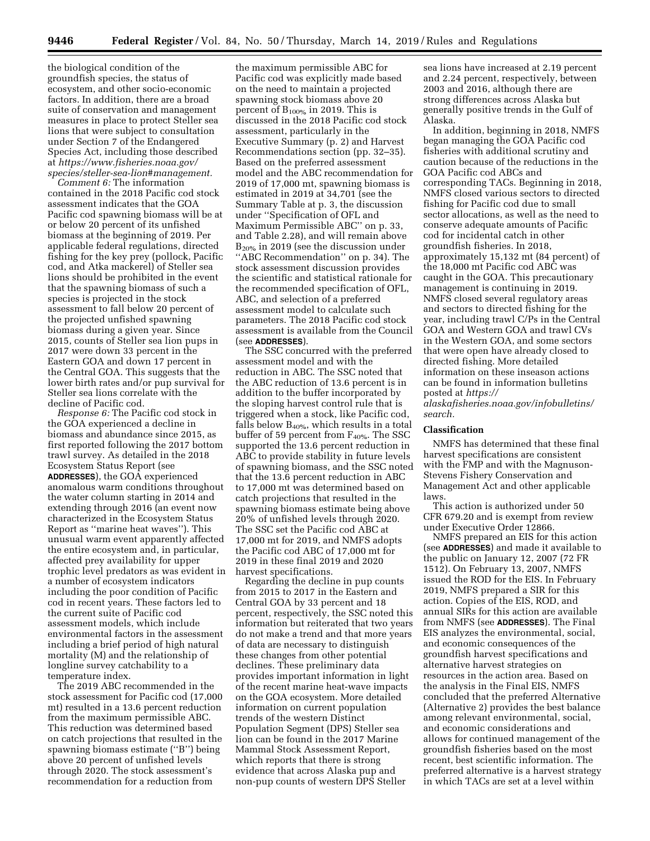the biological condition of the groundfish species, the status of ecosystem, and other socio-economic factors. In addition, there are a broad suite of conservation and management measures in place to protect Steller sea lions that were subject to consultation under Section 7 of the Endangered Species Act, including those described at *[https://www.fisheries.noaa.gov/](https://www.fisheries.noaa.gov/species/steller-sea-lion#management) [species/steller-sea-lion#management.](https://www.fisheries.noaa.gov/species/steller-sea-lion#management)* 

*Comment 6:* The information contained in the 2018 Pacific cod stock assessment indicates that the GOA Pacific cod spawning biomass will be at or below 20 percent of its unfished biomass at the beginning of 2019. Per applicable federal regulations, directed fishing for the key prey (pollock, Pacific cod, and Atka mackerel) of Steller sea lions should be prohibited in the event that the spawning biomass of such a species is projected in the stock assessment to fall below 20 percent of the projected unfished spawning biomass during a given year. Since 2015, counts of Steller sea lion pups in 2017 were down 33 percent in the Eastern GOA and down 17 percent in the Central GOA. This suggests that the lower birth rates and/or pup survival for Steller sea lions correlate with the decline of Pacific cod.

*Response 6:* The Pacific cod stock in the GOA experienced a decline in biomass and abundance since 2015, as first reported following the 2017 bottom trawl survey. As detailed in the 2018 Ecosystem Status Report (see **ADDRESSES**), the GOA experienced anomalous warm conditions throughout the water column starting in 2014 and extending through 2016 (an event now characterized in the Ecosystem Status Report as ''marine heat waves''). This unusual warm event apparently affected the entire ecosystem and, in particular, affected prey availability for upper trophic level predators as was evident in a number of ecosystem indicators including the poor condition of Pacific cod in recent years. These factors led to the current suite of Pacific cod assessment models, which include environmental factors in the assessment including a brief period of high natural mortality (M) and the relationship of longline survey catchability to a temperature index.

The 2019 ABC recommended in the stock assessment for Pacific cod (17,000 mt) resulted in a 13.6 percent reduction from the maximum permissible ABC. This reduction was determined based on catch projections that resulted in the spawning biomass estimate (''B'') being above 20 percent of unfished levels through 2020. The stock assessment's recommendation for a reduction from

the maximum permissible ABC for Pacific cod was explicitly made based on the need to maintain a projected spawning stock biomass above 20 percent of  $B_{100\%}$  in 2019. This is discussed in the 2018 Pacific cod stock assessment, particularly in the Executive Summary (p. 2) and Harvest Recommendations section (pp. 32–35). Based on the preferred assessment model and the ABC recommendation for 2019 of 17,000 mt, spawning biomass is estimated in 2019 at 34,701 (see the Summary Table at p. 3, the discussion under ''Specification of OFL and Maximum Permissible ABC'' on p. 33, and Table 2.28), and will remain above  $B<sub>20%</sub>$  in 2019 (see the discussion under ''ABC Recommendation'' on p. 34). The stock assessment discussion provides the scientific and statistical rationale for the recommended specification of OFL, ABC, and selection of a preferred assessment model to calculate such parameters. The 2018 Pacific cod stock assessment is available from the Council (see **ADDRESSES**).

The SSC concurred with the preferred assessment model and with the reduction in ABC. The SSC noted that the ABC reduction of 13.6 percent is in addition to the buffer incorporated by the sloping harvest control rule that is triggered when a stock, like Pacific cod, falls below  $B_{40\%}$ , which results in a total buffer of 59 percent from F<sub>40%</sub>. The SSC supported the 13.6 percent reduction in ABC to provide stability in future levels of spawning biomass, and the SSC noted that the 13.6 percent reduction in ABC to 17,000 mt was determined based on catch projections that resulted in the spawning biomass estimate being above 20% of unfished levels through 2020. The SSC set the Pacific cod ABC at 17,000 mt for 2019, and NMFS adopts the Pacific cod ABC of 17,000 mt for 2019 in these final 2019 and 2020 harvest specifications.

Regarding the decline in pup counts from 2015 to 2017 in the Eastern and Central GOA by 33 percent and 18 percent, respectively, the SSC noted this information but reiterated that two years do not make a trend and that more years of data are necessary to distinguish these changes from other potential declines. These preliminary data provides important information in light of the recent marine heat-wave impacts on the GOA ecosystem. More detailed information on current population trends of the western Distinct Population Segment (DPS) Steller sea lion can be found in the 2017 Marine Mammal Stock Assessment Report, which reports that there is strong evidence that across Alaska pup and non-pup counts of western DPS Steller

sea lions have increased at 2.19 percent and 2.24 percent, respectively, between 2003 and 2016, although there are strong differences across Alaska but generally positive trends in the Gulf of Alaska.

In addition, beginning in 2018, NMFS began managing the GOA Pacific cod fisheries with additional scrutiny and caution because of the reductions in the GOA Pacific cod ABCs and corresponding TACs. Beginning in 2018, NMFS closed various sectors to directed fishing for Pacific cod due to small sector allocations, as well as the need to conserve adequate amounts of Pacific cod for incidental catch in other groundfish fisheries. In 2018, approximately 15,132 mt (84 percent) of the 18,000 mt Pacific cod ABC was caught in the GOA. This precautionary management is continuing in 2019. NMFS closed several regulatory areas and sectors to directed fishing for the year, including trawl C/Ps in the Central GOA and Western GOA and trawl CVs in the Western GOA, and some sectors that were open have already closed to directed fishing. More detailed information on these inseason actions can be found in information bulletins posted at *[https://](https://alaskafisheries.noaa.gov/infobulletins/search) [alaskafisheries.noaa.gov/infobulletins/](https://alaskafisheries.noaa.gov/infobulletins/search)* 

*[search.](https://alaskafisheries.noaa.gov/infobulletins/search)* 

#### **Classification**

NMFS has determined that these final harvest specifications are consistent with the FMP and with the Magnuson-Stevens Fishery Conservation and Management Act and other applicable laws.

This action is authorized under 50 CFR 679.20 and is exempt from review under Executive Order 12866.

NMFS prepared an EIS for this action (see **ADDRESSES**) and made it available to the public on January 12, 2007 (72 FR 1512). On February 13, 2007, NMFS issued the ROD for the EIS. In February 2019, NMFS prepared a SIR for this action. Copies of the EIS, ROD, and annual SIRs for this action are available from NMFS (see **ADDRESSES**). The Final EIS analyzes the environmental, social, and economic consequences of the groundfish harvest specifications and alternative harvest strategies on resources in the action area. Based on the analysis in the Final EIS, NMFS concluded that the preferred Alternative (Alternative 2) provides the best balance among relevant environmental, social, and economic considerations and allows for continued management of the groundfish fisheries based on the most recent, best scientific information. The preferred alternative is a harvest strategy in which TACs are set at a level within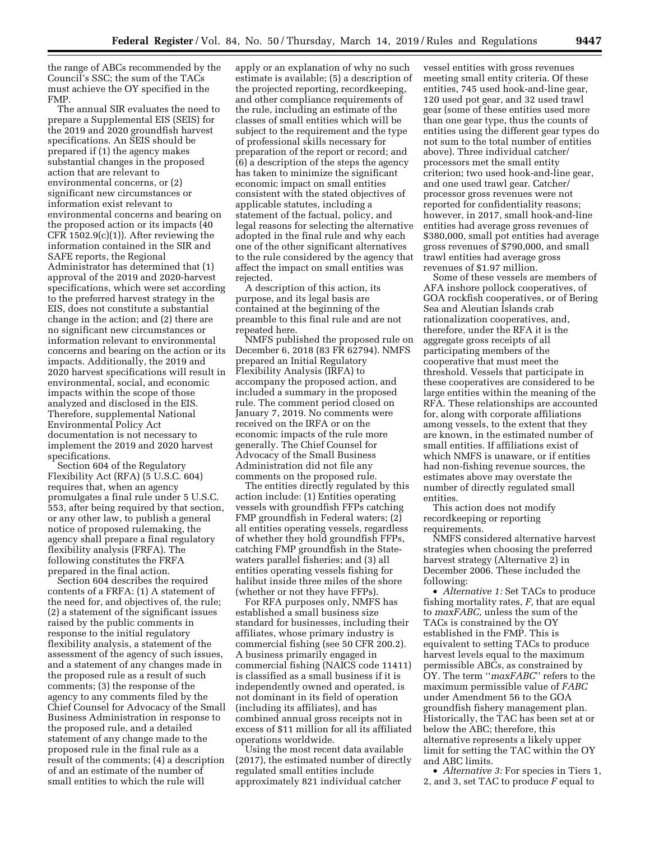the range of ABCs recommended by the Council's SSC; the sum of the TACs must achieve the OY specified in the FMP.

The annual SIR evaluates the need to prepare a Supplemental EIS (SEIS) for the 2019 and 2020 groundfish harvest specifications. An SEIS should be prepared if (1) the agency makes substantial changes in the proposed action that are relevant to environmental concerns, or (2) significant new circumstances or information exist relevant to environmental concerns and bearing on the proposed action or its impacts (40 CFR 1502.9(c)(1)). After reviewing the information contained in the SIR and SAFE reports, the Regional Administrator has determined that (1) approval of the 2019 and 2020-harvest specifications, which were set according to the preferred harvest strategy in the EIS, does not constitute a substantial change in the action; and (2) there are no significant new circumstances or information relevant to environmental concerns and bearing on the action or its impacts. Additionally, the 2019 and 2020 harvest specifications will result in environmental, social, and economic impacts within the scope of those analyzed and disclosed in the EIS. Therefore, supplemental National Environmental Policy Act documentation is not necessary to implement the 2019 and 2020 harvest specifications.

Section 604 of the Regulatory Flexibility Act (RFA) (5 U.S.C. 604) requires that, when an agency promulgates a final rule under 5 U.S.C. 553, after being required by that section, or any other law, to publish a general notice of proposed rulemaking, the agency shall prepare a final regulatory flexibility analysis (FRFA). The following constitutes the FRFA prepared in the final action.

Section 604 describes the required contents of a FRFA: (1) A statement of the need for, and objectives of, the rule; (2) a statement of the significant issues raised by the public comments in response to the initial regulatory flexibility analysis, a statement of the assessment of the agency of such issues, and a statement of any changes made in the proposed rule as a result of such comments; (3) the response of the agency to any comments filed by the Chief Counsel for Advocacy of the Small Business Administration in response to the proposed rule, and a detailed statement of any change made to the proposed rule in the final rule as a result of the comments; (4) a description of and an estimate of the number of small entities to which the rule will

apply or an explanation of why no such estimate is available; (5) a description of the projected reporting, recordkeeping, and other compliance requirements of the rule, including an estimate of the classes of small entities which will be subject to the requirement and the type of professional skills necessary for preparation of the report or record; and (6) a description of the steps the agency has taken to minimize the significant economic impact on small entities consistent with the stated objectives of applicable statutes, including a statement of the factual, policy, and legal reasons for selecting the alternative adopted in the final rule and why each one of the other significant alternatives to the rule considered by the agency that affect the impact on small entities was rejected.

A description of this action, its purpose, and its legal basis are contained at the beginning of the preamble to this final rule and are not repeated here.

NMFS published the proposed rule on December 6, 2018 (83 FR 62794). NMFS prepared an Initial Regulatory Flexibility Analysis (IRFA) to accompany the proposed action, and included a summary in the proposed rule. The comment period closed on January 7, 2019. No comments were received on the IRFA or on the economic impacts of the rule more generally. The Chief Counsel for Advocacy of the Small Business Administration did not file any comments on the proposed rule.

The entities directly regulated by this action include: (1) Entities operating vessels with groundfish FFPs catching FMP groundfish in Federal waters; (2) all entities operating vessels, regardless of whether they hold groundfish FFPs, catching FMP groundfish in the Statewaters parallel fisheries; and (3) all entities operating vessels fishing for halibut inside three miles of the shore (whether or not they have FFPs).

For RFA purposes only, NMFS has established a small business size standard for businesses, including their affiliates, whose primary industry is commercial fishing (see 50 CFR 200.2). A business primarily engaged in commercial fishing (NAICS code 11411) is classified as a small business if it is independently owned and operated, is not dominant in its field of operation (including its affiliates), and has combined annual gross receipts not in excess of \$11 million for all its affiliated operations worldwide.

Using the most recent data available (2017), the estimated number of directly regulated small entities include approximately 821 individual catcher

vessel entities with gross revenues meeting small entity criteria. Of these entities, 745 used hook-and-line gear, 120 used pot gear, and 32 used trawl gear (some of these entities used more than one gear type, thus the counts of entities using the different gear types do not sum to the total number of entities above). Three individual catcher/ processors met the small entity criterion; two used hook-and-line gear, and one used trawl gear. Catcher/ processor gross revenues were not reported for confidentiality reasons; however, in 2017, small hook-and-line entities had average gross revenues of \$380,000, small pot entities had average gross revenues of \$790,000, and small trawl entities had average gross revenues of \$1.97 million.

Some of these vessels are members of AFA inshore pollock cooperatives, of GOA rockfish cooperatives, or of Bering Sea and Aleutian Islands crab rationalization cooperatives, and, therefore, under the RFA it is the aggregate gross receipts of all participating members of the cooperative that must meet the threshold. Vessels that participate in these cooperatives are considered to be large entities within the meaning of the RFA. These relationships are accounted for, along with corporate affiliations among vessels, to the extent that they are known, in the estimated number of small entities. If affiliations exist of which NMFS is unaware, or if entities had non-fishing revenue sources, the estimates above may overstate the number of directly regulated small entities.

This action does not modify recordkeeping or reporting requirements.

NMFS considered alternative harvest strategies when choosing the preferred harvest strategy (Alternative 2) in December 2006. These included the following:

• *Alternative 1:* Set TACs to produce fishing mortality rates, *F,* that are equal to *maxFABC,* unless the sum of the TACs is constrained by the OY established in the FMP. This is equivalent to setting TACs to produce harvest levels equal to the maximum permissible ABCs, as constrained by OY. The term ''*maxFABC*'' refers to the maximum permissible value of *FABC*  under Amendment 56 to the GOA groundfish fishery management plan. Historically, the TAC has been set at or below the ABC; therefore, this alternative represents a likely upper limit for setting the TAC within the OY and ABC limits.

• *Alternative 3:* For species in Tiers 1, 2, and 3, set TAC to produce *F* equal to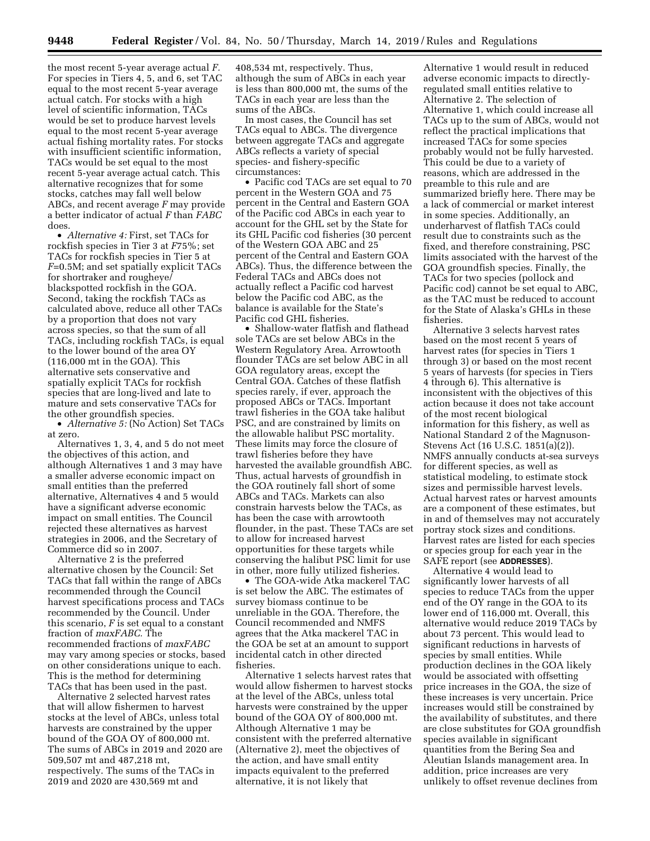the most recent 5-year average actual *F.*  For species in Tiers 4, 5, and 6, set TAC equal to the most recent 5-year average actual catch. For stocks with a high level of scientific information, TACs would be set to produce harvest levels equal to the most recent 5-year average actual fishing mortality rates. For stocks with insufficient scientific information, TACs would be set equal to the most recent 5-year average actual catch. This alternative recognizes that for some stocks, catches may fall well below ABCs, and recent average *F* may provide a better indicator of actual *F* than *FABC*  does.

• *Alternative 4:* First, set TACs for rockfish species in Tier 3 at *F*75%; set TACs for rockfish species in Tier 5 at *F*=0.5M; and set spatially explicit TACs for shortraker and rougheye/ blackspotted rockfish in the GOA. Second, taking the rockfish TACs as calculated above, reduce all other TACs by a proportion that does not vary across species, so that the sum of all TACs, including rockfish TACs, is equal to the lower bound of the area OY (116,000 mt in the GOA). This alternative sets conservative and spatially explicit TACs for rockfish species that are long-lived and late to mature and sets conservative TACs for the other groundfish species.

• *Alternative 5:* (No Action) Set TACs at zero.

Alternatives 1, 3, 4, and 5 do not meet the objectives of this action, and although Alternatives 1 and 3 may have a smaller adverse economic impact on small entities than the preferred alternative, Alternatives 4 and 5 would have a significant adverse economic impact on small entities. The Council rejected these alternatives as harvest strategies in 2006, and the Secretary of Commerce did so in 2007.

Alternative 2 is the preferred alternative chosen by the Council: Set TACs that fall within the range of ABCs recommended through the Council harvest specifications process and TACs recommended by the Council. Under this scenario, *F* is set equal to a constant fraction of *maxFABC.* The recommended fractions of *maxFABC*  may vary among species or stocks, based on other considerations unique to each. This is the method for determining TACs that has been used in the past.

Alternative 2 selected harvest rates that will allow fishermen to harvest stocks at the level of ABCs, unless total harvests are constrained by the upper bound of the GOA OY of 800,000 mt. The sums of ABCs in 2019 and 2020 are 509,507 mt and 487,218 mt, respectively. The sums of the TACs in 2019 and 2020 are 430,569 mt and

408,534 mt, respectively. Thus, although the sum of ABCs in each year is less than 800,000 mt, the sums of the TACs in each year are less than the sums of the ABCs.

In most cases, the Council has set TACs equal to ABCs. The divergence between aggregate TACs and aggregate ABCs reflects a variety of special species- and fishery-specific circumstances:

• Pacific cod TACs are set equal to 70 percent in the Western GOA and 75 percent in the Central and Eastern GOA of the Pacific cod ABCs in each year to account for the GHL set by the State for its GHL Pacific cod fisheries (30 percent of the Western GOA ABC and 25 percent of the Central and Eastern GOA ABCs). Thus, the difference between the Federal TACs and ABCs does not actually reflect a Pacific cod harvest below the Pacific cod ABC, as the balance is available for the State's Pacific cod GHL fisheries.

• Shallow-water flatfish and flathead sole TACs are set below ABCs in the Western Regulatory Area. Arrowtooth flounder TACs are set below ABC in all GOA regulatory areas, except the Central GOA. Catches of these flatfish species rarely, if ever, approach the proposed ABCs or TACs. Important trawl fisheries in the GOA take halibut PSC, and are constrained by limits on the allowable halibut PSC mortality. These limits may force the closure of trawl fisheries before they have harvested the available groundfish ABC. Thus, actual harvests of groundfish in the GOA routinely fall short of some ABCs and TACs. Markets can also constrain harvests below the TACs, as has been the case with arrowtooth flounder, in the past. These TACs are set to allow for increased harvest opportunities for these targets while conserving the halibut PSC limit for use in other, more fully utilized fisheries.

• The GOA-wide Atka mackerel TAC is set below the ABC. The estimates of survey biomass continue to be unreliable in the GOA. Therefore, the Council recommended and NMFS agrees that the Atka mackerel TAC in the GOA be set at an amount to support incidental catch in other directed fisheries.

Alternative 1 selects harvest rates that would allow fishermen to harvest stocks at the level of the ABCs, unless total harvests were constrained by the upper bound of the GOA OY of 800,000 mt. Although Alternative 1 may be consistent with the preferred alternative (Alternative 2), meet the objectives of the action, and have small entity impacts equivalent to the preferred alternative, it is not likely that

Alternative 1 would result in reduced adverse economic impacts to directlyregulated small entities relative to Alternative 2. The selection of Alternative 1, which could increase all TACs up to the sum of ABCs, would not reflect the practical implications that increased TACs for some species probably would not be fully harvested. This could be due to a variety of reasons, which are addressed in the preamble to this rule and are summarized briefly here. There may be a lack of commercial or market interest in some species. Additionally, an underharvest of flatfish TACs could result due to constraints such as the fixed, and therefore constraining, PSC limits associated with the harvest of the GOA groundfish species. Finally, the TACs for two species (pollock and Pacific cod) cannot be set equal to ABC, as the TAC must be reduced to account for the State of Alaska's GHLs in these fisheries.

Alternative 3 selects harvest rates based on the most recent 5 years of harvest rates (for species in Tiers 1 through 3) or based on the most recent 5 years of harvests (for species in Tiers 4 through 6). This alternative is inconsistent with the objectives of this action because it does not take account of the most recent biological information for this fishery, as well as National Standard 2 of the Magnuson-Stevens Act (16 U.S.C. 1851(a)(2)). NMFS annually conducts at-sea surveys for different species, as well as statistical modeling, to estimate stock sizes and permissible harvest levels. Actual harvest rates or harvest amounts are a component of these estimates, but in and of themselves may not accurately portray stock sizes and conditions. Harvest rates are listed for each species or species group for each year in the SAFE report (see **ADDRESSES**).

Alternative 4 would lead to significantly lower harvests of all species to reduce TACs from the upper end of the OY range in the GOA to its lower end of 116,000 mt. Overall, this alternative would reduce 2019 TACs by about 73 percent. This would lead to significant reductions in harvests of species by small entities. While production declines in the GOA likely would be associated with offsetting price increases in the GOA, the size of these increases is very uncertain. Price increases would still be constrained by the availability of substitutes, and there are close substitutes for GOA groundfish species available in significant quantities from the Bering Sea and Aleutian Islands management area. In addition, price increases are very unlikely to offset revenue declines from